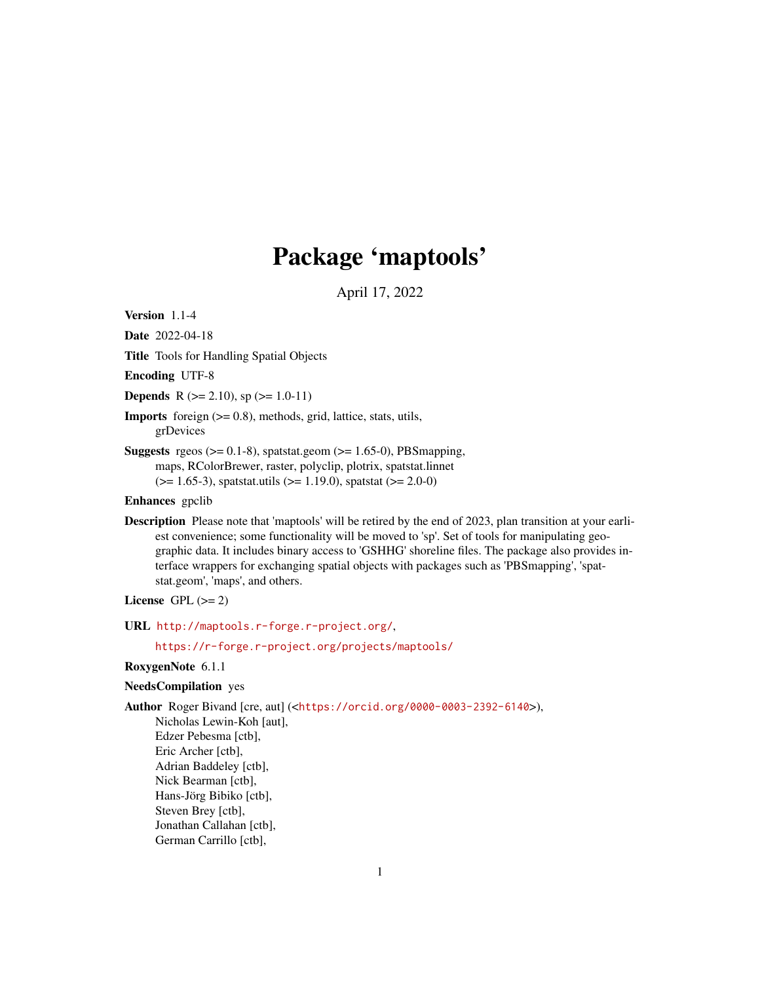# Package 'maptools'

April 17, 2022

<span id="page-0-0"></span>Version 1.1-4

Date 2022-04-18

Title Tools for Handling Spatial Objects

Encoding UTF-8

**Depends** R ( $>= 2.10$ ), sp ( $>= 1.0-11$ )

Imports foreign (>= 0.8), methods, grid, lattice, stats, utils, grDevices

**Suggests** rgeos ( $>= 0.1-8$ ), spatstat.geom ( $>= 1.65-0$ ), PBSmapping, maps, RColorBrewer, raster, polyclip, plotrix, spatstat.linnet (>= 1.65-3), spatstat.utils (>= 1.19.0), spatstat (>= 2.0-0)

## Enhances gpclib

Description Please note that 'maptools' will be retired by the end of 2023, plan transition at your earliest convenience; some functionality will be moved to 'sp'. Set of tools for manipulating geographic data. It includes binary access to 'GSHHG' shoreline files. The package also provides interface wrappers for exchanging spatial objects with packages such as 'PBSmapping', 'spatstat.geom', 'maps', and others.

## License GPL  $(>= 2)$

URL <http://maptools.r-forge.r-project.org/>,

<https://r-forge.r-project.org/projects/maptools/>

## RoxygenNote 6.1.1

## NeedsCompilation yes

Author Roger Bivand [cre, aut] (<<https://orcid.org/0000-0003-2392-6140>>),

Nicholas Lewin-Koh [aut], Edzer Pebesma [ctb], Eric Archer [ctb], Adrian Baddeley [ctb], Nick Bearman [ctb], Hans-Jörg Bibiko [ctb], Steven Brey [ctb], Jonathan Callahan [ctb], German Carrillo [ctb],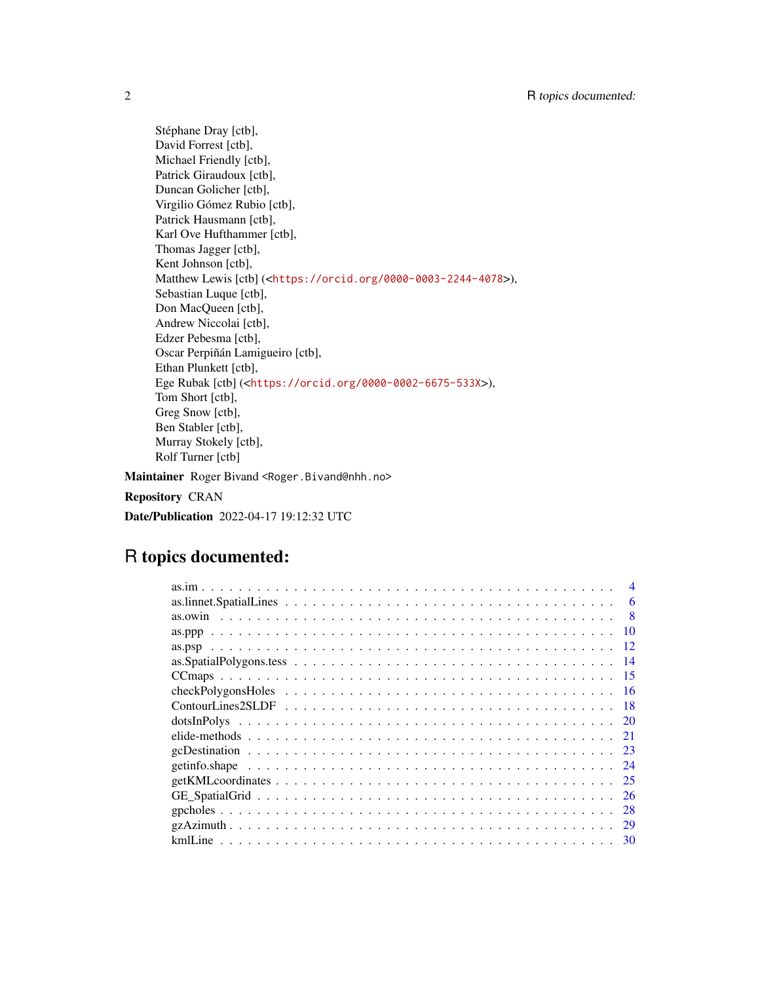Stéphane Dray [ctb], David Forrest [ctb], Michael Friendly [ctb], Patrick Giraudoux [ctb], Duncan Golicher [ctb], Virgilio Gómez Rubio [ctb], Patrick Hausmann [ctb], Karl Ove Hufthammer [ctb], Thomas Jagger [ctb], Kent Johnson [ctb], Matthew Lewis [ctb] (<<https://orcid.org/0000-0003-2244-4078>>), Sebastian Luque [ctb], Don MacQueen [ctb], Andrew Niccolai [ctb], Edzer Pebesma [ctb], Oscar Perpiñán Lamigueiro [ctb], Ethan Plunkett [ctb], Ege Rubak [ctb] (<<https://orcid.org/0000-0002-6675-533X>>), Tom Short [ctb], Greg Snow [ctb], Ben Stabler [ctb], Murray Stokely [ctb], Rolf Turner [ctb]

Maintainer Roger Bivand <Roger.Bivand@nhh.no>

Repository CRAN

Date/Publication 2022-04-17 19:12:32 UTC

## R topics documented:

| 6    |
|------|
| 8    |
| 10   |
| 12   |
| -14  |
| -15  |
|      |
| -18  |
| - 20 |
|      |
|      |
|      |
| 25   |
| 26   |
| 28   |
| 29   |
|      |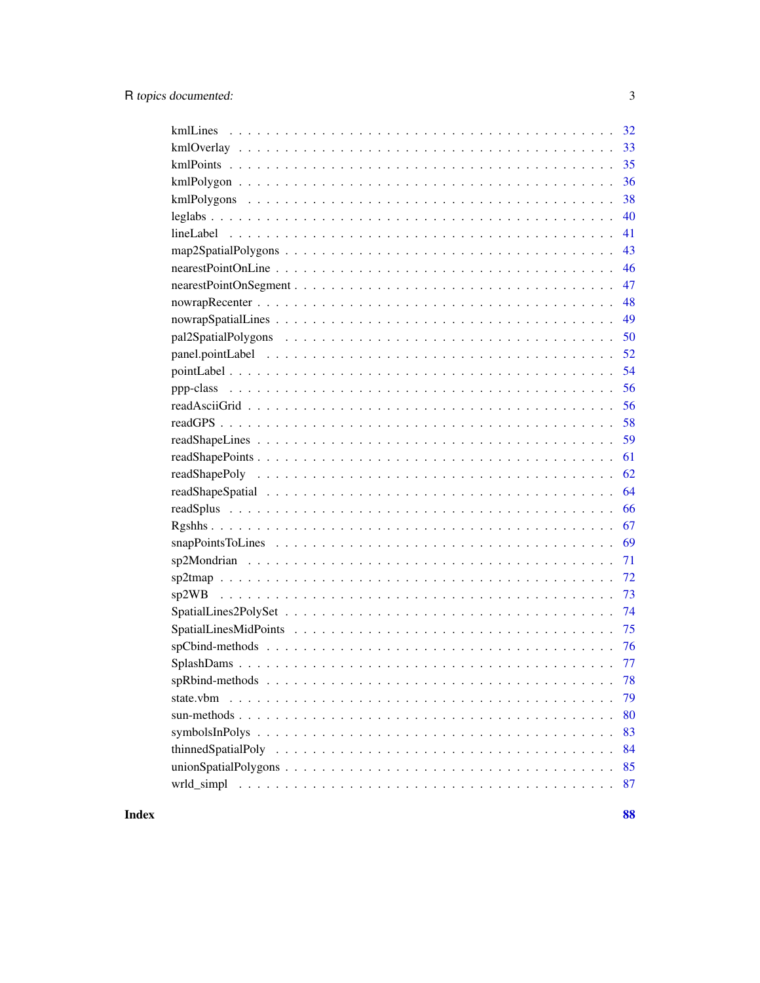| 35                                                                                                                      |
|-------------------------------------------------------------------------------------------------------------------------|
| 36                                                                                                                      |
| 38                                                                                                                      |
| 40                                                                                                                      |
| 41                                                                                                                      |
| 43                                                                                                                      |
| 46                                                                                                                      |
| 47                                                                                                                      |
| 48                                                                                                                      |
| 49                                                                                                                      |
| 50                                                                                                                      |
| 52                                                                                                                      |
| 54                                                                                                                      |
| 56                                                                                                                      |
| 56                                                                                                                      |
| 58                                                                                                                      |
| 59                                                                                                                      |
| 61                                                                                                                      |
| 62                                                                                                                      |
| 64                                                                                                                      |
| 66                                                                                                                      |
| 67                                                                                                                      |
| 69                                                                                                                      |
| 71                                                                                                                      |
|                                                                                                                         |
|                                                                                                                         |
| 74                                                                                                                      |
|                                                                                                                         |
|                                                                                                                         |
|                                                                                                                         |
| 78                                                                                                                      |
| 79<br>state.ybm                                                                                                         |
| 80                                                                                                                      |
| 83                                                                                                                      |
| 84                                                                                                                      |
| $unionSpatialPolygons \ldots \ldots \ldots \ldots \ldots \ldots \ldots \ldots \ldots \ldots \ldots \ldots \ldots$<br>85 |
| 87                                                                                                                      |

**Index**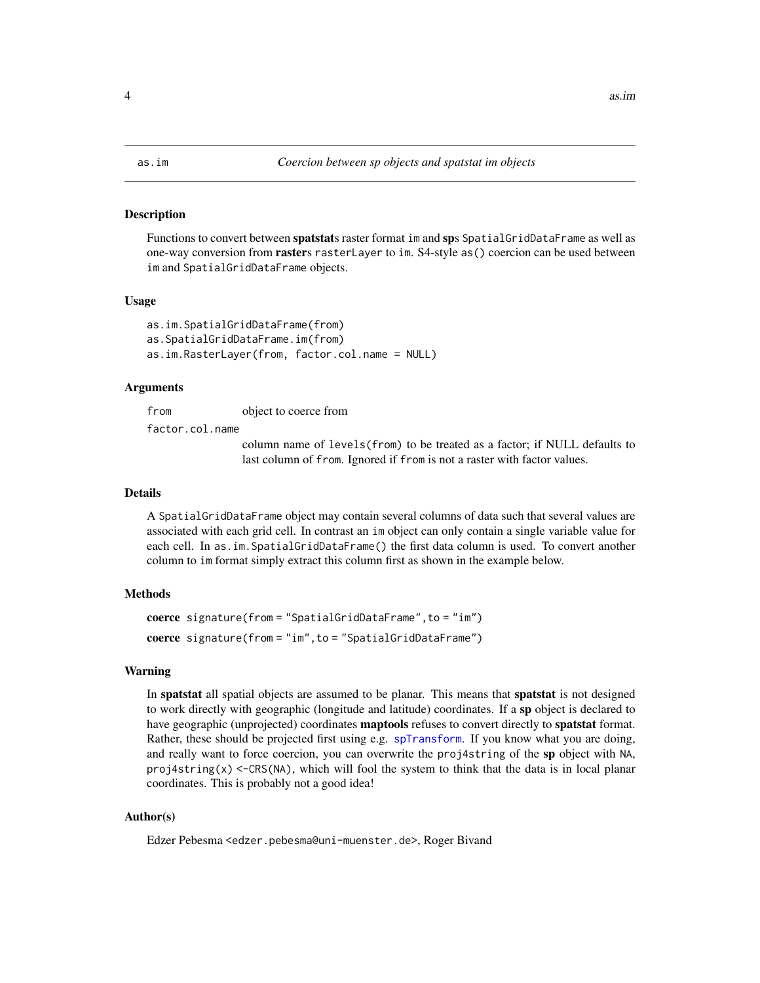<span id="page-3-0"></span>

Functions to convert between spatstats raster format im and sps SpatialGridDataFrame as well as one-way conversion from rasters rasterLayer to im. S4-style as() coercion can be used between im and SpatialGridDataFrame objects.

#### Usage

```
as.im.SpatialGridDataFrame(from)
as.SpatialGridDataFrame.im(from)
as.im.RasterLayer(from, factor.col.name = NULL)
```
#### Arguments

from object to coerce from

factor.col.name

column name of levels(from) to be treated as a factor; if NULL defaults to last column of from. Ignored if from is not a raster with factor values.

## Details

A SpatialGridDataFrame object may contain several columns of data such that several values are associated with each grid cell. In contrast an im object can only contain a single variable value for each cell. In as.im.SpatialGridDataFrame() the first data column is used. To convert another column to im format simply extract this column first as shown in the example below.

#### Methods

```
coerce signature(from = "SpatialGridDataFrame",to = "im")
coerce signature(from = "im",to = "SpatialGridDataFrame")
```
#### Warning

In **spatstat** all spatial objects are assumed to be planar. This means that **spatstat** is not designed to work directly with geographic (longitude and latitude) coordinates. If a sp object is declared to have geographic (unprojected) coordinates **maptools** refuses to convert directly to **spatstat** format. Rather, these should be projected first using e.g. [spTransform](#page-0-0). If you know what you are doing, and really want to force coercion, you can overwrite the proj4string of the sp object with NA, proj4string(x) <-CRS(NA), which will fool the system to think that the data is in local planar coordinates. This is probably not a good idea!

## Author(s)

Edzer Pebesma <edzer.pebesma@uni-muenster.de>, Roger Bivand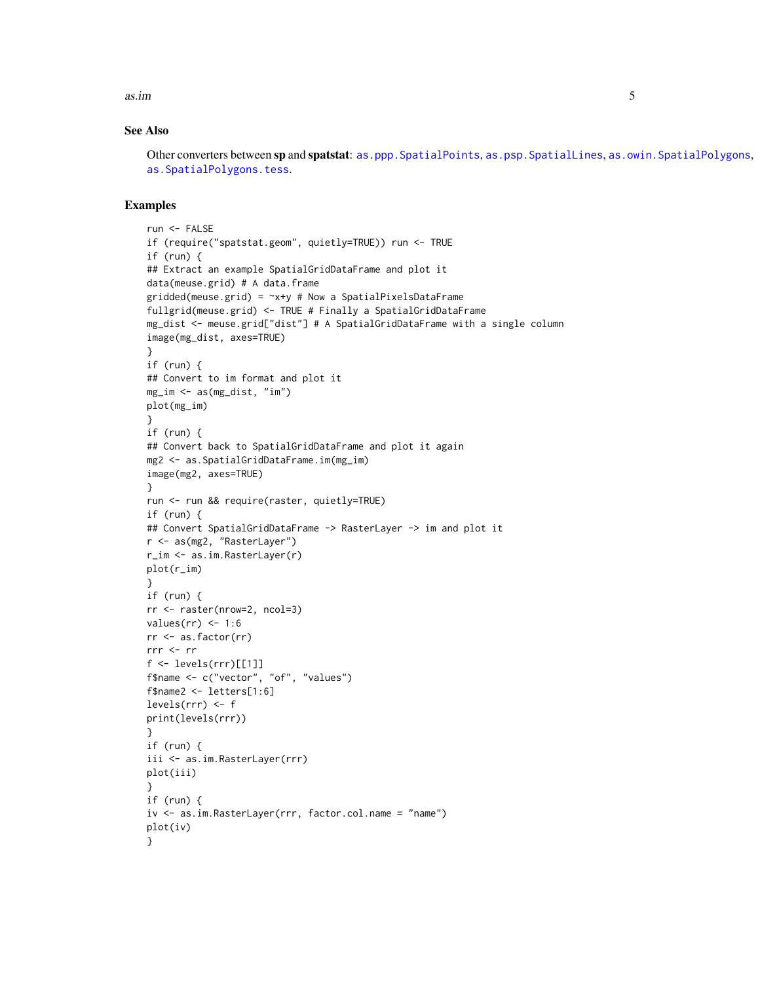$\sinh$  5

## See Also

Other converters between sp and spatstat: as.ppp. SpatialPoints, as.psp. SpatialLines, as.owin. SpatialPolygons, [as.SpatialPolygons.tess](#page-13-1).

```
run <- FALSE
if (require("spatstat.geom", quietly=TRUE)) run <- TRUE
if (run) {
## Extract an example SpatialGridDataFrame and plot it
data(meuse.grid) # A data.frame
gridded(meuse.grid) = -x+y # Now a SpatialPixelsDataFrame
fullgrid(meuse.grid) <- TRUE # Finally a SpatialGridDataFrame
mg_dist <- meuse.grid["dist"] # A SpatialGridDataFrame with a single column
image(mg_dist, axes=TRUE)
}
if (run) {
## Convert to im format and plot it
mg_im <- as(mg_dist, "im")
plot(mg_im)
}
if (run) {
## Convert back to SpatialGridDataFrame and plot it again
mg2 <- as.SpatialGridDataFrame.im(mg_im)
image(mg2, axes=TRUE)
}
run <- run && require(raster, quietly=TRUE)
if (run) {
## Convert SpatialGridDataFrame -> RasterLayer -> im and plot it
r <- as(mg2, "RasterLayer")
r_im <- as.im.RasterLayer(r)
plot(r_im)
}
if (run) {
rr <- raster(nrow=2, ncol=3)
values(rr) <- 1:6
rr <- as.factor(rr)
rrr <- rr
f \leftarrow \text{levels}(rrr)[[1]]f$name <- c("vector", "of", "values")
f$name2 <- letters[1:6]
levels(rrr) <- f
print(levels(rrr))
}
if (run) {
iii <- as.im.RasterLayer(rrr)
plot(iii)
}
if (run) {
iv <- as.im.RasterLayer(rrr, factor.col.name = "name")
plot(iv)
}
```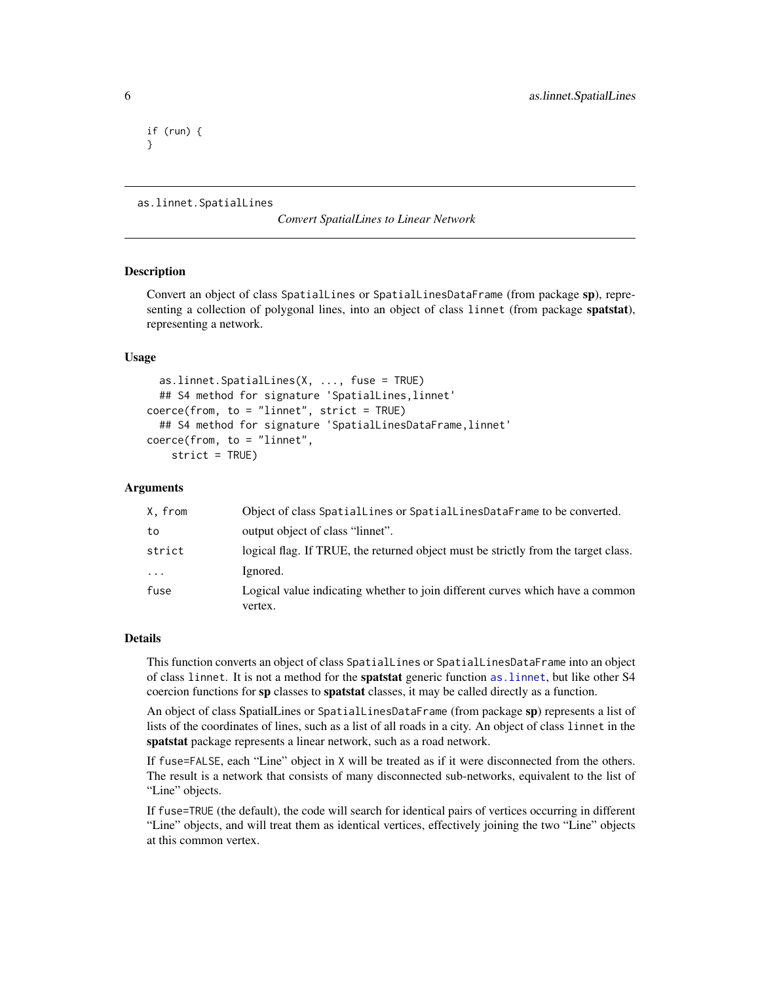<span id="page-5-0"></span>if (run) { }

```
as.linnet.SpatialLines
```
*Convert SpatialLines to Linear Network*

#### Description

Convert an object of class SpatialLines or SpatialLinesDataFrame (from package sp), representing a collection of polygonal lines, into an object of class linnet (from package spatstat), representing a network.

## Usage

```
as.linnet.SpatialLines(X, ..., fuse = TRUE)
  ## S4 method for signature 'SpatialLines,linnet'
coerce(from, to = "linnet", strict = TRUE)## S4 method for signature 'SpatialLinesDataFrame, linnet'
coerce(from, to = "linnet",
   strict = TRUE)
```
## Arguments

| X, from   | Object of class SpatialLines or SpatialLinesDataFrame to be converted.                   |
|-----------|------------------------------------------------------------------------------------------|
| to        | output object of class "linnet".                                                         |
| strict    | logical flag. If TRUE, the returned object must be strictly from the target class.       |
| $\ddotsc$ | Ignored.                                                                                 |
| fuse      | Logical value indicating whether to join different curves which have a common<br>vertex. |

### Details

This function converts an object of class SpatialLines or SpatialLinesDataFrame into an object of class linnet. It is not a method for the spatstat generic function [as.linnet](#page-0-0), but like other S4 coercion functions for sp classes to spatstat classes, it may be called directly as a function.

An object of class SpatialLines or SpatialLinesDataFrame (from package sp) represents a list of lists of the coordinates of lines, such as a list of all roads in a city. An object of class linnet in the spatstat package represents a linear network, such as a road network.

If fuse=FALSE, each "Line" object in X will be treated as if it were disconnected from the others. The result is a network that consists of many disconnected sub-networks, equivalent to the list of "Line" objects.

If fuse=TRUE (the default), the code will search for identical pairs of vertices occurring in different "Line" objects, and will treat them as identical vertices, effectively joining the two "Line" objects at this common vertex.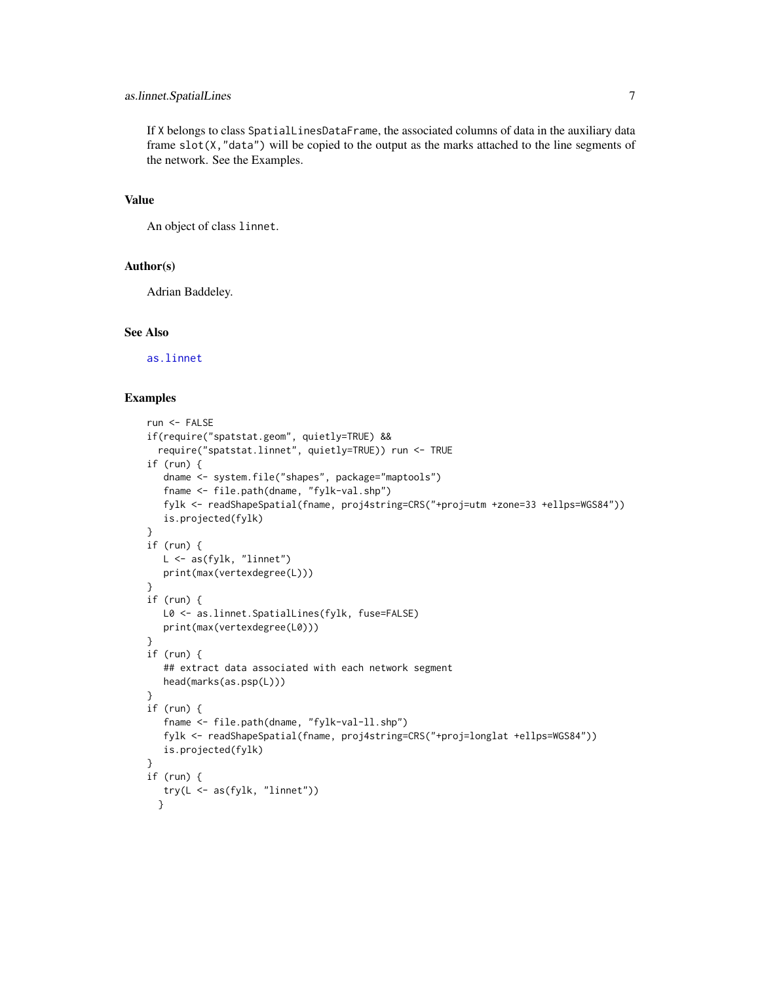## as.linnet.SpatialLines 7

If X belongs to class SpatialLinesDataFrame, the associated columns of data in the auxiliary data frame slot(X,"data") will be copied to the output as the marks attached to the line segments of the network. See the Examples.

#### Value

An object of class linnet.

## Author(s)

Adrian Baddeley.

#### See Also

[as.linnet](#page-0-0)

```
run <- FALSE
if(require("spatstat.geom", quietly=TRUE) &&
 require("spatstat.linnet", quietly=TRUE)) run <- TRUE
if (run) {
  dname <- system.file("shapes", package="maptools")
   fname <- file.path(dname, "fylk-val.shp")
   fylk <- readShapeSpatial(fname, proj4string=CRS("+proj=utm +zone=33 +ellps=WGS84"))
  is.projected(fylk)
}
if (run) {
  L <- as(fylk, "linnet")
  print(max(vertexdegree(L)))
}
if (run) {
  L0 <- as.linnet.SpatialLines(fylk, fuse=FALSE)
  print(max(vertexdegree(L0)))
}
if (run) {
   ## extract data associated with each network segment
  head(marks(as.psp(L)))
}
if (run) {
   fname <- file.path(dname, "fylk-val-ll.shp")
   fylk <- readShapeSpatial(fname, proj4string=CRS("+proj=longlat +ellps=WGS84"))
  is.projected(fylk)
}
if (run) {
   try(L <- as(fylk, "linnet"))
 }
```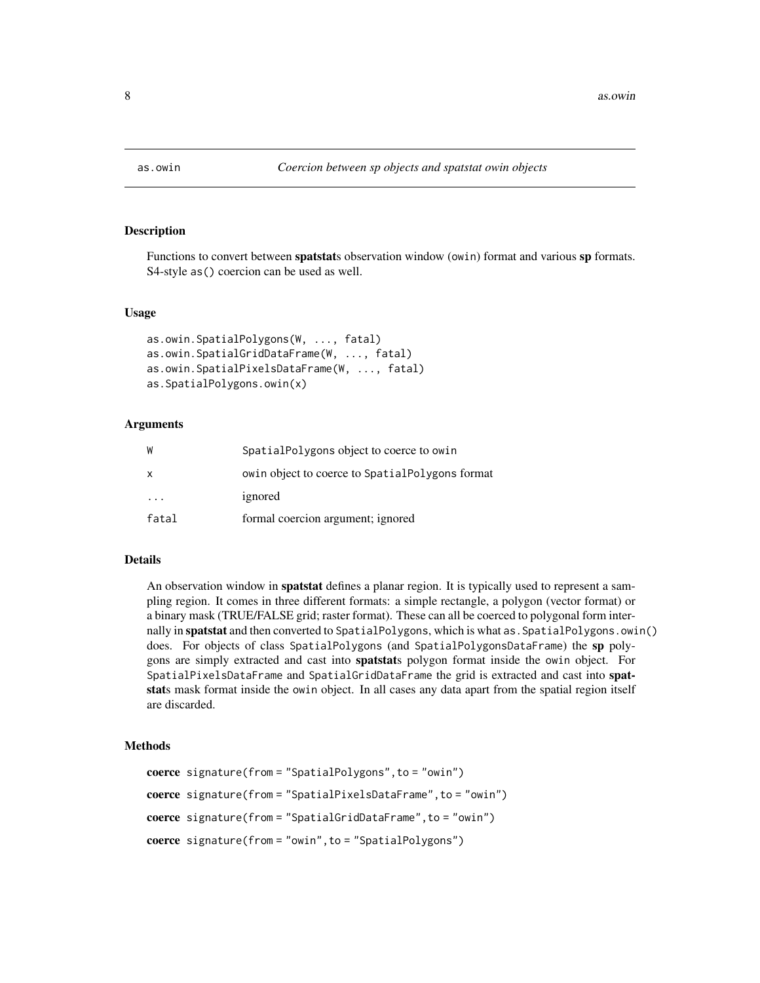<span id="page-7-1"></span><span id="page-7-0"></span>

Functions to convert between spatstats observation window (owin) format and various sp formats. S4-style as() coercion can be used as well.

#### Usage

```
as.owin.SpatialPolygons(W, ..., fatal)
as.owin.SpatialGridDataFrame(W, ..., fatal)
as.owin.SpatialPixelsDataFrame(W, ..., fatal)
as.SpatialPolygons.owin(x)
```
## Arguments

| W            | SpatialPolygons object to coerce to owin        |
|--------------|-------------------------------------------------|
| $\mathsf{x}$ | owin object to coerce to SpatialPolygons format |
|              | ignored                                         |
| fatal        | formal coercion argument; ignored               |

## Details

An observation window in spatstat defines a planar region. It is typically used to represent a sampling region. It comes in three different formats: a simple rectangle, a polygon (vector format) or a binary mask (TRUE/FALSE grid; raster format). These can all be coerced to polygonal form internally in spatstat and then converted to SpatialPolygons, which is what as. SpatialPolygons.owin() does. For objects of class SpatialPolygons (and SpatialPolygonsDataFrame) the sp polygons are simply extracted and cast into spatstats polygon format inside the owin object. For SpatialPixelsDataFrame and SpatialGridDataFrame the grid is extracted and cast into spatstats mask format inside the owin object. In all cases any data apart from the spatial region itself are discarded.

#### Methods

```
coerce signature(from = "SpatialPolygons",to = "owin")
coerce signature(from = "SpatialPixelsDataFrame",to = "owin")
coerce signature(from = "SpatialGridDataFrame", to = "owin")
coerce signature(from = "owin", to = "SpatialPolygons")
```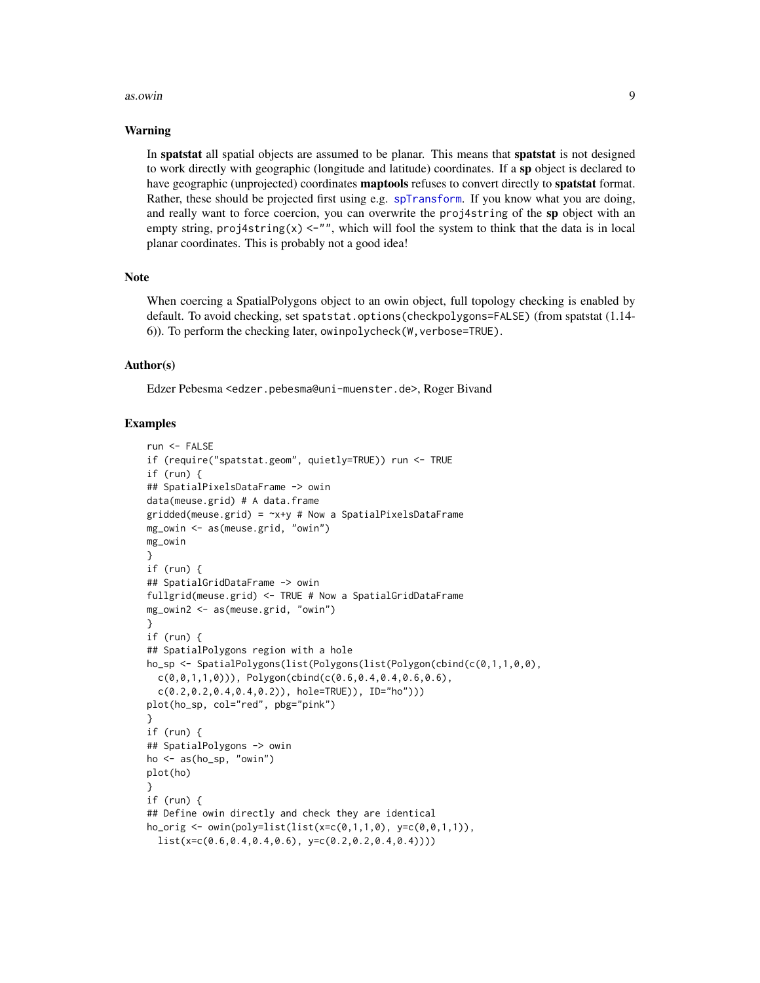#### as.owin 9

#### Warning

In spatstat all spatial objects are assumed to be planar. This means that spatstat is not designed to work directly with geographic (longitude and latitude) coordinates. If a sp object is declared to have geographic (unprojected) coordinates maptools refuses to convert directly to spatstat format. Rather, these should be projected first using e.g. [spTransform](#page-0-0). If you know what you are doing, and really want to force coercion, you can overwrite the proj4string of the sp object with an empty string,  $proj4string(x) < -1$ , which will fool the system to think that the data is in local planar coordinates. This is probably not a good idea!

#### Note

When coercing a SpatialPolygons object to an owin object, full topology checking is enabled by default. To avoid checking, set spatstat.options(checkpolygons=FALSE) (from spatstat (1.14- 6)). To perform the checking later, owinpolycheck(W,verbose=TRUE).

#### Author(s)

Edzer Pebesma <edzer.pebesma@uni-muenster.de>, Roger Bivand

```
run <- FALSE
if (require("spatstat.geom", quietly=TRUE)) run <- TRUE
if (run) {
## SpatialPixelsDataFrame -> owin
data(meuse.grid) # A data.frame
gridded(meuse.grid) = -x+y # Now a SpatialPixelsDataFrame
mg_owin <- as(meuse.grid, "owin")
mg_owin
}
if (run) {
## SpatialGridDataFrame -> owin
fullgrid(meuse.grid) <- TRUE # Now a SpatialGridDataFrame
mg_owin2 <- as(meuse.grid, "owin")
}
if (run) {
## SpatialPolygons region with a hole
ho_sp <- SpatialPolygons(list(Polygons(list(Polygon(cbind(c(0,1,1,0,0),
  c(\emptyset, \emptyset, 1, 1, \emptyset)), Polygon(cbind(c(0.6,0.4,0.4,0.6,0.6),
  c(0.2, 0.2, 0.4, 0.4, 0.2)), hole=TRUE)), ID="ho")))
plot(ho_sp, col="red", pbg="pink")
}
if (run) {
## SpatialPolygons -> owin
ho \leq as(ho_sp, "owin")
plot(ho)
}
if (run) {
## Define owin directly and check they are identical
ho\_orig \leftarrow own(poly=list(list(x=c(0,1,1,0), y=c(0,0,1,1)),list(x=c(0.6, 0.4, 0.4, 0.6), y=c(0.2, 0.2, 0.4, 0.4))))
```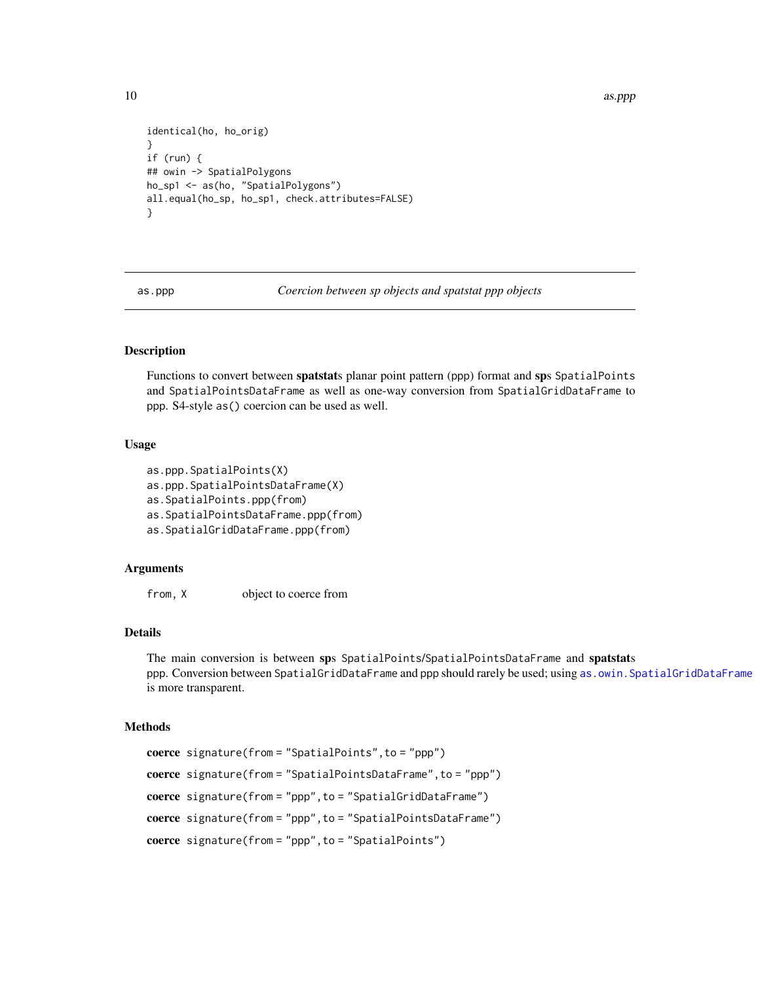<span id="page-9-0"></span>10 as.ppp and the set of the set of the set of the set of the set of the set of the set of the set of the set of the set of the set of the set of the set of the set of the set of the set of the set of the set of the set of

```
identical(ho, ho_orig)
}
if (run) {
## owin -> SpatialPolygons
ho_sp1 <- as(ho, "SpatialPolygons")
all.equal(ho_sp, ho_sp1, check.attributes=FALSE)
}
```
as.ppp *Coercion between sp objects and spatstat ppp objects*

## <span id="page-9-1"></span>Description

Functions to convert between spatstats planar point pattern (ppp) format and sps SpatialPoints and SpatialPointsDataFrame as well as one-way conversion from SpatialGridDataFrame to ppp. S4-style as() coercion can be used as well.

#### Usage

```
as.ppp.SpatialPoints(X)
as.ppp.SpatialPointsDataFrame(X)
as.SpatialPoints.ppp(from)
as.SpatialPointsDataFrame.ppp(from)
as.SpatialGridDataFrame.ppp(from)
```
#### Arguments

from, X object to coerce from

## Details

The main conversion is between sps SpatialPoints/SpatialPointsDataFrame and spatstats ppp. Conversion between SpatialGridDataFrame and ppp should rarely be used; using [as.owin.SpatialGridDataFrame](#page-7-1) is more transparent.

#### Methods

```
coerce signature(from = "SpatialPoints",to = "ppp")
coerce signature(from = "SpatialPointsDataFrame",to = "ppp")
coerce signature(from = "ppp",to = "SpatialGridDataFrame")
coerce signature(from = "ppp",to = "SpatialPointsDataFrame")
coerce signature(from = "ppp",to = "SpatialPoints")
```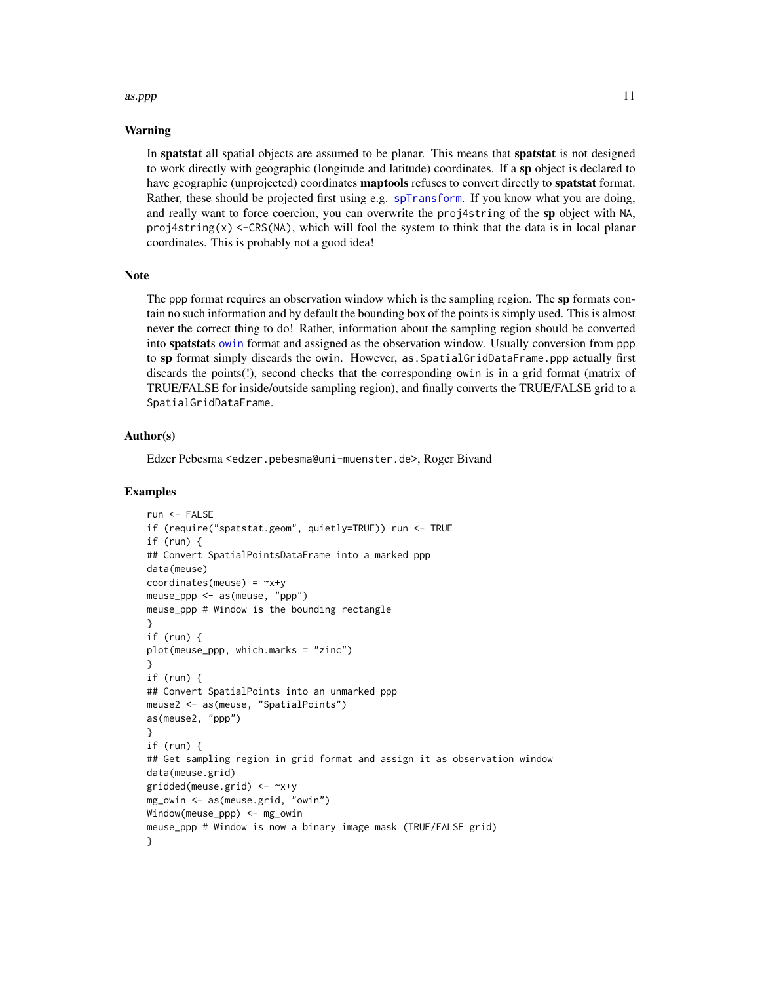#### $\alpha$ s.ppp 11

#### Warning

In spatstat all spatial objects are assumed to be planar. This means that spatstat is not designed to work directly with geographic (longitude and latitude) coordinates. If a sp object is declared to have geographic (unprojected) coordinates **maptools** refuses to convert directly to **spatstat** format. Rather, these should be projected first using e.g. [spTransform](#page-0-0). If you know what you are doing, and really want to force coercion, you can overwrite the proj4string of the sp object with NA, proj4string(x)  $\leq$ -CRS(NA), which will fool the system to think that the data is in local planar coordinates. This is probably not a good idea!

## **Note**

The ppp format requires an observation window which is the sampling region. The sp formats contain no such information and by default the bounding box of the points is simply used. This is almost never the correct thing to do! Rather, information about the sampling region should be converted into **spatstats** [owin](#page-0-0) format and assigned as the observation window. Usually conversion from ppp to sp format simply discards the owin. However, as SpatialGridDataFrame.ppp actually first discards the points(!), second checks that the corresponding owin is in a grid format (matrix of TRUE/FALSE for inside/outside sampling region), and finally converts the TRUE/FALSE grid to a SpatialGridDataFrame.

## Author(s)

Edzer Pebesma <edzer.pebesma@uni-muenster.de>, Roger Bivand

```
run <- FALSE
if (require("spatstat.geom", quietly=TRUE)) run <- TRUE
if (run) {
## Convert SpatialPointsDataFrame into a marked ppp
data(meuse)
coordinates(meuse) = -x+ymeuse_ppp <- as(meuse, "ppp")
meuse_ppp # Window is the bounding rectangle
}
if (run) {
plot(meuse_ppp, which.marks = "zinc")
}
if (run) {
## Convert SpatialPoints into an unmarked ppp
meuse2 <- as(meuse, "SpatialPoints")
as(meuse2, "ppp")
}
if (run) {
## Get sampling region in grid format and assign it as observation window
data(meuse.grid)
gridded(meuse.grid) <- ~x+y
mg_owin <- as(meuse.grid, "owin")
Window(meuse_ppp) <- mg_owin
meuse_ppp # Window is now a binary image mask (TRUE/FALSE grid)
}
```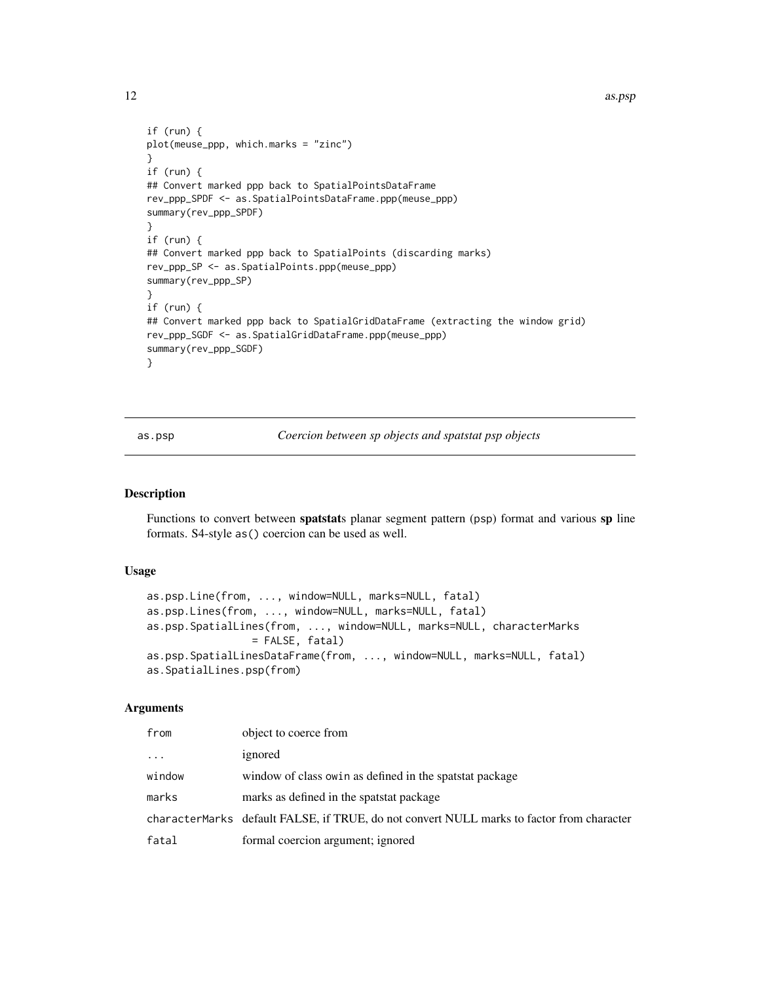<span id="page-11-0"></span>12 as.psp

```
if (run) {
plot(meuse_ppp, which.marks = "zinc")
}
if (run) {
## Convert marked ppp back to SpatialPointsDataFrame
rev_ppp_SPDF <- as.SpatialPointsDataFrame.ppp(meuse_ppp)
summary(rev_ppp_SPDF)
}
if (run) {
## Convert marked ppp back to SpatialPoints (discarding marks)
rev_ppp_SP <- as.SpatialPoints.ppp(meuse_ppp)
summary(rev_ppp_SP)
}
if (run) {
## Convert marked ppp back to SpatialGridDataFrame (extracting the window grid)
rev_ppp_SGDF <- as.SpatialGridDataFrame.ppp(meuse_ppp)
summary(rev_ppp_SGDF)
}
```
as.psp *Coercion between sp objects and spatstat psp objects*

#### <span id="page-11-1"></span>Description

Functions to convert between spatstats planar segment pattern (psp) format and various sp line formats. S4-style as() coercion can be used as well.

#### Usage

```
as.psp.Line(from, ..., window=NULL, marks=NULL, fatal)
as.psp.Lines(from, ..., window=NULL, marks=NULL, fatal)
as.psp.SpatialLines(from, ..., window=NULL, marks=NULL, characterMarks
                 = FALSE, fatal)
as.psp.SpatialLinesDataFrame(from, ..., window=NULL, marks=NULL, fatal)
as.SpatialLines.psp(from)
```
#### Arguments

| from     | object to coerce from                                                                     |
|----------|-------------------------------------------------------------------------------------------|
| $\cdots$ | ignored                                                                                   |
| window   | window of class owin as defined in the spatstat package                                   |
| marks    | marks as defined in the spatstat package                                                  |
|          | characterMarks default FALSE, if TRUE, do not convert NULL marks to factor from character |
| fatal    | formal coercion argument; ignored                                                         |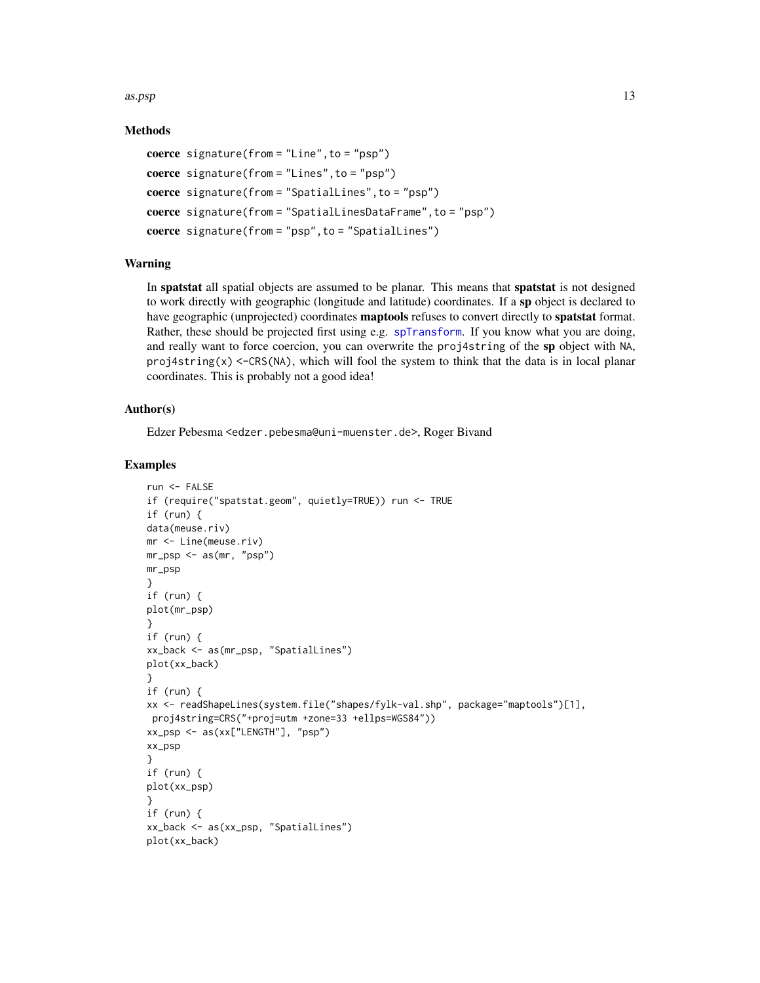$\alpha$ s.psp 13

## Methods

```
coerce signature(from = "Line",to = "psp")
coerce signature(from = "Lines",to = "psp")
coerce signature(from = "SpatialLines",to = "psp")
coerce signature(from = "SpatialLinesDataFrame",to = "psp")
coerce signature(from = "psp",to = "SpatialLines")
```
## Warning

In spatstat all spatial objects are assumed to be planar. This means that spatstat is not designed to work directly with geographic (longitude and latitude) coordinates. If a sp object is declared to have geographic (unprojected) coordinates **maptools** refuses to convert directly to **spatstat** format. Rather, these should be projected first using e.g. [spTransform](#page-0-0). If you know what you are doing, and really want to force coercion, you can overwrite the proj4string of the sp object with NA, proj4string(x) <-CRS(NA), which will fool the system to think that the data is in local planar coordinates. This is probably not a good idea!

## Author(s)

Edzer Pebesma <edzer.pebesma@uni-muenster.de>, Roger Bivand

```
run <- FALSE
if (require("spatstat.geom", quietly=TRUE)) run <- TRUE
if (run) {
data(meuse.riv)
mr <- Line(meuse.riv)
mr_psp <- as(mr, "psp")
mr_psp
}
if (run) {
plot(mr_psp)
}
if (run) {
xx_back <- as(mr_psp, "SpatialLines")
plot(xx_back)
}
if (run) {
xx <- readShapeLines(system.file("shapes/fylk-val.shp", package="maptools")[1],
proj4string=CRS("+proj=utm +zone=33 +ellps=WGS84"))
xx_psp <- as(xx["LENGTH"], "psp")
xx_psp
}
if (run) {
plot(xx_psp)
}
if (run) {
xx_back <- as(xx_psp, "SpatialLines")
plot(xx_back)
```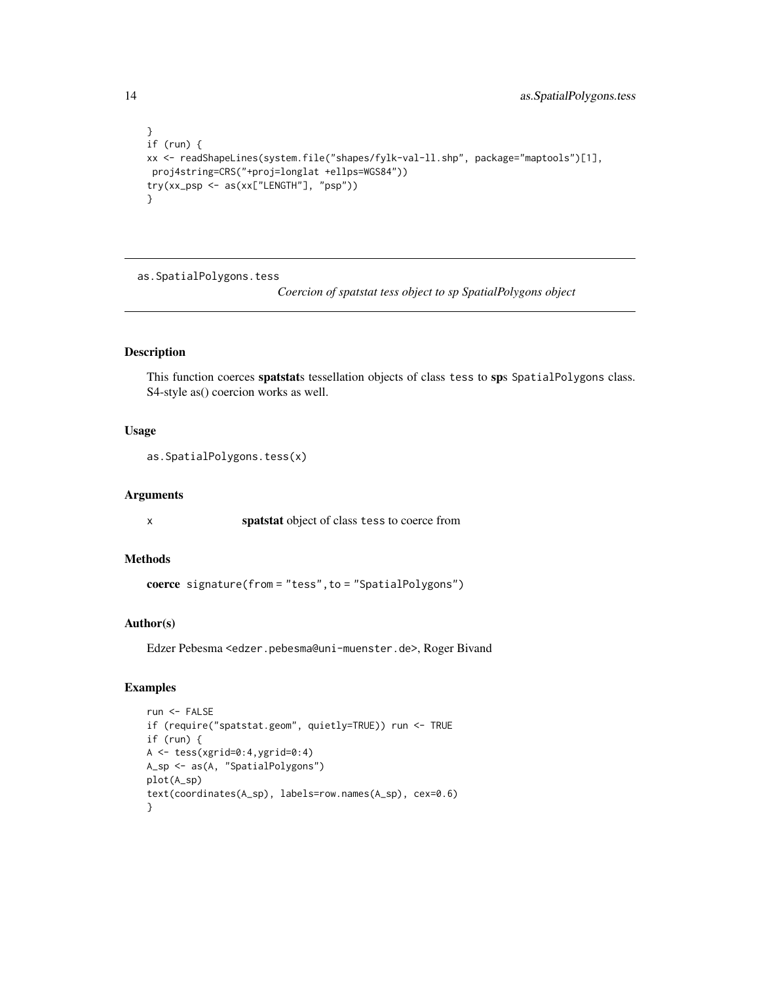```
}
if (run) {
xx <- readShapeLines(system.file("shapes/fylk-val-ll.shp", package="maptools")[1],
proj4string=CRS("+proj=longlat +ellps=WGS84"))
try(xx_psp <- as(xx["LENGTH"], "psp"))
}
```
<span id="page-13-1"></span>as.SpatialPolygons.tess

*Coercion of spatstat tess object to sp SpatialPolygons object*

## Description

This function coerces spatstats tessellation objects of class tess to sps SpatialPolygons class. S4-style as() coercion works as well.

## Usage

```
as.SpatialPolygons.tess(x)
```
#### Arguments

x spatstat object of class tess to coerce from

## Methods

coerce signature(from = "tess", to = "SpatialPolygons")

## Author(s)

Edzer Pebesma <edzer.pebesma@uni-muenster.de>, Roger Bivand

```
run <- FALSE
if (require("spatstat.geom", quietly=TRUE)) run <- TRUE
if (run) {
A <- tess(xgrid=0:4,ygrid=0:4)
A_sp <- as(A, "SpatialPolygons")
plot(A_sp)
text(coordinates(A_sp), labels=row.names(A_sp), cex=0.6)
}
```
<span id="page-13-0"></span>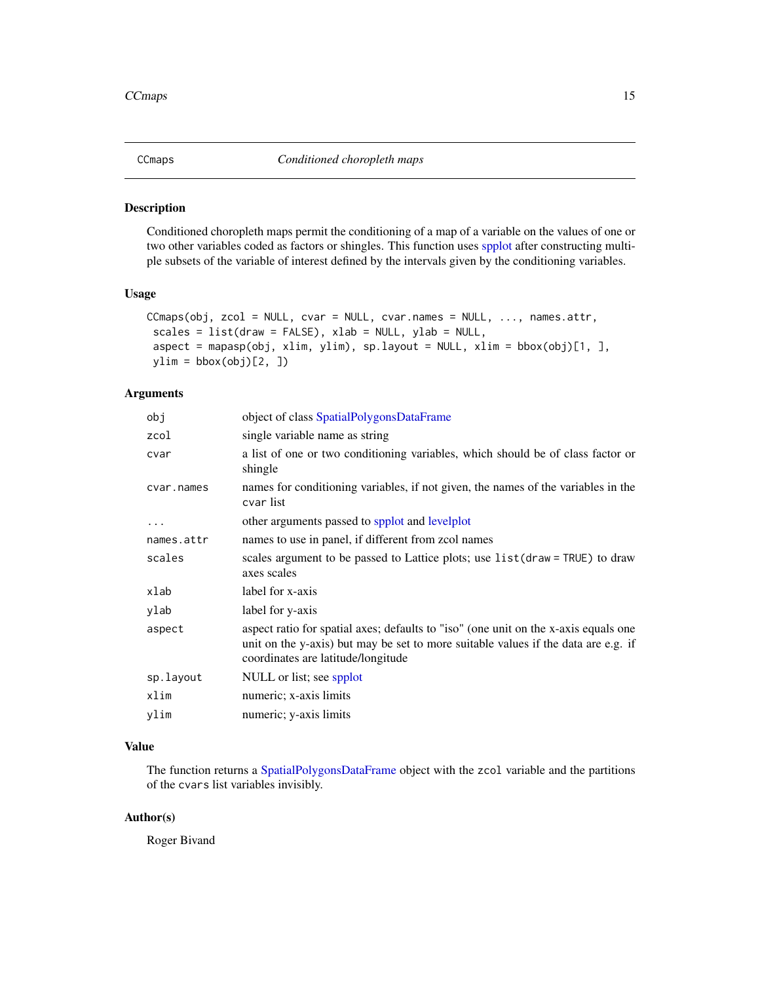<span id="page-14-0"></span>

Conditioned choropleth maps permit the conditioning of a map of a variable on the values of one or two other variables coded as factors or shingles. This function uses [spplot](#page-0-0) after constructing multiple subsets of the variable of interest defined by the intervals given by the conditioning variables.

## Usage

```
CCmaps(obj, zcol = NULL, cvar = NULL, cvar.names = NULL, ..., names.attr,
scales = list(draw = FALSE), xlab = NULL, ylab = NULL,aspect = mapasp(obj, xlim, ylim), sp.layout = NULL, xlim = bbox(obj)[1, ],
ylim = bbox(obj)[2, ])
```
### Arguments

| object of class SpatialPolygonsDataFrame                                                                                                                                                                        |
|-----------------------------------------------------------------------------------------------------------------------------------------------------------------------------------------------------------------|
| single variable name as string                                                                                                                                                                                  |
| a list of one or two conditioning variables, which should be of class factor or<br>shingle                                                                                                                      |
| names for conditioning variables, if not given, the names of the variables in the<br>cvar list                                                                                                                  |
| other arguments passed to spplot and levelplot                                                                                                                                                                  |
| names to use in panel, if different from zcol names                                                                                                                                                             |
| scales argument to be passed to Lattice plots; use list (draw = TRUE) to draw<br>axes scales                                                                                                                    |
| label for x-axis                                                                                                                                                                                                |
| label for y-axis                                                                                                                                                                                                |
| aspect ratio for spatial axes; defaults to "iso" (one unit on the x-axis equals one<br>unit on the y-axis) but may be set to more suitable values if the data are e.g. if<br>coordinates are latitude/longitude |
| NULL or list; see spplot                                                                                                                                                                                        |
| numeric; x-axis limits                                                                                                                                                                                          |
| numeric; y-axis limits                                                                                                                                                                                          |
|                                                                                                                                                                                                                 |

## Value

The function returns a [SpatialPolygonsDataFrame](#page-0-0) object with the zcol variable and the partitions of the cvars list variables invisibly.

## Author(s)

Roger Bivand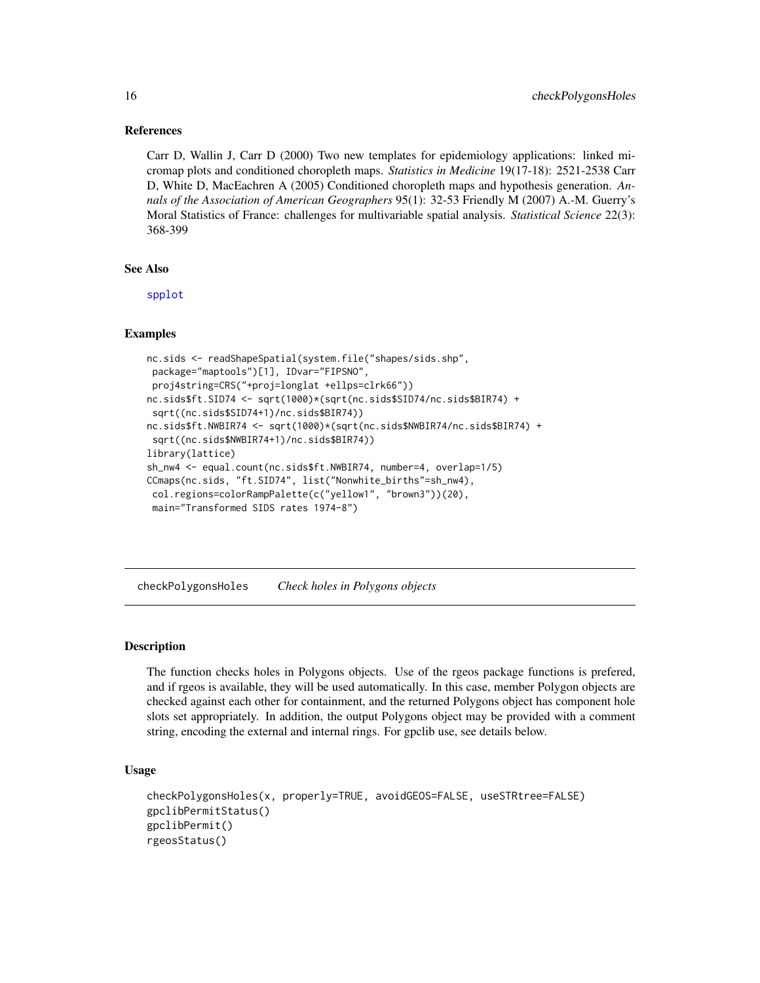#### References

Carr D, Wallin J, Carr D (2000) Two new templates for epidemiology applications: linked micromap plots and conditioned choropleth maps. *Statistics in Medicine* 19(17-18): 2521-2538 Carr D, White D, MacEachren A (2005) Conditioned choropleth maps and hypothesis generation. *Annals of the Association of American Geographers* 95(1): 32-53 Friendly M (2007) A.-M. Guerry's Moral Statistics of France: challenges for multivariable spatial analysis. *Statistical Science* 22(3): 368-399

#### See Also

[spplot](#page-0-0)

#### Examples

```
nc.sids <- readShapeSpatial(system.file("shapes/sids.shp",
package="maptools")[1], IDvar="FIPSNO",
proj4string=CRS("+proj=longlat +ellps=clrk66"))
nc.sids$ft.SID74 <- sqrt(1000)*(sqrt(nc.sids$SID74/nc.sids$BIR74) +
sqrt((nc.sids$SID74+1)/nc.sids$BIR74))
nc.sids$ft.NWBIR74 <- sqrt(1000)*(sqrt(nc.sids$NWBIR74/nc.sids$BIR74) +
sqrt((nc.sids$NWBIR74+1)/nc.sids$BIR74))
library(lattice)
sh_nw4 <- equal.count(nc.sids$ft.NWBIR74, number=4, overlap=1/5)
CCmaps(nc.sids, "ft.SID74", list("Nonwhite_births"=sh_nw4),
col.regions=colorRampPalette(c("yellow1", "brown3"))(20),
 main="Transformed SIDS rates 1974-8")
```
checkPolygonsHoles *Check holes in Polygons objects*

## Description

The function checks holes in Polygons objects. Use of the rgeos package functions is prefered, and if rgeos is available, they will be used automatically. In this case, member Polygon objects are checked against each other for containment, and the returned Polygons object has component hole slots set appropriately. In addition, the output Polygons object may be provided with a comment string, encoding the external and internal rings. For gpclib use, see details below.

#### Usage

```
checkPolygonsHoles(x, properly=TRUE, avoidGEOS=FALSE, useSTRtree=FALSE)
gpclibPermitStatus()
gpclibPermit()
rgeosStatus()
```
<span id="page-15-0"></span>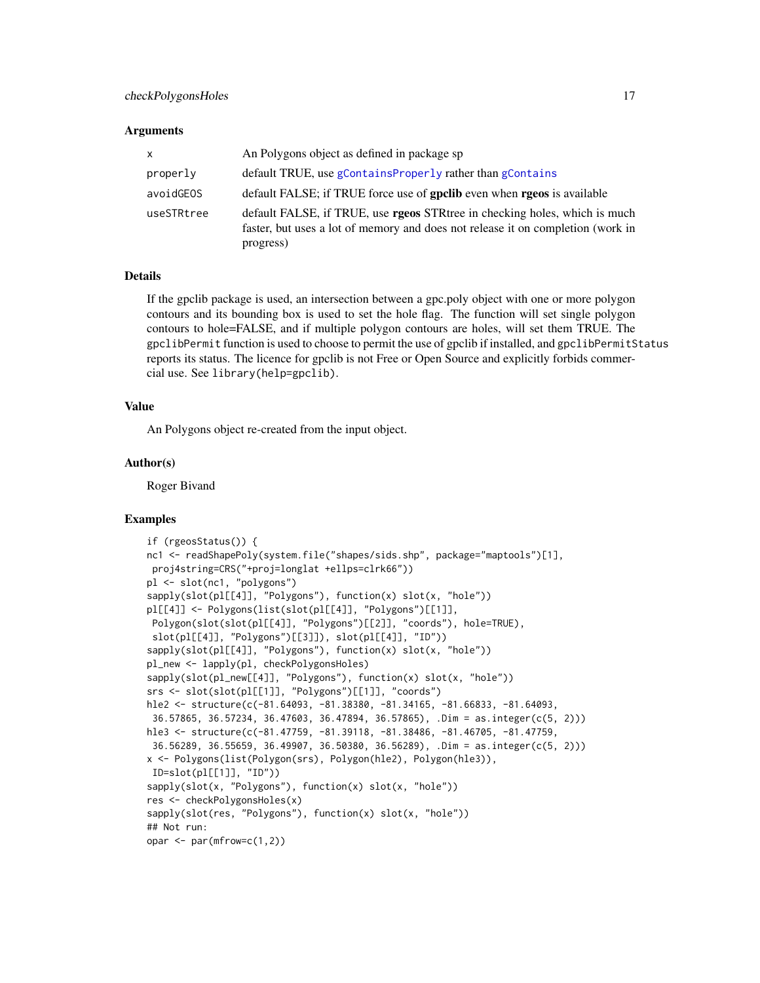#### **Arguments**

| $\mathsf{x}$ | An Polygons object as defined in package sp                                                                                                                                        |
|--------------|------------------------------------------------------------------------------------------------------------------------------------------------------------------------------------|
| properly     | default TRUE, use gContainsProperly rather than gContains                                                                                                                          |
| avoidGEOS    | default FALSE; if TRUE force use of goclib even when rgeos is available                                                                                                            |
| useSTRtree   | default FALSE, if TRUE, use <b>rgeos</b> STR tree in checking holes, which is much<br>faster, but uses a lot of memory and does not release it on completion (work in<br>progress) |

## **Details**

If the gpclib package is used, an intersection between a gpc.poly object with one or more polygon contours and its bounding box is used to set the hole flag. The function will set single polygon contours to hole=FALSE, and if multiple polygon contours are holes, will set them TRUE. The gpclibPermit function is used to choose to permit the use of gpclib if installed, and gpclibPermitStatus reports its status. The licence for gpclib is not Free or Open Source and explicitly forbids commercial use. See library(help=gpclib).

#### Value

An Polygons object re-created from the input object.

#### Author(s)

Roger Bivand

```
if (rgeosStatus()) {
nc1 <- readShapePoly(system.file("shapes/sids.shp", package="maptools")[1],
proj4string=CRS("+proj=longlat +ellps=clrk66"))
pl <- slot(nc1, "polygons")
sapply(slot(pl[[4]], "Polygons"), function(x) slot(x, "hole"))
pl[[4]] <- Polygons(list(slot(pl[[4]], "Polygons")[[1]],
Polygon(slot(slot(pl[[4]], "Polygons")[[2]], "coords"), hole=TRUE),
 slot(pl[[4]], "Polygons")[[3]]), slot(pl[[4]], "ID"))
sapply(slot(pl[[4]], "Polygons"), function(x) slot(x, "hole"))
pl_new <- lapply(pl, checkPolygonsHoles)
sapply(slot(pl_new[[4]], "Polygons"), function(x) slot(x, "hole"))
srs <- slot(slot(pl[[1]], "Polygons")[[1]], "coords")
hle2 <- structure(c(-81.64093, -81.38380, -81.34165, -81.66833, -81.64093,
36.57865, 36.57234, 36.47603, 36.47894, 36.57865), .Dim = as.integer(c(5, 2)))
hle3 <- structure(c(-81.47759, -81.39118, -81.38486, -81.46705, -81.47759,
 36.56289, 36.55659, 36.49907, 36.50380, 36.56289), .Dim = as.integer(c(5, 2)))
x <- Polygons(list(Polygon(srs), Polygon(hle2), Polygon(hle3)),
 ID=slot(pl[[1]], "ID"))
sapply(slot(x, "Polygons"), function(x) slot(x, "hole"))
res <- checkPolygonsHoles(x)
sapply(slot(res, "Polygons"), function(x) slot(x, "hole"))
## Not run:
opar \leq par(mfrow=c(1,2))
```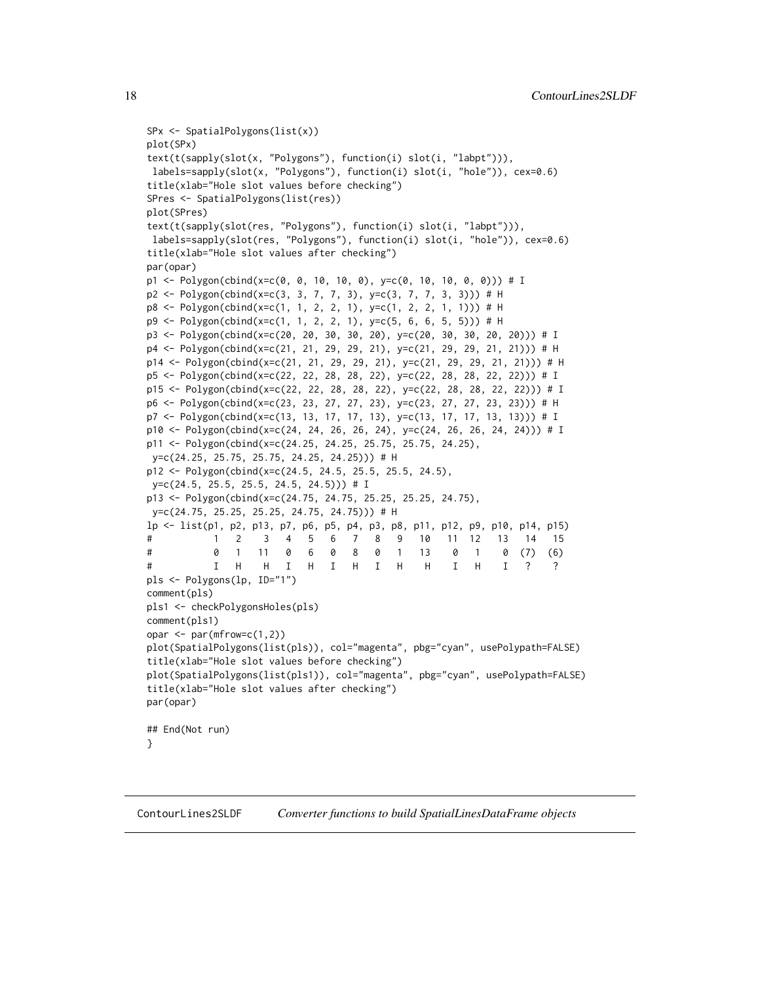```
SPx <- SpatialPolygons(list(x))
plot(SPx)
text(t(sapply(slot(x, "Polygons"), function(i) slot(i, "labpt"))),
labels=sapply(slot(x, "Polygons"), function(i) slot(i, "hole")), cex=0.6)
title(xlab="Hole slot values before checking")
SPres <- SpatialPolygons(list(res))
plot(SPres)
text(t(sapply(slot(res, "Polygons"), function(i) slot(i, "labpt"))),
labels=sapply(slot(res, "Polygons"), function(i) slot(i, "hole")), cex=0.6)
title(xlab="Hole slot values after checking")
par(opar)
p1 <- Polygon(cbind(x=c(0, 0, 10, 10, 0), y=c(0, 10, 10, 0, 0))) # I
p2 <- Polygon(cbind(x=c(3, 3, 7, 7, 3), y=c(3, 7, 7, 3, 3))) # H
p8 <- Polygon(cbind(x=c(1, 1, 2, 2, 1), y=c(1, 2, 2, 1, 1))) # H
p9 <- Polygon(cbind(x=c(1, 1, 2, 2, 1), y=c(5, 6, 6, 5, 5))) # H
p3 <- Polygon(cbind(x=c(20, 20, 30, 30, 20), y=c(20, 30, 30, 20, 20))) # I
p4 <- Polygon(cbind(x=c(21, 21, 29, 29, 21), y=c(21, 29, 29, 21, 21))) # H
p14 <- Polygon(cbind(x=c(21, 21, 29, 29, 21), y=c(21, 29, 29, 21, 21))) # H
p5 <- Polygon(cbind(x=c(22, 22, 28, 28, 22), y=c(22, 28, 28, 22, 22))) # I
p15 <- Polygon(cbind(x=c(22, 22, 28, 28, 22), y=c(22, 28, 28, 22, 22))) # I
p6 <- Polygon(cbind(x=c(23, 23, 27, 27, 23), y=c(23, 27, 27, 23, 23))) # H
p7 <- Polygon(cbind(x=c(13, 13, 17, 17, 13), y=c(13, 17, 17, 13, 13))) # I
p10 <- Polygon(cbind(x=c(24, 24, 26, 26, 24), y=c(24, 26, 26, 24, 24))) # I
p11 <- Polygon(cbind(x=c(24.25, 24.25, 25.75, 25.75, 24.25),
y=c(24.25, 25.75, 25.75, 24.25, 24.25))) # H
p12 <- Polygon(cbind(x=c(24.5, 24.5, 25.5, 25.5, 24.5),
y=c(24.5, 25.5, 25.5, 24.5, 24.5))) # I
p13 <- Polygon(cbind(x=c(24.75, 24.75, 25.25, 25.25, 24.75),
y=c(24.75, 25.25, 25.25, 24.75, 24.75))) # H
lp <- list(p1, p2, p13, p7, p6, p5, p4, p3, p8, p11, p12, p9, p10, p14, p15)
# 1 2 3 4 5 6 7 8 9 10 11 12 13 14 15
# 0 1 11 0 6 0 8 0 1 13 0 1 0 (7) (6)
# I H H I H I H I H H I H I ? ?
pls <- Polygons(lp, ID="1")
comment(pls)
pls1 <- checkPolygonsHoles(pls)
comment(pls1)
opar \leq par(mfrow=c(1,2))
plot(SpatialPolygons(list(pls)), col="magenta", pbg="cyan", usePolypath=FALSE)
title(xlab="Hole slot values before checking")
plot(SpatialPolygons(list(pls1)), col="magenta", pbg="cyan", usePolypath=FALSE)
title(xlab="Hole slot values after checking")
par(opar)
## End(Not run)
}
```
ContourLines2SLDF *Converter functions to build SpatialLinesDataFrame objects*

<span id="page-17-0"></span>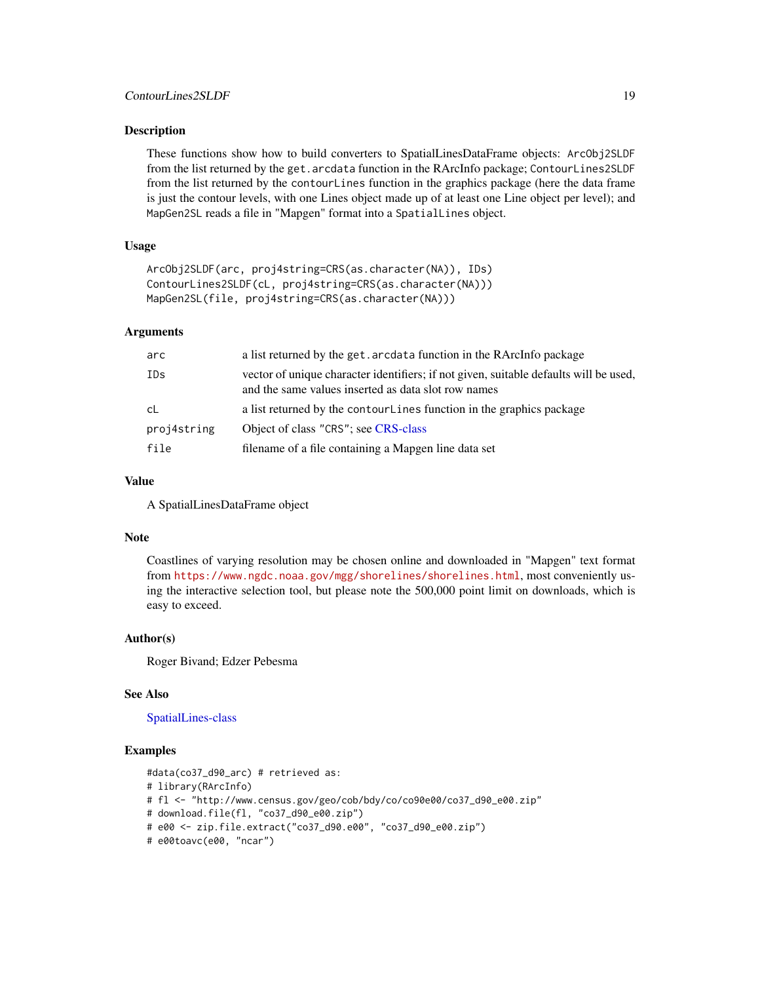These functions show how to build converters to SpatialLinesDataFrame objects: ArcObj2SLDF from the list returned by the get.arcdata function in the RArcInfo package; ContourLines2SLDF from the list returned by the contourLines function in the graphics package (here the data frame is just the contour levels, with one Lines object made up of at least one Line object per level); and MapGen2SL reads a file in "Mapgen" format into a SpatialLines object.

## Usage

```
ArcObj2SLDF(arc, proj4string=CRS(as.character(NA)), IDs)
ContourLines2SLDF(cL, proj4string=CRS(as.character(NA)))
MapGen2SL(file, proj4string=CRS(as.character(NA)))
```
## Arguments

| arc         | a list returned by the get. arcdata function in the RArcInfo package                                                                         |  |
|-------------|----------------------------------------------------------------------------------------------------------------------------------------------|--|
| IDs         | vector of unique character identifiers; if not given, suitable defaults will be used,<br>and the same values inserted as data slot row names |  |
| -cL         | a list returned by the contour Lines function in the graphics package                                                                        |  |
| proj4string | Object of class "CRS"; see CRS-class                                                                                                         |  |
| file        | filename of a file containing a Mapgen line data set                                                                                         |  |

#### Value

A SpatialLinesDataFrame object

#### Note

Coastlines of varying resolution may be chosen online and downloaded in "Mapgen" text format from <https://www.ngdc.noaa.gov/mgg/shorelines/shorelines.html>, most conveniently using the interactive selection tool, but please note the 500,000 point limit on downloads, which is easy to exceed.

#### Author(s)

Roger Bivand; Edzer Pebesma

## See Also

#### [SpatialLines-class](#page-0-0)

```
#data(co37_d90_arc) # retrieved as:
# library(RArcInfo)
# fl <- "http://www.census.gov/geo/cob/bdy/co/co90e00/co37_d90_e00.zip"
# download.file(fl, "co37_d90_e00.zip")
# e00 <- zip.file.extract("co37_d90.e00", "co37_d90_e00.zip")
# e00toavc(e00, "ncar")
```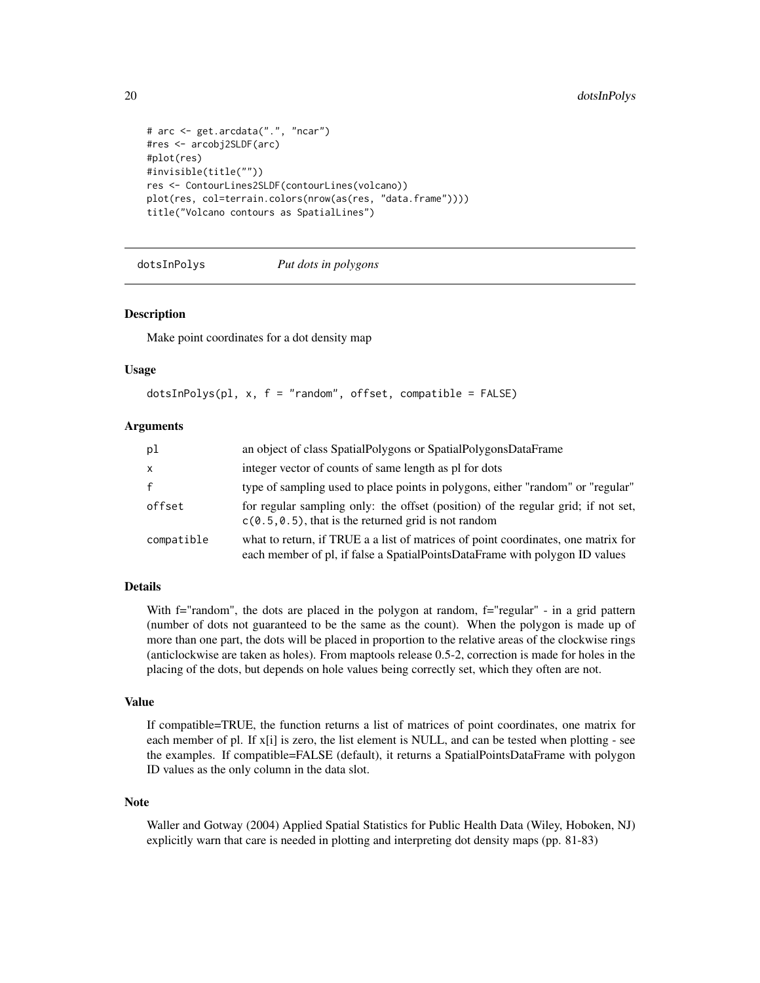```
# arc <- get.arcdata(".", "ncar")
#res <- arcobj2SLDF(arc)
#plot(res)
#invisible(title(""))
res <- ContourLines2SLDF(contourLines(volcano))
plot(res, col=terrain.colors(nrow(as(res, "data.frame"))))
title("Volcano contours as SpatialLines")
```
dotsInPolys *Put dots in polygons*

#### Description

Make point coordinates for a dot density map

#### Usage

```
dotsInPolys(pl, x, f = "random", offset, compatible = FALSE)
```
#### Arguments

| pl           | an object of class SpatialPolygons or SpatialPolygonsDataFrame                                                                                                   |
|--------------|------------------------------------------------------------------------------------------------------------------------------------------------------------------|
| X            | integer vector of counts of same length as pl for dots                                                                                                           |
| $\mathbf{f}$ | type of sampling used to place points in polygons, either "random" or "regular"                                                                                  |
| offset       | for regular sampling only: the offset (position) of the regular grid; if not set,<br>$c(0.5, 0.5)$ , that is the returned grid is not random                     |
| compatible   | what to return, if TRUE a a list of matrices of point coordinates, one matrix for<br>each member of pl, if false a SpatialPointsDataFrame with polygon ID values |

## Details

With f="random", the dots are placed in the polygon at random, f="regular" - in a grid pattern (number of dots not guaranteed to be the same as the count). When the polygon is made up of more than one part, the dots will be placed in proportion to the relative areas of the clockwise rings (anticlockwise are taken as holes). From maptools release 0.5-2, correction is made for holes in the placing of the dots, but depends on hole values being correctly set, which they often are not.

## Value

If compatible=TRUE, the function returns a list of matrices of point coordinates, one matrix for each member of pl. If x[i] is zero, the list element is NULL, and can be tested when plotting - see the examples. If compatible=FALSE (default), it returns a SpatialPointsDataFrame with polygon ID values as the only column in the data slot.

#### Note

Waller and Gotway (2004) Applied Spatial Statistics for Public Health Data (Wiley, Hoboken, NJ) explicitly warn that care is needed in plotting and interpreting dot density maps (pp. 81-83)

<span id="page-19-0"></span>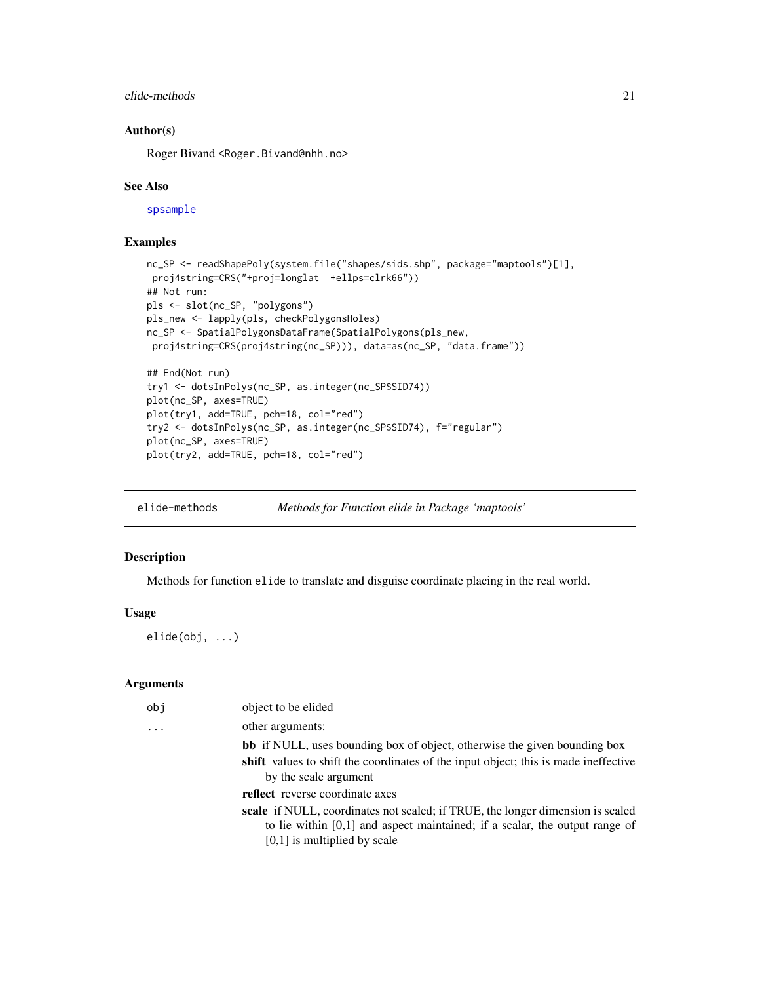## <span id="page-20-0"></span>elide-methods 21

## Author(s)

Roger Bivand <Roger.Bivand@nhh.no>

#### See Also

[spsample](#page-0-0)

## Examples

```
nc_SP <- readShapePoly(system.file("shapes/sids.shp", package="maptools")[1],
proj4string=CRS("+proj=longlat +ellps=clrk66"))
## Not run:
pls <- slot(nc_SP, "polygons")
pls_new <- lapply(pls, checkPolygonsHoles)
nc_SP <- SpatialPolygonsDataFrame(SpatialPolygons(pls_new,
proj4string=CRS(proj4string(nc_SP))), data=as(nc_SP, "data.frame"))
## End(Not run)
try1 <- dotsInPolys(nc_SP, as.integer(nc_SP$SID74))
plot(nc_SP, axes=TRUE)
plot(try1, add=TRUE, pch=18, col="red")
try2 <- dotsInPolys(nc_SP, as.integer(nc_SP$SID74), f="regular")
plot(nc_SP, axes=TRUE)
plot(try2, add=TRUE, pch=18, col="red")
```
elide-methods *Methods for Function elide in Package 'maptools'*

#### Description

Methods for function elide to translate and disguise coordinate placing in the real world.

## Usage

elide(obj, ...)

#### Arguments

| obj | object to be elided                                                                                                                                                    |
|-----|------------------------------------------------------------------------------------------------------------------------------------------------------------------------|
| .   | other arguments:                                                                                                                                                       |
|     | <b>bb</b> if NULL, uses bounding box of object, otherwise the given bounding box                                                                                       |
|     | shift values to shift the coordinates of the input object; this is made ineffective<br>by the scale argument                                                           |
|     | reflect reverse coordinate axes                                                                                                                                        |
|     | <b>scale</b> if NULL, coordinates not scaled; if TRUE, the longer dimension is scaled<br>to lie within $[0,1]$ and aspect maintained; if a scalar, the output range of |
|     | $[0,1]$ is multiplied by scale                                                                                                                                         |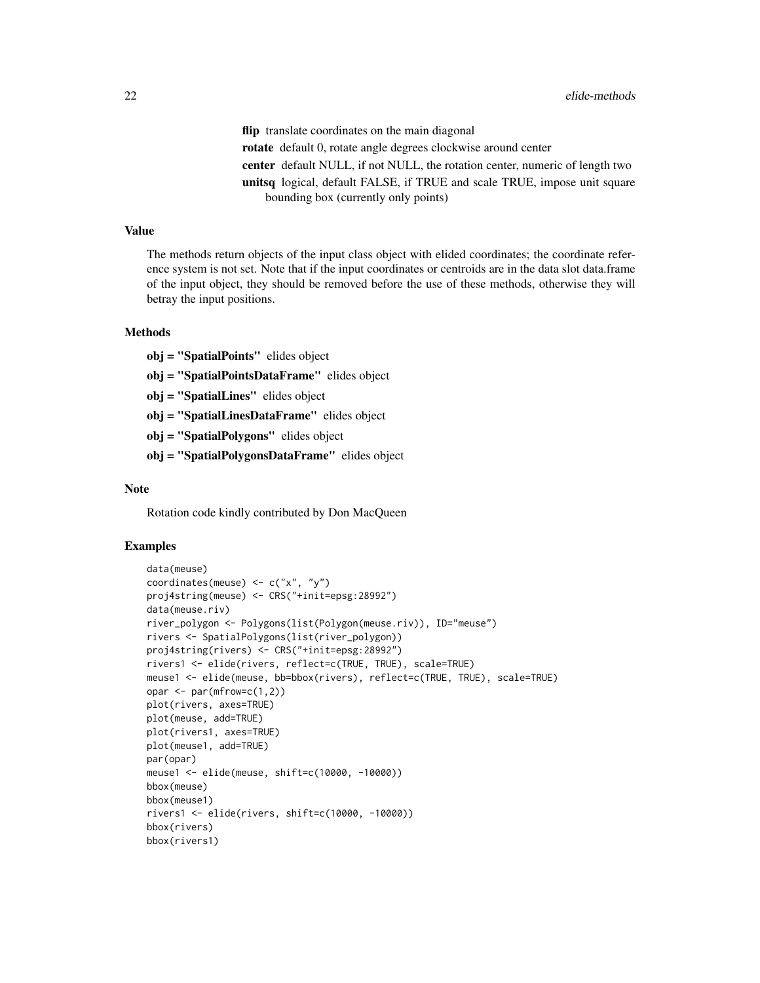flip translate coordinates on the main diagonal rotate default 0, rotate angle degrees clockwise around center center default NULL, if not NULL, the rotation center, numeric of length two unitsq logical, default FALSE, if TRUE and scale TRUE, impose unit square bounding box (currently only points)

## Value

The methods return objects of the input class object with elided coordinates; the coordinate reference system is not set. Note that if the input coordinates or centroids are in the data slot data.frame of the input object, they should be removed before the use of these methods, otherwise they will betray the input positions.

#### Methods

obj = "SpatialPoints" elides object

obj = "SpatialPointsDataFrame" elides object

obj = "SpatialLines" elides object

obj = "SpatialLinesDataFrame" elides object

obj = "SpatialPolygons" elides object

obj = "SpatialPolygonsDataFrame" elides object

#### Note

Rotation code kindly contributed by Don MacQueen

```
data(meuse)
coordinates(meuse) <- c("x", "y")
proj4string(meuse) <- CRS("+init=epsg:28992")
data(meuse.riv)
river_polygon <- Polygons(list(Polygon(meuse.riv)), ID="meuse")
rivers <- SpatialPolygons(list(river_polygon))
proj4string(rivers) <- CRS("+init=epsg:28992")
rivers1 <- elide(rivers, reflect=c(TRUE, TRUE), scale=TRUE)
meuse1 <- elide(meuse, bb=bbox(rivers), reflect=c(TRUE, TRUE), scale=TRUE)
opar \leq par(mfrow=c(1,2))
plot(rivers, axes=TRUE)
plot(meuse, add=TRUE)
plot(rivers1, axes=TRUE)
plot(meuse1, add=TRUE)
par(opar)
meuse1 <- elide(meuse, shift=c(10000, -10000))
bbox(meuse)
bbox(meuse1)
rivers1 <- elide(rivers, shift=c(10000, -10000))
bbox(rivers)
bbox(rivers1)
```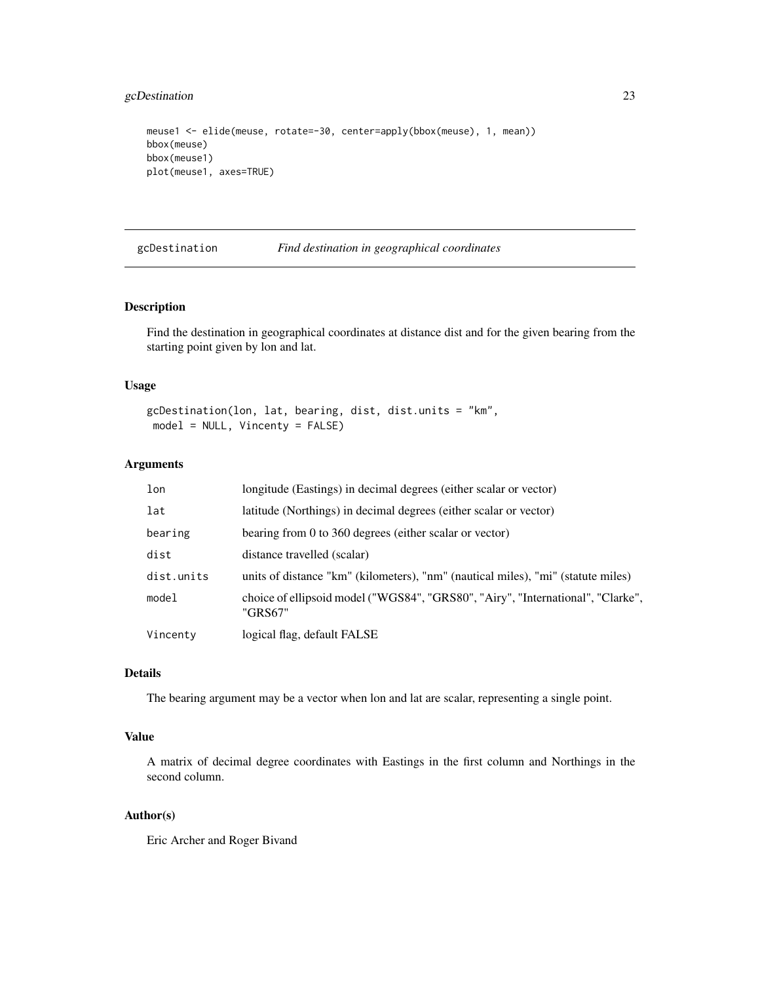## <span id="page-22-0"></span>gcDestination 23

```
meuse1 <- elide(meuse, rotate=-30, center=apply(bbox(meuse), 1, mean))
bbox(meuse)
bbox(meuse1)
plot(meuse1, axes=TRUE)
```
gcDestination *Find destination in geographical coordinates*

## Description

Find the destination in geographical coordinates at distance dist and for the given bearing from the starting point given by lon and lat.

#### Usage

```
gcDestination(lon, lat, bearing, dist, dist.units = "km",
model = NULL, Vincenty = FALSE)
```
## Arguments

| longitude (Eastings) in decimal degrees (either scalar or vector)                          |  |
|--------------------------------------------------------------------------------------------|--|
| latitude (Northings) in decimal degrees (either scalar or vector)                          |  |
| bearing from 0 to 360 degrees (either scalar or vector)                                    |  |
| distance travelled (scalar)                                                                |  |
| units of distance "km" (kilometers), "nm" (nautical miles), "mi" (statute miles)           |  |
| choice of ellipsoid model ("WGS84", "GRS80", "Airy", "International", "Clarke",<br>"GRS67" |  |
| logical flag, default FALSE                                                                |  |
|                                                                                            |  |

#### Details

The bearing argument may be a vector when lon and lat are scalar, representing a single point.

## Value

A matrix of decimal degree coordinates with Eastings in the first column and Northings in the second column.

#### Author(s)

Eric Archer and Roger Bivand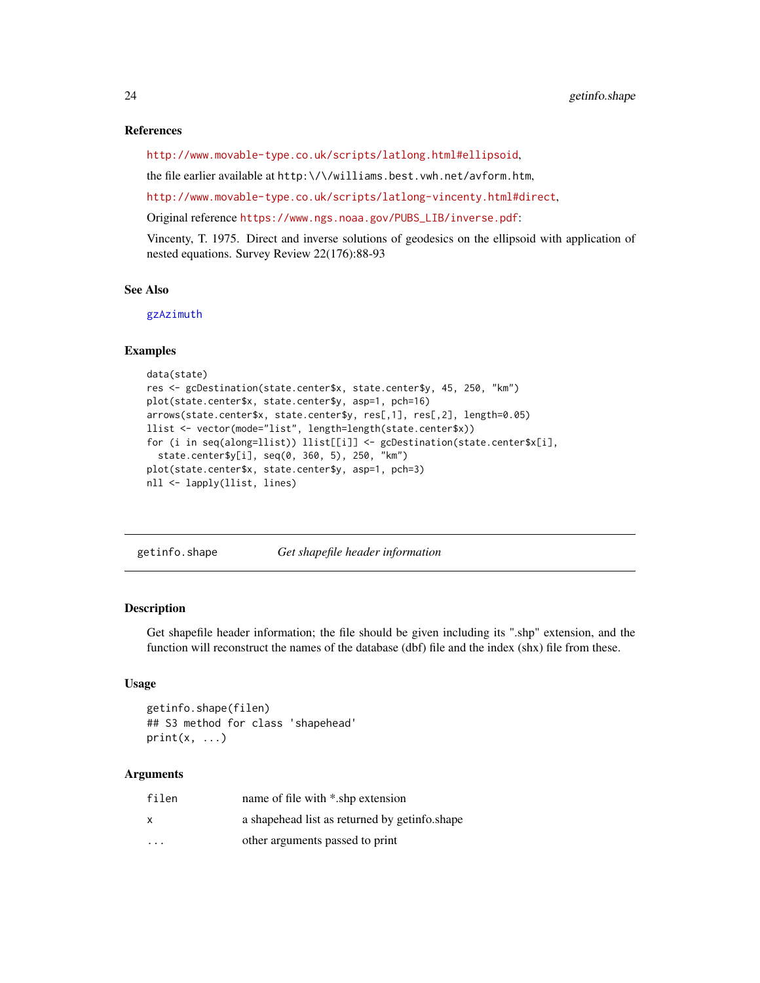#### References

<http://www.movable-type.co.uk/scripts/latlong.html#ellipsoid>,

the file earlier available at http:\/\/williams.best.vwh.net/avform.htm,

<http://www.movable-type.co.uk/scripts/latlong-vincenty.html#direct>,

Original reference [https://www.ngs.noaa.gov/PUBS\\_LIB/inverse.pdf](https://www.ngs.noaa.gov/PUBS_LIB/inverse.pdf):

Vincenty, T. 1975. Direct and inverse solutions of geodesics on the ellipsoid with application of nested equations. Survey Review 22(176):88-93

#### See Also

[gzAzimuth](#page-28-1)

#### Examples

```
data(state)
res <- gcDestination(state.center$x, state.center$y, 45, 250, "km")
plot(state.center$x, state.center$y, asp=1, pch=16)
arrows(state.center$x, state.center$y, res[,1], res[,2], length=0.05)
llist <- vector(mode="list", length=length(state.center$x))
for (i in seq(along=llist)) llist[[i]] <- gcDestination(state.center$x[i],
  state.center$y[i], seq(0, 360, 5), 250, "km")
plot(state.center$x, state.center$y, asp=1, pch=3)
nll <- lapply(llist, lines)
```
getinfo.shape *Get shapefile header information*

#### **Description**

Get shapefile header information; the file should be given including its ".shp" extension, and the function will reconstruct the names of the database (dbf) file and the index (shx) file from these.

#### Usage

```
getinfo.shape(filen)
## S3 method for class 'shapehead'
print(x, \ldots)
```
#### Arguments

| filen                   | name of file with *.shp extension             |
|-------------------------|-----------------------------------------------|
| x                       | a shapehead list as returned by getinfo.shape |
| $\cdot$ $\cdot$ $\cdot$ | other arguments passed to print               |

<span id="page-23-0"></span>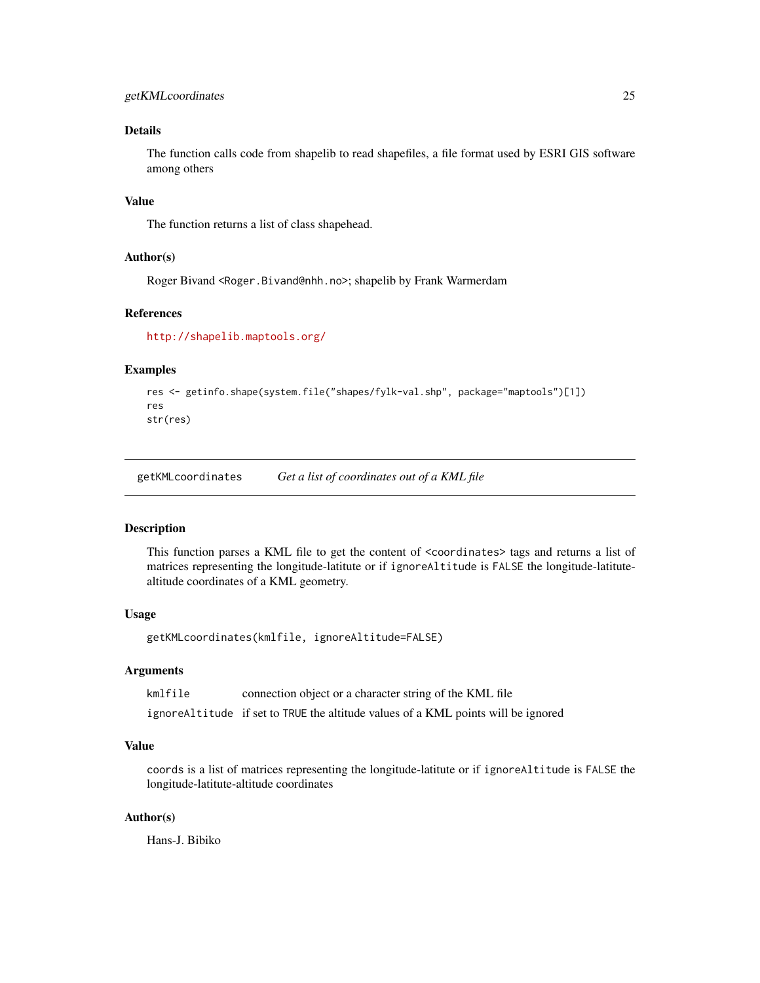## <span id="page-24-0"></span>Details

The function calls code from shapelib to read shapefiles, a file format used by ESRI GIS software among others

#### Value

The function returns a list of class shapehead.

## Author(s)

Roger Bivand <Roger.Bivand@nhh.no>; shapelib by Frank Warmerdam

#### References

<http://shapelib.maptools.org/>

#### Examples

```
res <- getinfo.shape(system.file("shapes/fylk-val.shp", package="maptools")[1])
res
str(res)
```
getKMLcoordinates *Get a list of coordinates out of a KML file*

#### Description

This function parses a KML file to get the content of <coordinates> tags and returns a list of matrices representing the longitude-latitute or if ignoreAltitude is FALSE the longitude-latitutealtitude coordinates of a KML geometry.

## Usage

getKMLcoordinates(kmlfile, ignoreAltitude=FALSE)

#### Arguments

kmlfile connection object or a character string of the KML file ignoreAltitude if set to TRUE the altitude values of a KML points will be ignored

## Value

coords is a list of matrices representing the longitude-latitute or if ignoreAltitude is FALSE the longitude-latitute-altitude coordinates

#### Author(s)

Hans-J. Bibiko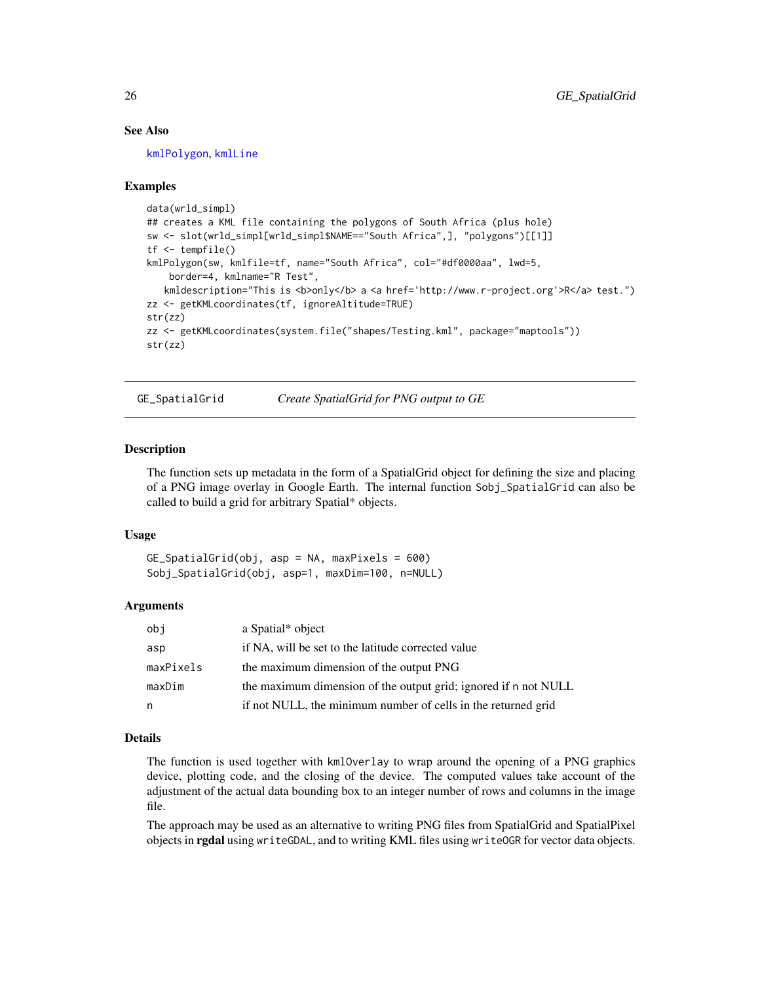## See Also

[kmlPolygon](#page-35-1), [kmlLine](#page-29-1)

#### Examples

```
data(wrld_simpl)
## creates a KML file containing the polygons of South Africa (plus hole)
sw <- slot(wrld_simpl[wrld_simpl$NAME=="South Africa",], "polygons")[[1]]
tf <- tempfile()
kmlPolygon(sw, kmlfile=tf, name="South Africa", col="#df0000aa", lwd=5,
   border=4, kmlname="R Test",
   kmldescription="This is <b>only</b> a <a href='http://www.r-project.org'>R</a> test.")
zz <- getKMLcoordinates(tf, ignoreAltitude=TRUE)
str(zz)
zz <- getKMLcoordinates(system.file("shapes/Testing.kml", package="maptools"))
str(zz)
```
<span id="page-25-1"></span>GE\_SpatialGrid *Create SpatialGrid for PNG output to GE*

## **Description**

The function sets up metadata in the form of a SpatialGrid object for defining the size and placing of a PNG image overlay in Google Earth. The internal function Sobj\_SpatialGrid can also be called to build a grid for arbitrary Spatial\* objects.

#### Usage

GE\_SpatialGrid(obj, asp = NA, maxPixels = 600) Sobj\_SpatialGrid(obj, asp=1, maxDim=100, n=NULL)

#### Arguments

| obj       | a Spatial* object                                               |
|-----------|-----------------------------------------------------------------|
| asp       | if NA, will be set to the latitude corrected value              |
| maxPixels | the maximum dimension of the output PNG                         |
| maxDim    | the maximum dimension of the output grid; ignored if n not NULL |
| n         | if not NULL, the minimum number of cells in the returned grid   |

## Details

The function is used together with kmlOverlay to wrap around the opening of a PNG graphics device, plotting code, and the closing of the device. The computed values take account of the adjustment of the actual data bounding box to an integer number of rows and columns in the image file.

The approach may be used as an alternative to writing PNG files from SpatialGrid and SpatialPixel objects in rgdal using writeGDAL, and to writing KML files using writeOGR for vector data objects.

<span id="page-25-0"></span>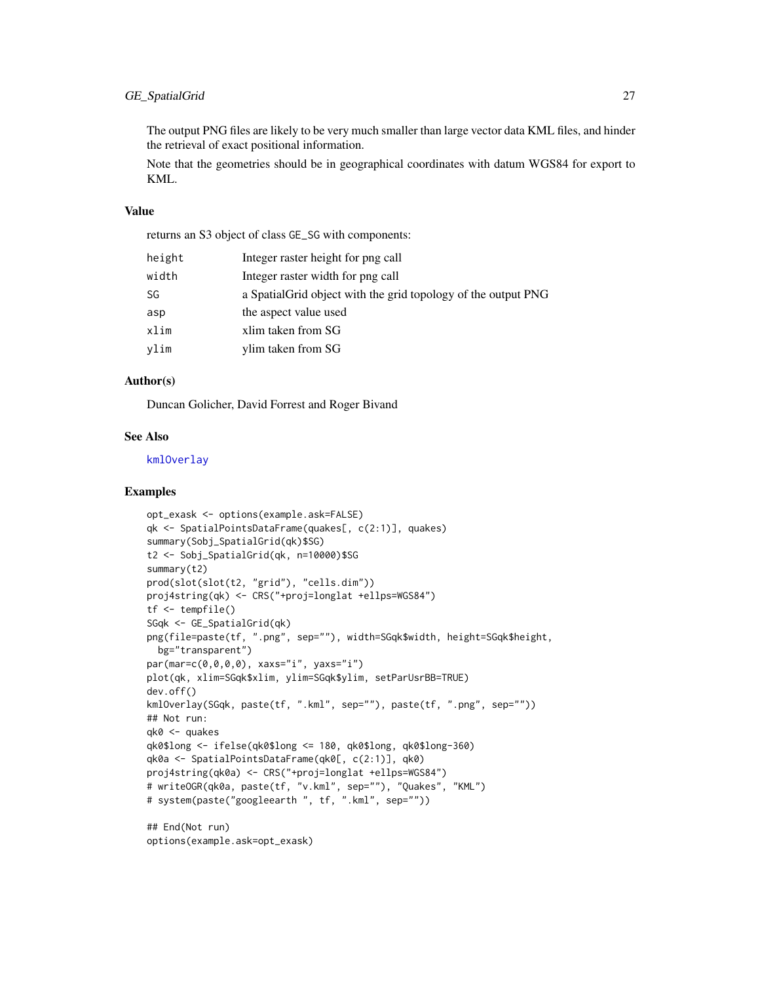## GE\_SpatialGrid 27

The output PNG files are likely to be very much smaller than large vector data KML files, and hinder the retrieval of exact positional information.

Note that the geometries should be in geographical coordinates with datum WGS84 for export to KML.

## Value

returns an S3 object of class GE\_SG with components:

| height<br>Integer raster height for png call                         |  |
|----------------------------------------------------------------------|--|
| width<br>Integer raster width for png call                           |  |
| SG<br>a Spatial Grid object with the grid topology of the output PNG |  |
| the aspect value used<br>asp                                         |  |
| xlim<br>xlim taken from SG                                           |  |
| vlim<br>ylim taken from SG                                           |  |

## Author(s)

Duncan Golicher, David Forrest and Roger Bivand

## See Also

[kmlOverlay](#page-32-1)

```
opt_exask <- options(example.ask=FALSE)
qk <- SpatialPointsDataFrame(quakes[, c(2:1)], quakes)
summary(Sobj_SpatialGrid(qk)$SG)
t2 <- Sobj_SpatialGrid(qk, n=10000)$SG
summary(t2)
prod(slot(slot(t2, "grid"), "cells.dim"))
proj4string(qk) <- CRS("+proj=longlat +ellps=WGS84")
tf <- tempfile()
SGqk <- GE_SpatialGrid(qk)
png(file=paste(tf, ".png", sep=""), width=SGqk$width, height=SGqk$height,
 bg="transparent")
par(mar=c(0,0,0,0), xaxs="i", yaxs="i")
plot(qk, xlim=SGqk$xlim, ylim=SGqk$ylim, setParUsrBB=TRUE)
dev.off()
kmlOverlay(SGqk, paste(tf, ".kml", sep=""), paste(tf, ".png", sep=""))
## Not run:
qk0 <- quakes
qk0$long <- ifelse(qk0$long <= 180, qk0$long, qk0$long-360)
qk0a <- SpatialPointsDataFrame(qk0[, c(2:1)], qk0)
proj4string(qk0a) <- CRS("+proj=longlat +ellps=WGS84")
# writeOGR(qk0a, paste(tf, "v.kml", sep=""), "Quakes", "KML")
# system(paste("googleearth ", tf, ".kml", sep=""))
## End(Not run)
options(example.ask=opt_exask)
```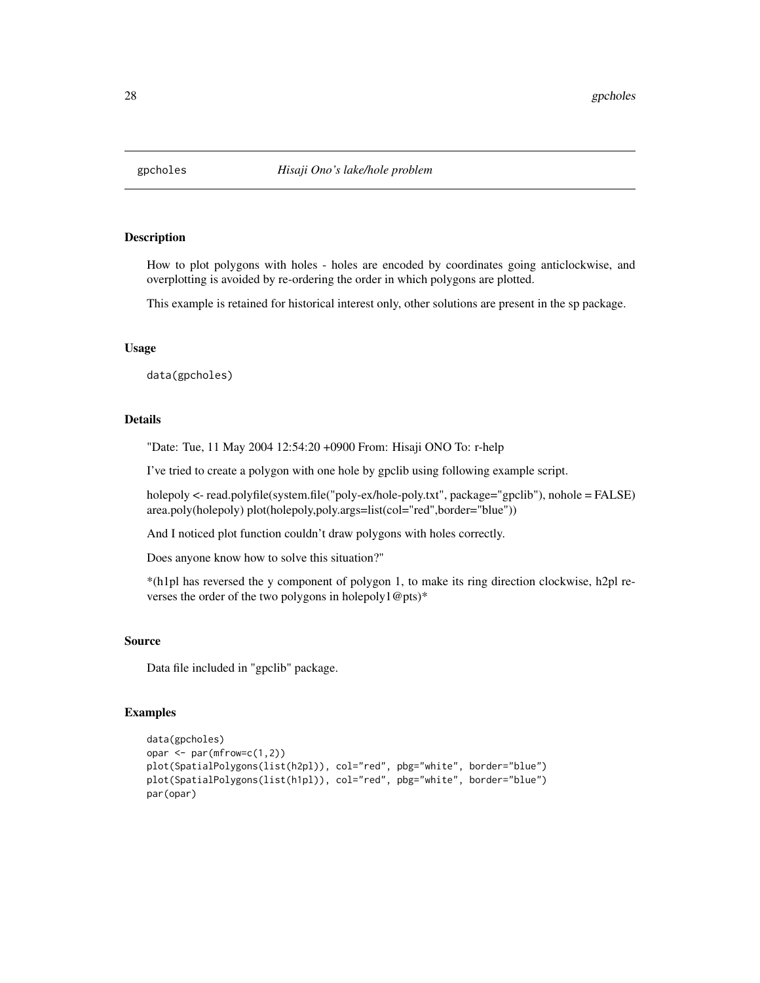<span id="page-27-0"></span>

How to plot polygons with holes - holes are encoded by coordinates going anticlockwise, and overplotting is avoided by re-ordering the order in which polygons are plotted.

This example is retained for historical interest only, other solutions are present in the sp package.

## Usage

data(gpcholes)

#### Details

"Date: Tue, 11 May 2004 12:54:20 +0900 From: Hisaji ONO To: r-help

I've tried to create a polygon with one hole by gpclib using following example script.

holepoly <- read.polyfile(system.file("poly-ex/hole-poly.txt", package="gpclib"), nohole = FALSE) area.poly(holepoly) plot(holepoly,poly.args=list(col="red",border="blue"))

And I noticed plot function couldn't draw polygons with holes correctly.

Does anyone know how to solve this situation?"

\*(h1pl has reversed the y component of polygon 1, to make its ring direction clockwise, h2pl reverses the order of the two polygons in holepoly1@pts)\*

#### Source

Data file included in "gpclib" package.

```
data(gpcholes)
opar \leq par(mfrow=c(1,2))
plot(SpatialPolygons(list(h2pl)), col="red", pbg="white", border="blue")
plot(SpatialPolygons(list(h1pl)), col="red", pbg="white", border="blue")
par(opar)
```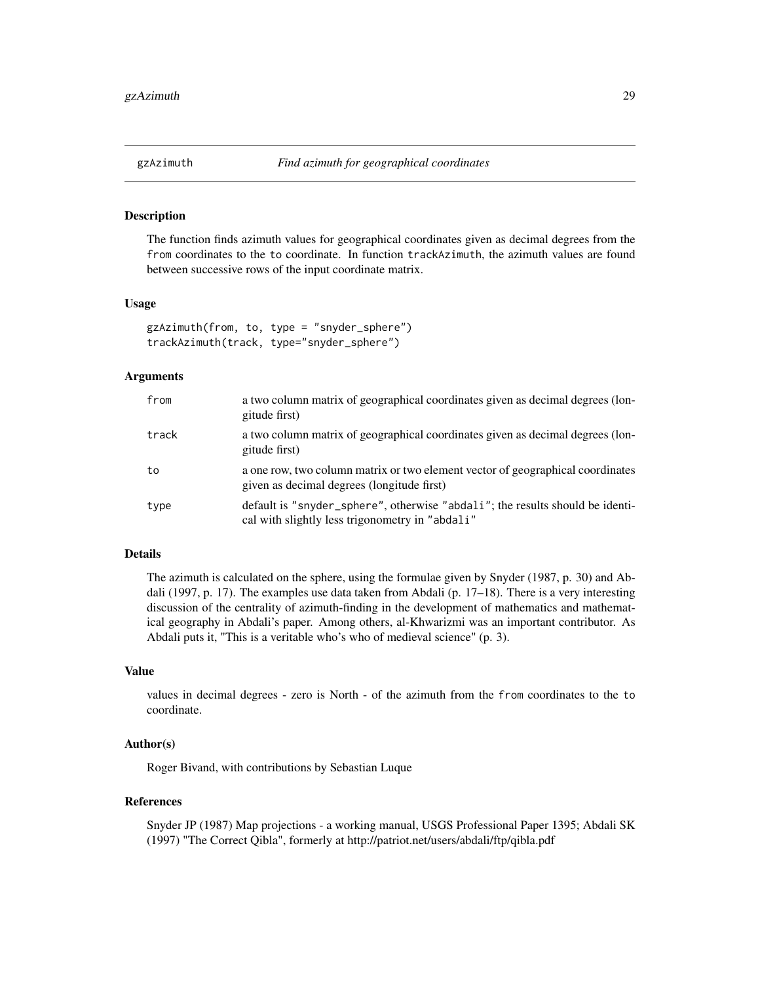<span id="page-28-1"></span><span id="page-28-0"></span>

The function finds azimuth values for geographical coordinates given as decimal degrees from the from coordinates to the to coordinate. In function trackAzimuth, the azimuth values are found between successive rows of the input coordinate matrix.

#### Usage

```
gzAzimuth(from, to, type = "snyder_sphere")
trackAzimuth(track, type="snyder_sphere")
```
#### Arguments

| from  | a two column matrix of geographical coordinates given as decimal degrees (lon-<br>gitude first)                                  |
|-------|----------------------------------------------------------------------------------------------------------------------------------|
| track | a two column matrix of geographical coordinates given as decimal degrees (lon-<br>gitude first)                                  |
| to    | a one row, two column matrix or two element vector of geographical coordinates<br>given as decimal degrees (longitude first)     |
| type  | default is "snyder_sphere", otherwise "abdali"; the results should be identi-<br>cal with slightly less trigonometry in "abdali" |

## Details

The azimuth is calculated on the sphere, using the formulae given by Snyder (1987, p. 30) and Abdali (1997, p. 17). The examples use data taken from Abdali (p. 17–18). There is a very interesting discussion of the centrality of azimuth-finding in the development of mathematics and mathematical geography in Abdali's paper. Among others, al-Khwarizmi was an important contributor. As Abdali puts it, "This is a veritable who's who of medieval science" (p. 3).

#### Value

values in decimal degrees - zero is North - of the azimuth from the from coordinates to the to coordinate.

## Author(s)

Roger Bivand, with contributions by Sebastian Luque

#### References

Snyder JP (1987) Map projections - a working manual, USGS Professional Paper 1395; Abdali SK (1997) "The Correct Qibla", formerly at http://patriot.net/users/abdali/ftp/qibla.pdf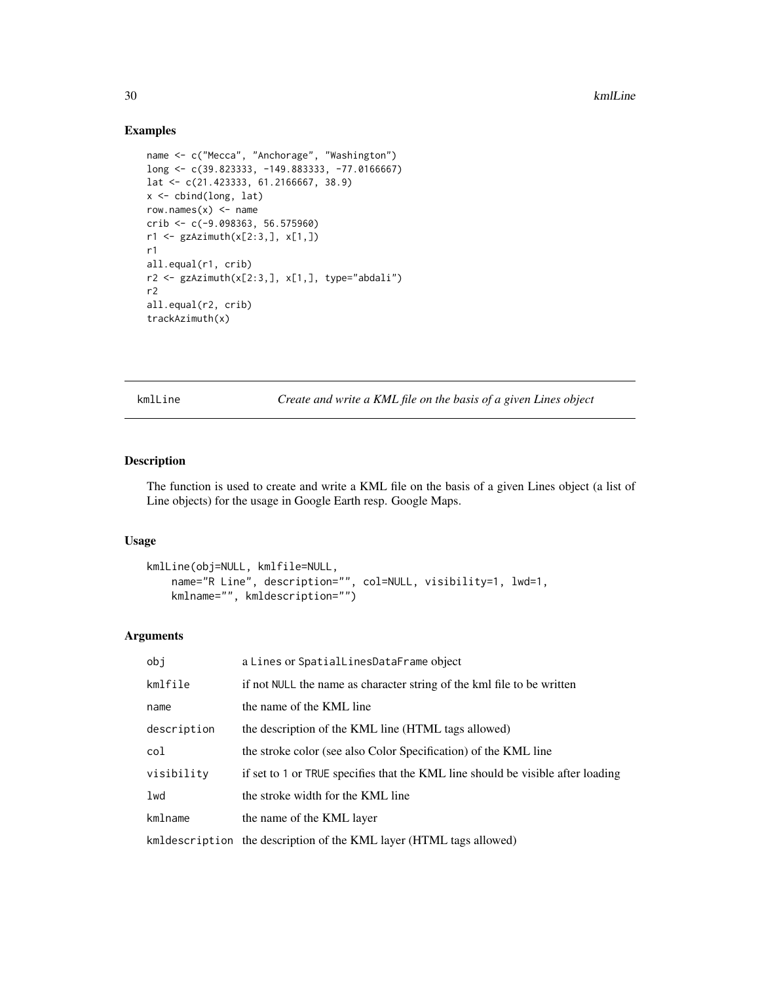#### Examples

```
name <- c("Mecca", "Anchorage", "Washington")
long <- c(39.823333, -149.883333, -77.0166667)
lat <- c(21.423333, 61.2166667, 38.9)
x <- cbind(long, lat)
row.names(x) <- name
crib <- c(-9.098363, 56.575960)
r1 <- gzAzimuth(x[2:3,], x[1,])
r1
all.equal(r1, crib)
r2 \leq gzAzimuth(x[2:3,], x[1,], type="abdali")
r2
all.equal(r2, crib)
trackAzimuth(x)
```
<span id="page-29-1"></span>kmlLine *Create and write a KML file on the basis of a given Lines object*

## Description

The function is used to create and write a KML file on the basis of a given Lines object (a list of Line objects) for the usage in Google Earth resp. Google Maps.

#### Usage

```
kmlLine(obj=NULL, kmlfile=NULL,
   name="R Line", description="", col=NULL, visibility=1, lwd=1,
   kmlname="", kmldescription="")
```
## Arguments

| obj         | a Lines or SpatialLinesDataFrame object                                         |
|-------------|---------------------------------------------------------------------------------|
| kmlfile     | if not NULL the name as character string of the kml file to be written          |
| name        | the name of the KML line                                                        |
| description | the description of the KML line (HTML tags allowed)                             |
| col         | the stroke color (see also Color Specification) of the KML line                 |
| visibility  | if set to 1 or TRUE specifies that the KML line should be visible after loading |
| 1wd         | the stroke width for the KML line                                               |
| kmlname     | the name of the KML layer                                                       |
|             | kmldescription the description of the KML layer (HTML tags allowed)             |

<span id="page-29-0"></span>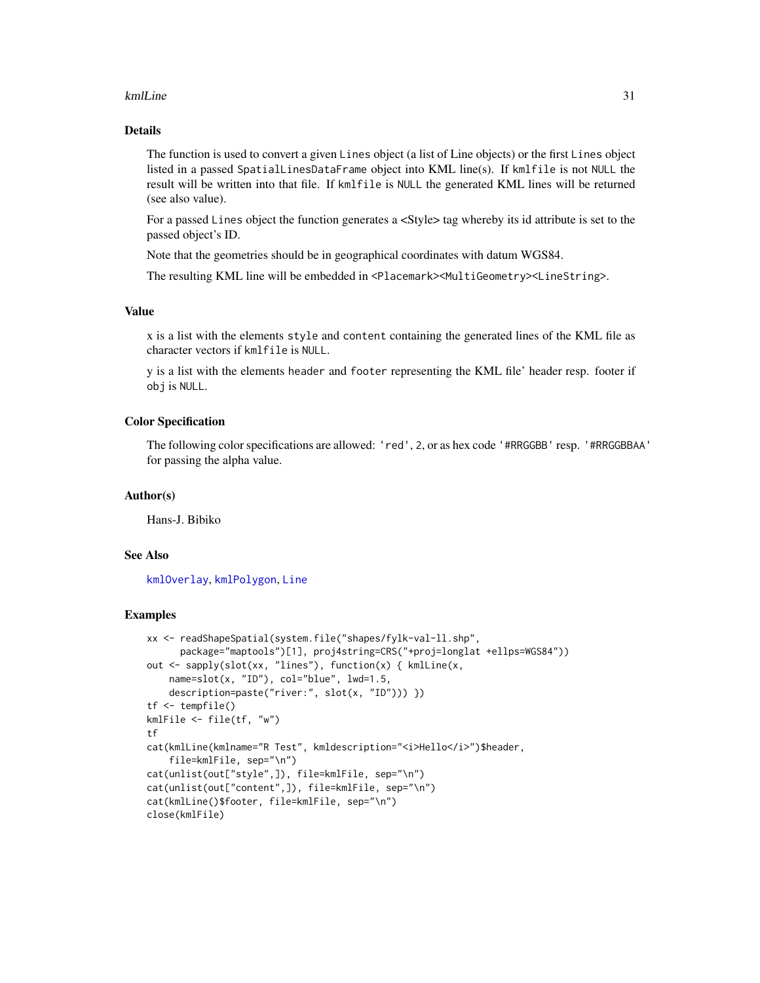#### kmlLine 31

## Details

The function is used to convert a given Lines object (a list of Line objects) or the first Lines object listed in a passed SpatialLinesDataFrame object into KML line(s). If kmlfile is not NULL the result will be written into that file. If kmlfile is NULL the generated KML lines will be returned (see also value).

For a passed Lines object the function generates a <Style> tag whereby its id attribute is set to the passed object's ID.

Note that the geometries should be in geographical coordinates with datum WGS84.

The resulting KML line will be embedded in <Placemark><MultiGeometry><LineString>.

#### Value

x is a list with the elements style and content containing the generated lines of the KML file as character vectors if kmlfile is NULL.

y is a list with the elements header and footer representing the KML file' header resp. footer if obj is NULL.

#### Color Specification

The following color specifications are allowed: 'red', 2, or as hex code '#RRGGBB' resp. '#RRGGBBAA' for passing the alpha value.

#### Author(s)

Hans-J. Bibiko

## See Also

[kmlOverlay](#page-32-1), [kmlPolygon](#page-35-1), [Line](#page-0-0)

```
xx <- readShapeSpatial(system.file("shapes/fylk-val-ll.shp",
     package="maptools")[1], proj4string=CRS("+proj=longlat +ellps=WGS84"))
out <- sapply(slot(xx, "lines"), function(x) { kmlLine(x,
   name=slot(x, "ID"), col="blue", lwd=1.5,
   description=paste("river:", slot(x, "ID"))) })
tf <- tempfile()
kmlFile <- file(tf, "w")
tf
cat(kmlLine(kmlname="R Test", kmldescription="<i>Hello</i>")$header,
    file=kmlFile, sep="\n")
cat(unlist(out["style",]), file=kmlFile, sep="\n")
cat(unlist(out["content",]), file=kmlFile, sep="\n")
cat(kmlLine()$footer, file=kmlFile, sep="\n")
close(kmlFile)
```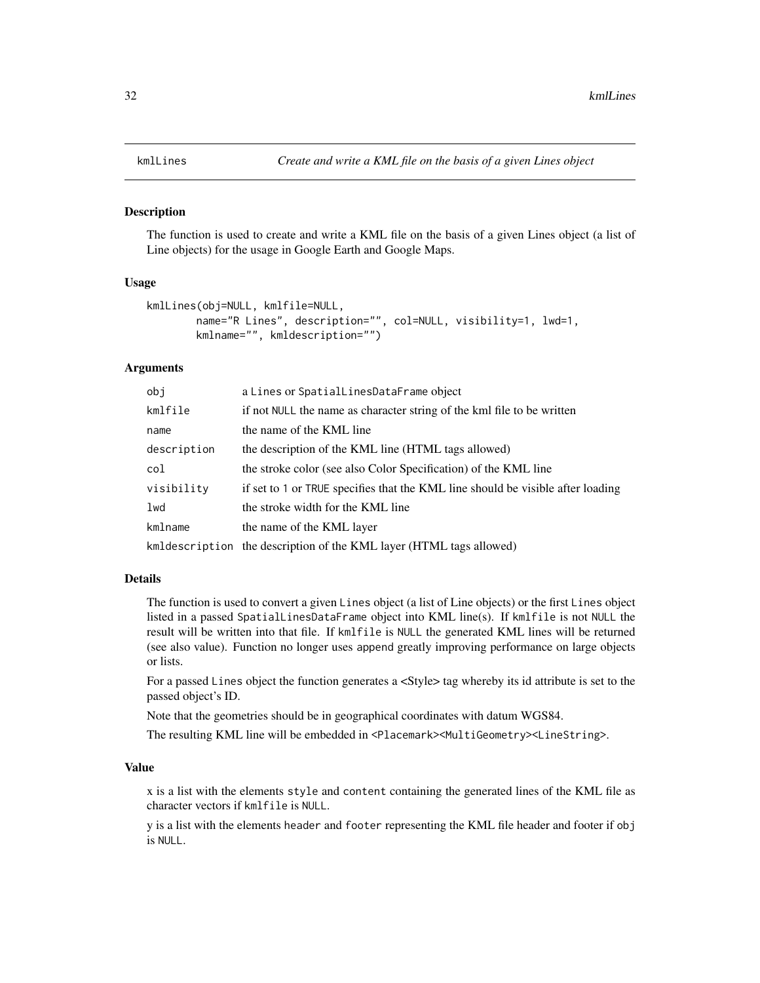<span id="page-31-0"></span>

The function is used to create and write a KML file on the basis of a given Lines object (a list of Line objects) for the usage in Google Earth and Google Maps.

#### Usage

```
kmlLines(obj=NULL, kmlfile=NULL,
        name="R Lines", description="", col=NULL, visibility=1, lwd=1,
       kmlname="", kmldescription="")
```
## Arguments

| obj         | a Lines or SpatialLinesDataFrame object                                         |
|-------------|---------------------------------------------------------------------------------|
| kmlfile     | if not NULL the name as character string of the kml file to be written          |
| name        | the name of the KML line                                                        |
| description | the description of the KML line (HTML tags allowed)                             |
| col         | the stroke color (see also Color Specification) of the KML line                 |
| visibility  | if set to 1 or TRUE specifies that the KML line should be visible after loading |
| lwd         | the stroke width for the KML line                                               |
| kmlname     | the name of the KML layer                                                       |
|             | kmldescription the description of the KML layer (HTML tags allowed)             |

## Details

The function is used to convert a given Lines object (a list of Line objects) or the first Lines object listed in a passed SpatialLinesDataFrame object into KML line(s). If kmlfile is not NULL the result will be written into that file. If kmlfile is NULL the generated KML lines will be returned (see also value). Function no longer uses append greatly improving performance on large objects or lists.

For a passed Lines object the function generates a <Style> tag whereby its id attribute is set to the passed object's ID.

Note that the geometries should be in geographical coordinates with datum WGS84.

The resulting KML line will be embedded in <Placemark><MultiGeometry><LineString>.

## Value

x is a list with the elements style and content containing the generated lines of the KML file as character vectors if kmlfile is NULL.

y is a list with the elements header and footer representing the KML file header and footer if obj is NULL.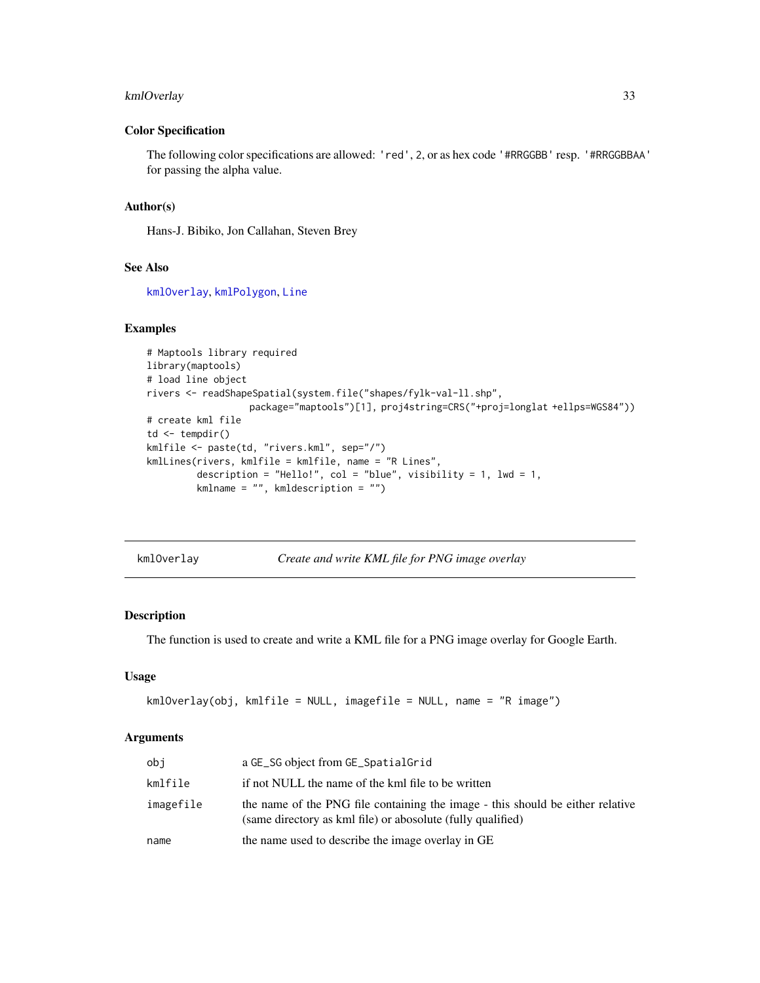## <span id="page-32-0"></span>kmlOverlay 33

#### Color Specification

The following color specifications are allowed: 'red', 2, or as hex code '#RRGGBB' resp. '#RRGGBBAA' for passing the alpha value.

#### Author(s)

Hans-J. Bibiko, Jon Callahan, Steven Brey

## See Also

[kmlOverlay](#page-32-1), [kmlPolygon](#page-35-1), [Line](#page-0-0)

## Examples

```
# Maptools library required
library(maptools)
# load line object
rivers <- readShapeSpatial(system.file("shapes/fylk-val-ll.shp",
                  package="maptools")[1], proj4string=CRS("+proj=longlat +ellps=WGS84"))
# create kml file
td \leftarrow tempdir()kmlfile <- paste(td, "rivers.kml", sep="/")
kmlLines(rivers, kmlfile = kmlfile, name = "R Lines",
         description = "Hello!", col = "blue", visibility = 1, lwd = 1,
         kmlname = "", kmldescription = "")
```
<span id="page-32-1"></span>

| kml0verlay |  |  |  |
|------------|--|--|--|
|------------|--|--|--|

Create and write KML file for PNG image overlay

## Description

The function is used to create and write a KML file for a PNG image overlay for Google Earth.

## Usage

```
kmlOverlay(obj, kmlfile = NULL, imagefile = NULL, name = "R image")
```
## Arguments

| obi       | a GE_SG object from GE_SpatialGrid                                                                                                            |
|-----------|-----------------------------------------------------------------------------------------------------------------------------------------------|
| kmlfile   | if not NULL the name of the kml file to be written                                                                                            |
| imagefile | the name of the PNG file containing the image - this should be either relative<br>(same directory as kml file) or abosolute (fully qualified) |
| name      | the name used to describe the image overlay in GE                                                                                             |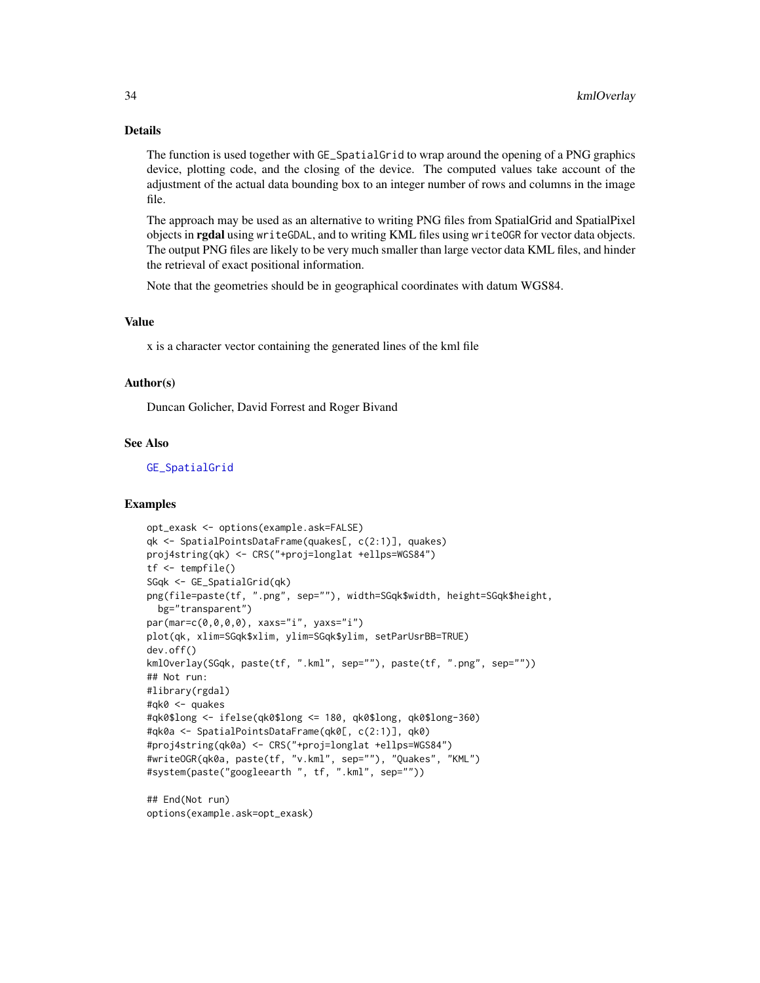## Details

The function is used together with GE\_SpatialGrid to wrap around the opening of a PNG graphics device, plotting code, and the closing of the device. The computed values take account of the adjustment of the actual data bounding box to an integer number of rows and columns in the image file.

The approach may be used as an alternative to writing PNG files from SpatialGrid and SpatialPixel objects in **rgdal** using writeGDAL, and to writing KML files using writeOGR for vector data objects. The output PNG files are likely to be very much smaller than large vector data KML files, and hinder the retrieval of exact positional information.

Note that the geometries should be in geographical coordinates with datum WGS84.

## Value

x is a character vector containing the generated lines of the kml file

#### Author(s)

Duncan Golicher, David Forrest and Roger Bivand

## See Also

[GE\\_SpatialGrid](#page-25-1)

```
opt_exask <- options(example.ask=FALSE)
qk <- SpatialPointsDataFrame(quakes[, c(2:1)], quakes)
proj4string(qk) <- CRS("+proj=longlat +ellps=WGS84")
tf <- tempfile()
SGqk <- GE_SpatialGrid(qk)
png(file=paste(tf, ".png", sep=""), width=SGqk$width, height=SGqk$height,
  bg="transparent")
par(mar=c(0,0,0,0), xaxs="i", yaxs="i")
plot(qk, xlim=SGqk$xlim, ylim=SGqk$ylim, setParUsrBB=TRUE)
dev.off()
kmlOverlay(SGqk, paste(tf, ".kml", sep=""), paste(tf, ".png", sep=""))
## Not run:
#library(rgdal)
#qk0 <- quakes
#qk0$long <- ifelse(qk0$long <= 180, qk0$long, qk0$long-360)
#qk0a <- SpatialPointsDataFrame(qk0[, c(2:1)], qk0)
#proj4string(qk0a) <- CRS("+proj=longlat +ellps=WGS84")
#writeOGR(qk0a, paste(tf, "v.kml", sep=""), "Quakes", "KML")
#system(paste("googleearth ", tf, ".kml", sep=""))
## End(Not run)
options(example.ask=opt_exask)
```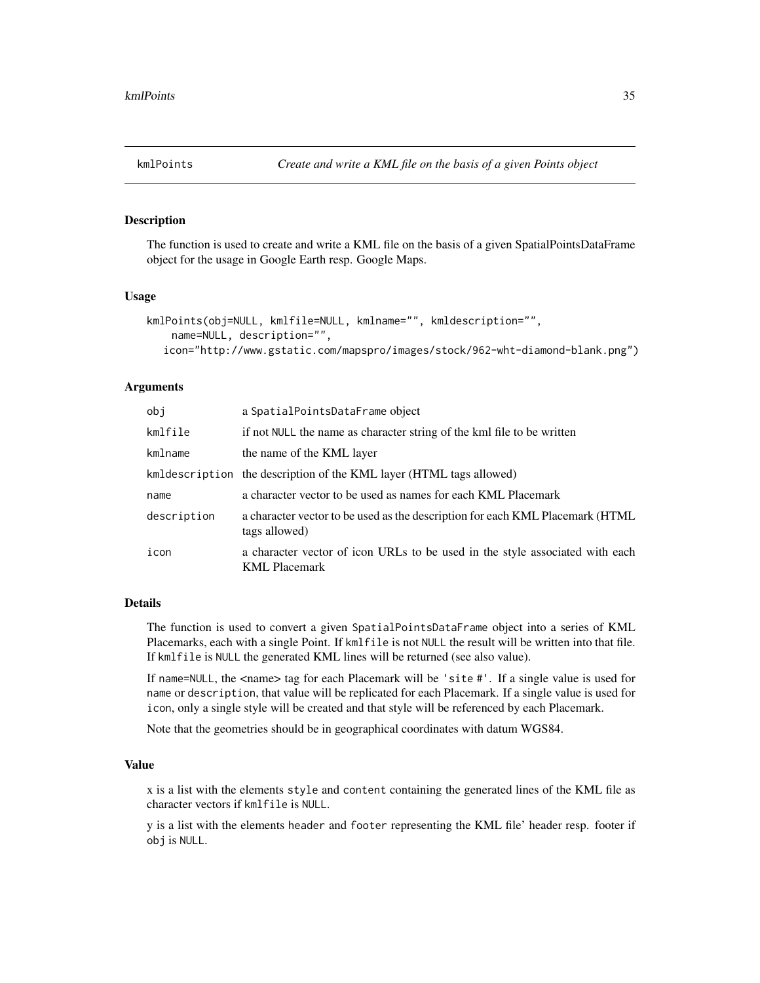<span id="page-34-0"></span>The function is used to create and write a KML file on the basis of a given SpatialPointsDataFrame object for the usage in Google Earth resp. Google Maps.

#### Usage

```
kmlPoints(obj=NULL, kmlfile=NULL, kmlname="", kmldescription="",
   name=NULL, description="",
  icon="http://www.gstatic.com/mapspro/images/stock/962-wht-diamond-blank.png")
```
#### Arguments

| obj         | a SpatialPointsDataFrame object                                                                      |
|-------------|------------------------------------------------------------------------------------------------------|
| kmlfile     | if not NULL the name as character string of the kml file to be written                               |
| kmlname     | the name of the KML layer                                                                            |
|             | kmldescription the description of the KML layer (HTML tags allowed)                                  |
| name        | a character vector to be used as names for each KML Placemark                                        |
| description | a character vector to be used as the description for each KML Placemark (HTML)<br>tags allowed)      |
| icon        | a character vector of icon URLs to be used in the style associated with each<br><b>KML</b> Placemark |

#### Details

The function is used to convert a given SpatialPointsDataFrame object into a series of KML Placemarks, each with a single Point. If kmlfile is not NULL the result will be written into that file. If kmlfile is NULL the generated KML lines will be returned (see also value).

If name=NULL, the <name> tag for each Placemark will be 'site #'. If a single value is used for name or description, that value will be replicated for each Placemark. If a single value is used for icon, only a single style will be created and that style will be referenced by each Placemark.

Note that the geometries should be in geographical coordinates with datum WGS84.

## Value

x is a list with the elements style and content containing the generated lines of the KML file as character vectors if kmlfile is NULL.

y is a list with the elements header and footer representing the KML file' header resp. footer if obj is NULL.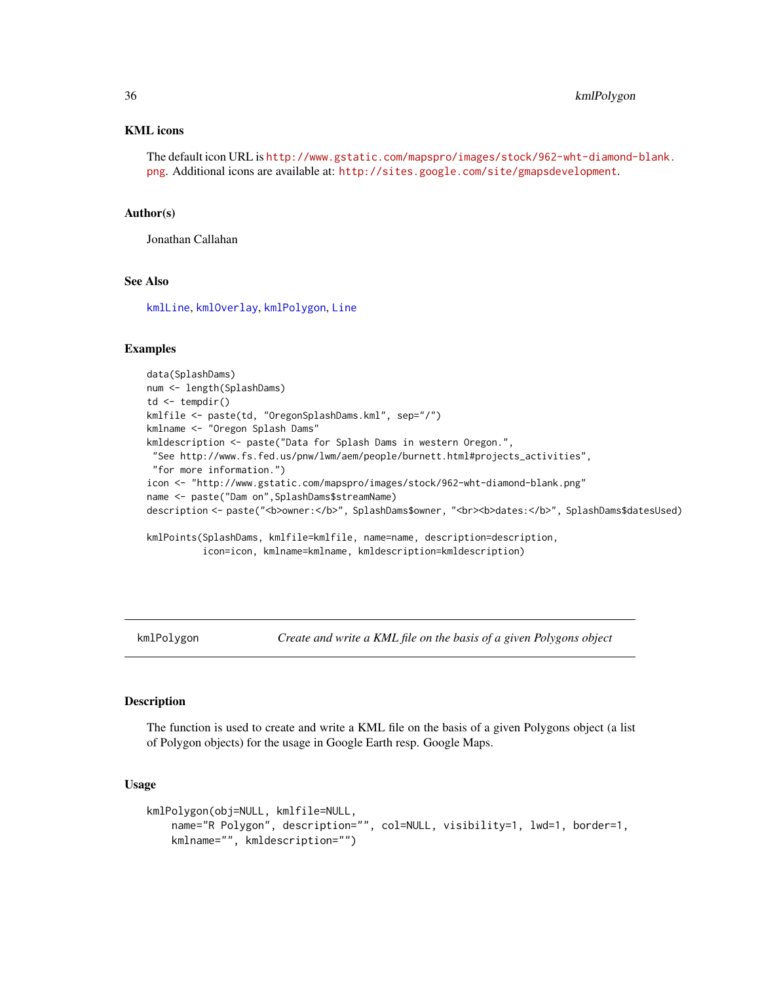#### KML icons

The default icon URL is [http://www.gstatic.com/mapspro/images/stock/962-wht-diamond-](http://www.gstatic.com/mapspro/images/stock/962-wht-diamond-blank.png)blank. [png](http://www.gstatic.com/mapspro/images/stock/962-wht-diamond-blank.png). Additional icons are available at: <http://sites.google.com/site/gmapsdevelopment>.

#### Author(s)

Jonathan Callahan

#### See Also

[kmlLine](#page-29-1), [kmlOverlay](#page-32-1), [kmlPolygon](#page-35-1), [Line](#page-0-0)

## Examples

```
data(SplashDams)
num <- length(SplashDams)
td \leftarrow tempdir()kmlfile <- paste(td, "OregonSplashDams.kml", sep="/")
kmlname <- "Oregon Splash Dams"
kmldescription <- paste("Data for Splash Dams in western Oregon.",
"See http://www.fs.fed.us/pnw/lwm/aem/people/burnett.html#projects_activities",
"for more information.")
icon <- "http://www.gstatic.com/mapspro/images/stock/962-wht-diamond-blank.png"
name <- paste("Dam on",SplashDams$streamName)
description <- paste("<b>owner:</b>", SplashDams$owner, "<br><b>dates:</b>", SplashDams$datesUsed)
kmlPoints(SplashDams, kmlfile=kmlfile, name=name, description=description,
          icon=icon, kmlname=kmlname, kmldescription=kmldescription)
```
<span id="page-35-1"></span>

kmlPolygon *Create and write a KML file on the basis of a given Polygons object*

## Description

The function is used to create and write a KML file on the basis of a given Polygons object (a list of Polygon objects) for the usage in Google Earth resp. Google Maps.

#### Usage

```
kmlPolygon(obj=NULL, kmlfile=NULL,
    name="R Polygon", description="", col=NULL, visibility=1, lwd=1, border=1,
   kmlname="", kmldescription="")
```
<span id="page-35-0"></span>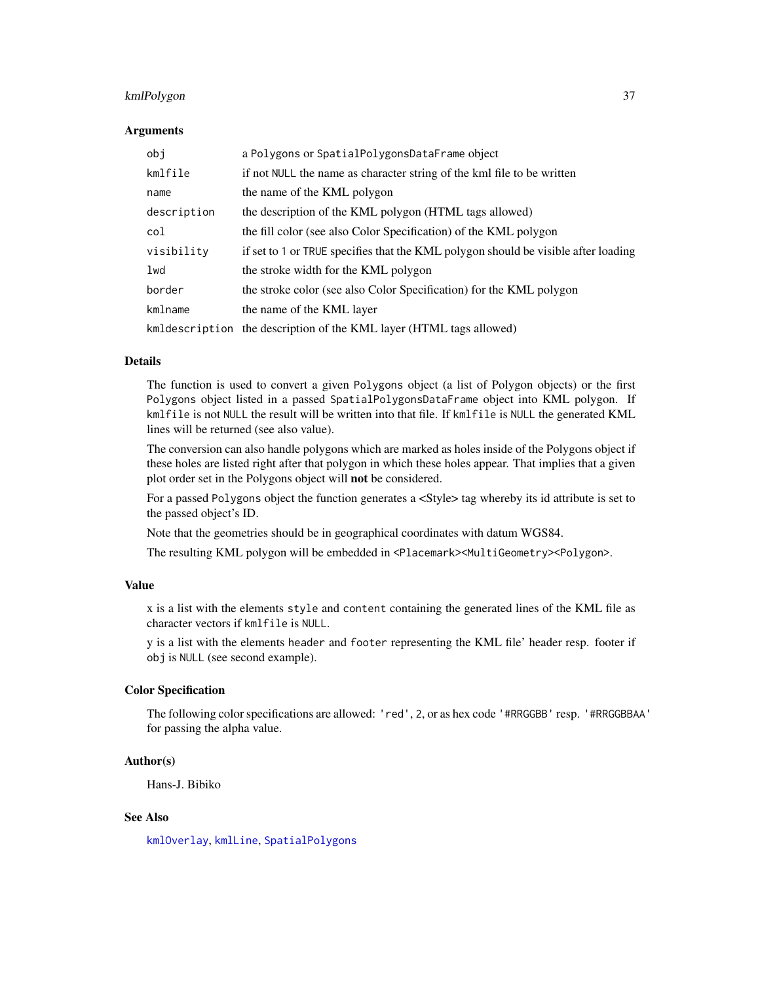# kmlPolygon 37

#### Arguments

| obi         | a Polygons or SpatialPolygonsDataFrame object                                      |
|-------------|------------------------------------------------------------------------------------|
| kmlfile     | if not NULL the name as character string of the kml file to be written             |
| name        | the name of the KML polygon                                                        |
| description | the description of the KML polygon (HTML tags allowed)                             |
| col         | the fill color (see also Color Specification) of the KML polygon                   |
| visibility  | if set to 1 or TRUE specifies that the KML polygon should be visible after loading |
| lwd         | the stroke width for the KML polygon                                               |
| border      | the stroke color (see also Color Specification) for the KML polygon                |
| kmlname     | the name of the KML layer                                                          |
|             | kmldescription the description of the KML layer (HTML tags allowed)                |

### Details

The function is used to convert a given Polygons object (a list of Polygon objects) or the first Polygons object listed in a passed SpatialPolygonsDataFrame object into KML polygon. If kmlfile is not NULL the result will be written into that file. If kmlfile is NULL the generated KML lines will be returned (see also value).

The conversion can also handle polygons which are marked as holes inside of the Polygons object if these holes are listed right after that polygon in which these holes appear. That implies that a given plot order set in the Polygons object will not be considered.

For a passed Polygons object the function generates a <Style> tag whereby its id attribute is set to the passed object's ID.

Note that the geometries should be in geographical coordinates with datum WGS84.

The resulting KML polygon will be embedded in <Placemark><MultiGeometry><Polygon>.

### Value

x is a list with the elements style and content containing the generated lines of the KML file as character vectors if kmlfile is NULL.

y is a list with the elements header and footer representing the KML file' header resp. footer if obj is NULL (see second example).

### Color Specification

The following color specifications are allowed: 'red', 2, or as hex code '#RRGGBB' resp. '#RRGGBBAA' for passing the alpha value.

### Author(s)

Hans-J. Bibiko

# See Also

[kmlOverlay](#page-32-0), [kmlLine](#page-29-0), [SpatialPolygons](#page-0-0)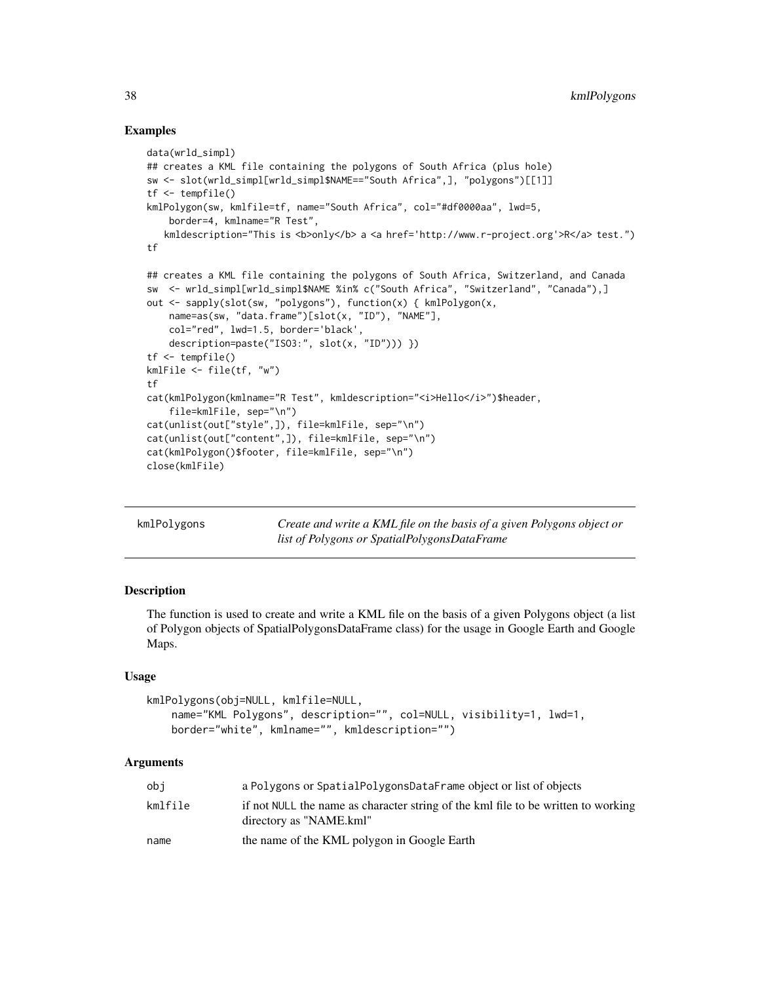### Examples

```
data(wrld_simpl)
## creates a KML file containing the polygons of South Africa (plus hole)
sw <- slot(wrld_simpl[wrld_simpl$NAME=="South Africa",], "polygons")[[1]]
tf <- tempfile()
kmlPolygon(sw, kmlfile=tf, name="South Africa", col="#df0000aa", lwd=5,
    border=4, kmlname="R Test",
   kmldescription="This is <b>only</b> a <a href='http://www.r-project.org'>R</a> test.")
tf
## creates a KML file containing the polygons of South Africa, Switzerland, and Canada
sw <- wrld_simpl[wrld_simpl$NAME %in% c("South Africa", "Switzerland", "Canada"),]
out <- sapply(slot(sw, "polygons"), function(x) { kmlPolygon(x,
   name=as(sw, "data.frame")[slot(x, "ID"), "NAME"],
   col="red", lwd=1.5, border='black',
    description=paste("ISO3:", slot(x, "ID"))) })
tf <- tempfile()
kmlFile <- file(tf, "w")
tf
cat(kmlPolygon(kmlname="R Test", kmldescription="<i>Hello</i>")$header,
    file=kmlFile, sep="\n")
cat(unlist(out["style",]), file=kmlFile, sep="\n")
cat(unlist(out["content",]), file=kmlFile, sep="\n")
cat(kmlPolygon()$footer, file=kmlFile, sep="\n")
close(kmlFile)
```

| kmlPolygons | Create and write a KML file on the basis of a given Polygons object or |
|-------------|------------------------------------------------------------------------|
|             | list of Polygons or SpatialPolygonsDataFrame                           |

# Description

The function is used to create and write a KML file on the basis of a given Polygons object (a list of Polygon objects of SpatialPolygonsDataFrame class) for the usage in Google Earth and Google Maps.

#### Usage

```
kmlPolygons(obj=NULL, kmlfile=NULL,
   name="KML Polygons", description="", col=NULL, visibility=1, lwd=1,
   border="white", kmlname="", kmldescription="")
```
### Arguments

| obi     | a Polygons or SpatialPolygonsDataFrame object or list of objects                                             |
|---------|--------------------------------------------------------------------------------------------------------------|
| kmlfile | if not NULL the name as character string of the kml file to be written to working<br>directory as "NAME.kml" |
| name    | the name of the KML polygon in Google Earth                                                                  |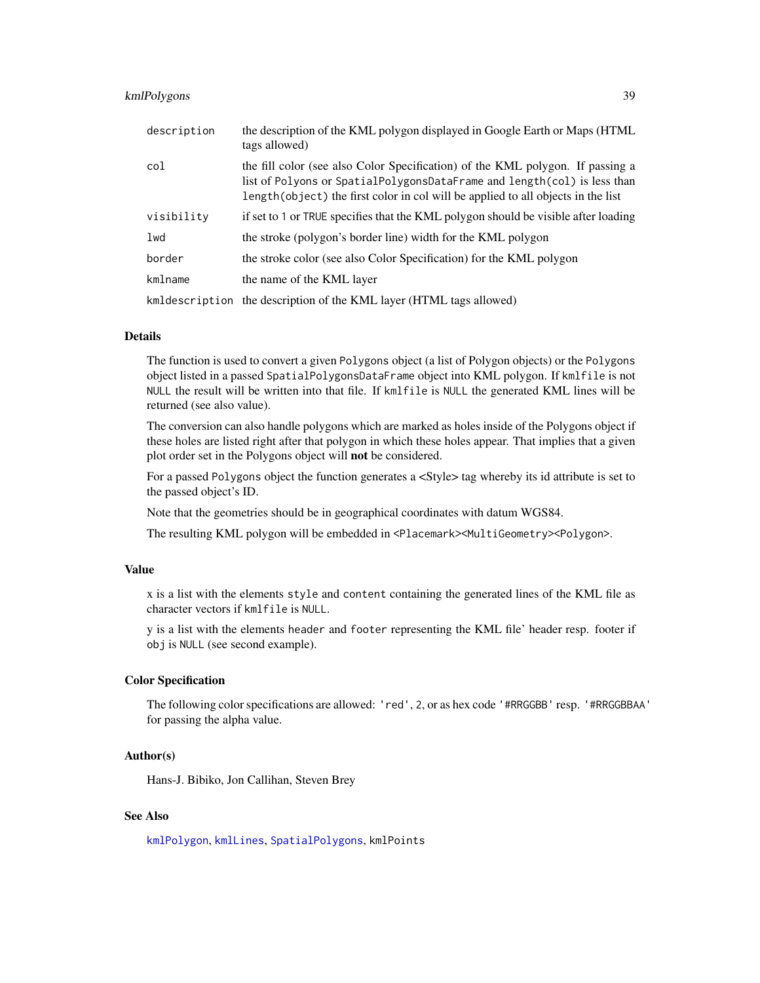# kmlPolygons 39

| description | the description of the KML polygon displayed in Google Earth or Maps (HTML)<br>tags allowed)                                                                                                                                                   |
|-------------|------------------------------------------------------------------------------------------------------------------------------------------------------------------------------------------------------------------------------------------------|
| col         | the fill color (see also Color Specification) of the KML polygon. If passing a<br>list of Polyons or SpatialPolygonsDataFrame and length(col) is less than<br>length(object) the first color in col will be applied to all objects in the list |
| visibility  | if set to 1 or TRUE specifies that the KML polygon should be visible after loading                                                                                                                                                             |
| lwd         | the stroke (polygon's border line) width for the KML polygon                                                                                                                                                                                   |
| border      | the stroke color (see also Color Specification) for the KML polygon                                                                                                                                                                            |
| kmlname     | the name of the KML layer                                                                                                                                                                                                                      |
|             | kmldescription the description of the KML layer (HTML tags allowed)                                                                                                                                                                            |

## Details

The function is used to convert a given Polygons object (a list of Polygon objects) or the Polygons object listed in a passed SpatialPolygonsDataFrame object into KML polygon. If kmlfile is not NULL the result will be written into that file. If kmlfile is NULL the generated KML lines will be returned (see also value).

The conversion can also handle polygons which are marked as holes inside of the Polygons object if these holes are listed right after that polygon in which these holes appear. That implies that a given plot order set in the Polygons object will not be considered.

For a passed Polygons object the function generates a <Style> tag whereby its id attribute is set to the passed object's ID.

Note that the geometries should be in geographical coordinates with datum WGS84.

The resulting KML polygon will be embedded in <Placemark><MultiGeometry><Polygon>.

#### Value

x is a list with the elements style and content containing the generated lines of the KML file as character vectors if kmlfile is NULL.

y is a list with the elements header and footer representing the KML file' header resp. footer if obj is NULL (see second example).

#### Color Specification

The following color specifications are allowed: 'red', 2, or as hex code '#RRGGBB' resp. '#RRGGBBAA' for passing the alpha value.

### Author(s)

Hans-J. Bibiko, Jon Callihan, Steven Brey

# See Also

[kmlPolygon](#page-35-0), [kmlLines](#page-31-0), [SpatialPolygons](#page-0-0), kmlPoints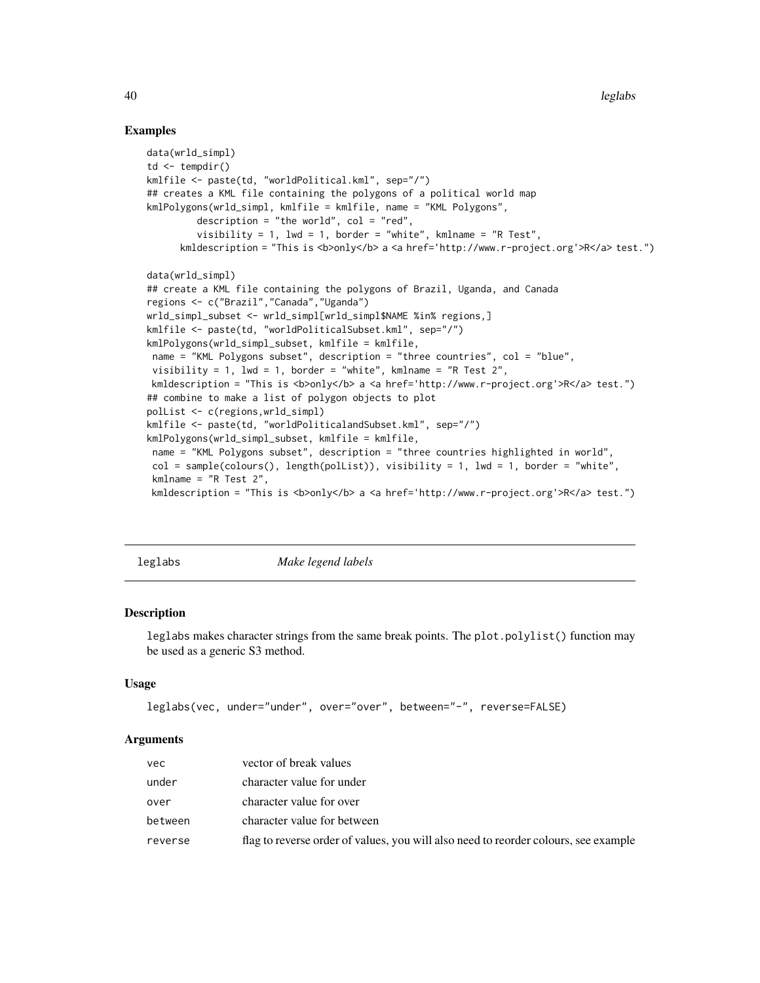### Examples

```
data(wrld_simpl)
td \leftarrow tempdir()kmlfile <- paste(td, "worldPolitical.kml", sep="/")
## creates a KML file containing the polygons of a political world map
kmlPolygons(wrld_simpl, kmlfile = kmlfile, name = "KML Polygons",
         description = "the world", col = "red",visibility = 1, lwd = 1, border = "white", kmlname = "R Test",
      kmldescription = "This is <b>only</b> a <a href='http://www.r-project.org'>R</a> test.")
data(wrld_simpl)
## create a KML file containing the polygons of Brazil, Uganda, and Canada
regions <- c("Brazil","Canada","Uganda")
wrld_simpl_subset <- wrld_simpl[wrld_simpl$NAME %in% regions,]
kmlfile <- paste(td, "worldPoliticalSubset.kml", sep="/")
kmlPolygons(wrld_simpl_subset, kmlfile = kmlfile,
name = "KML Polygons subset", description = "three countries", col = "blue",
 visibility = 1, lwd = 1, border = "white", kmlname = "R Test 2",
kmldescription = "This is <b>>>b>only</b> a <a href='http://www.r-project.org'>R</a> test.")
## combine to make a list of polygon objects to plot
polList <- c(regions,wrld_simpl)
kmlfile <- paste(td, "worldPoliticalandSubset.kml", sep="/")
kmlPolygons(wrld_simpl_subset, kmlfile = kmlfile,
 name = "KML Polygons subset", description = "three countries highlighted in world",
 col = sample(colours(), length(polList)), visibility = 1, lwd = 1, border = "white",
 kmlname = "R Test 2",
kmldescription = "This is <b>>>b>only</b> a <a href='http://www.r-project.org'>R</a> test.")
```
leglabs *Make legend labels*

## Description

leglabs makes character strings from the same break points. The plot.polylist() function may be used as a generic S3 method.

#### Usage

```
leglabs(vec, under="under", over="over", between="-", reverse=FALSE)
```
#### Arguments

| vec.    | vector of break values                                                              |
|---------|-------------------------------------------------------------------------------------|
| under   | character value for under                                                           |
| over    | character value for over                                                            |
| between | character value for between                                                         |
| reverse | flag to reverse order of values, you will also need to reorder colours, see example |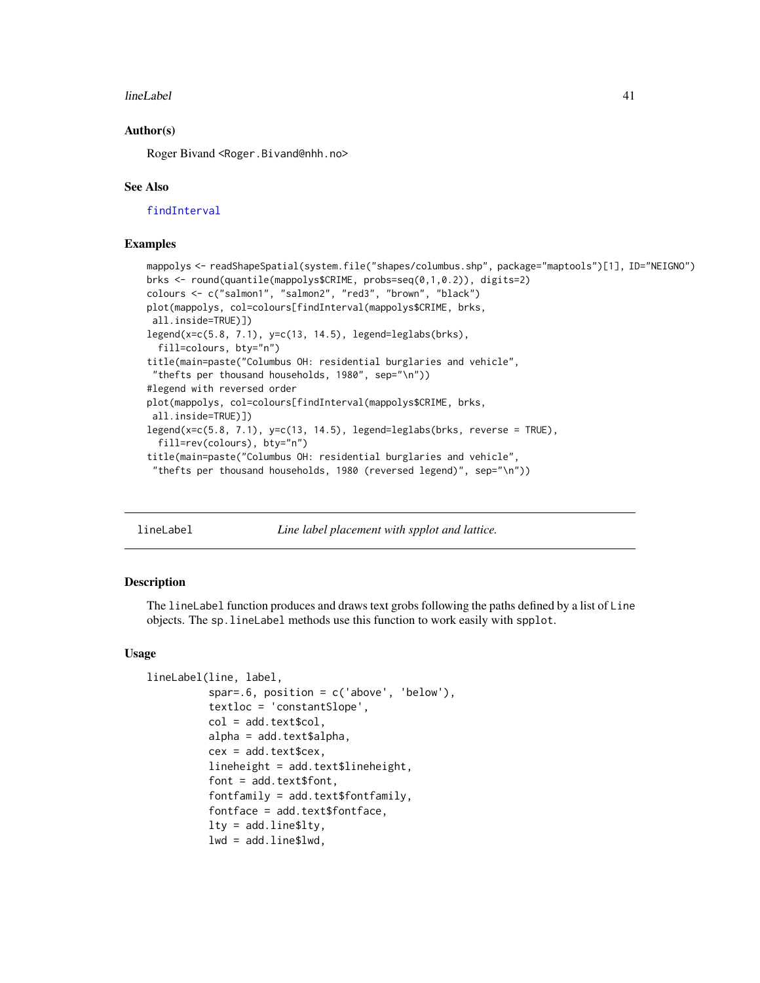#### lineLabel 41

### Author(s)

Roger Bivand <Roger.Bivand@nhh.no>

#### See Also

[findInterval](#page-0-0)

### Examples

```
mappolys <- readShapeSpatial(system.file("shapes/columbus.shp", package="maptools")[1], ID="NEIGNO")
brks <- round(quantile(mappolys$CRIME, probs=seq(0,1,0.2)), digits=2)
colours <- c("salmon1", "salmon2", "red3", "brown", "black")
plot(mappolys, col=colours[findInterval(mappolys$CRIME, brks,
all.inside=TRUE)])
legend(x=c(5.8, 7.1), y=c(13, 14.5), legend=leglabs(brks),
  fill=colours, bty="n")
title(main=paste("Columbus OH: residential burglaries and vehicle",
 "thefts per thousand households, 1980", sep="\n"))
#legend with reversed order
plot(mappolys, col=colours[findInterval(mappolys$CRIME, brks,
all.inside=TRUE)])
legend(x=c(5.8, 7.1), y=c(13, 14.5), legend=leglabs(brks, reverse = TRUE),fill=rev(colours), bty="n")
title(main=paste("Columbus OH: residential burglaries and vehicle",
 "thefts per thousand households, 1980 (reversed legend)", sep="\n"))
```
lineLabel *Line label placement with spplot and lattice.*

#### **Description**

The lineLabel function produces and draws text grobs following the paths defined by a list of Line objects. The sp.lineLabel methods use this function to work easily with spplot.

#### Usage

```
lineLabel(line, label,
          spar=.6, position = c('above', 'below'),
          textloc = 'constantSlope',
          col = add.text$col,
          alpha = add.text$alpha,cex = add.text$cex,
          lineheight = add.text$lineheight,
          font = add.text$font,
          fontfamily = add.text$fontfamily,
          fontface = add.text$fontface,
          lty = addu = $lty,
          lwd = add.line$lwd,
```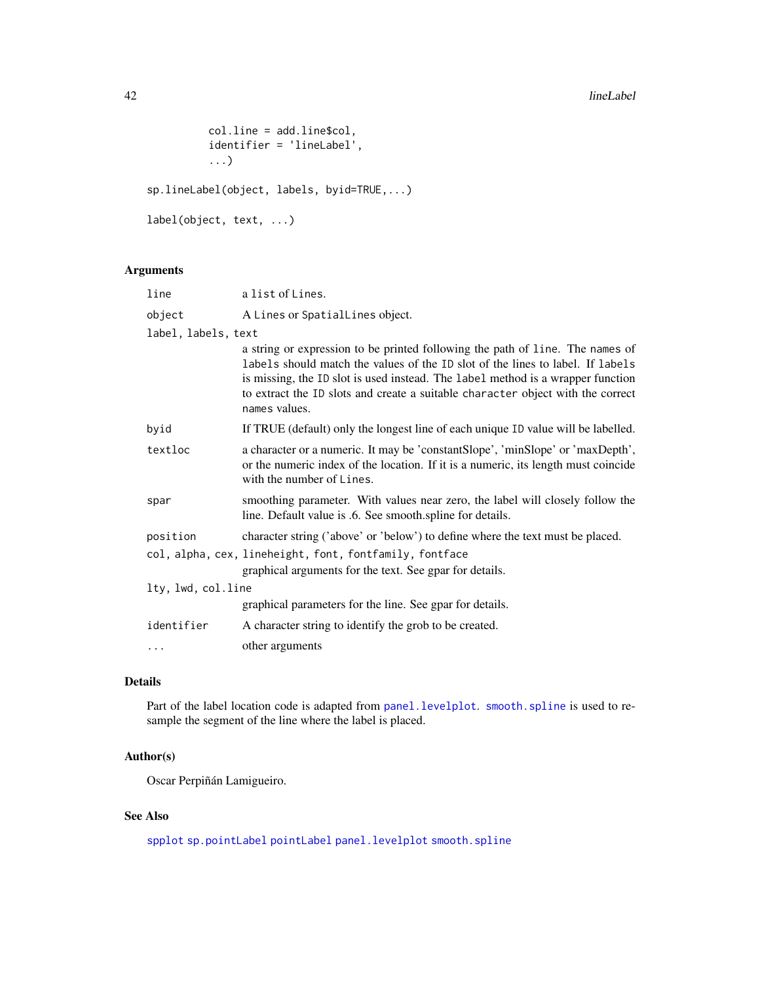```
col.line = add.line$col,
          identifier = 'lineLabel',
          ...)
sp.lineLabel(object, labels, byid=TRUE,...)
label(object, text, ...)
```
# Arguments

| line                | a list of Lines.                                                                                                                                                                                                                                                                                                                                       |  |
|---------------------|--------------------------------------------------------------------------------------------------------------------------------------------------------------------------------------------------------------------------------------------------------------------------------------------------------------------------------------------------------|--|
| object              | A Lines or SpatialLines object.                                                                                                                                                                                                                                                                                                                        |  |
| label, labels, text |                                                                                                                                                                                                                                                                                                                                                        |  |
|                     | a string or expression to be printed following the path of line. The names of<br>labels should match the values of the ID slot of the lines to label. If labels<br>is missing, the ID slot is used instead. The label method is a wrapper function<br>to extract the ID slots and create a suitable character object with the correct<br>names values. |  |
| byid                | If TRUE (default) only the longest line of each unique ID value will be labelled.                                                                                                                                                                                                                                                                      |  |
| textloc             | a character or a numeric. It may be 'constant Slope', 'min Slope' or 'max Depth',<br>or the numeric index of the location. If it is a numeric, its length must coincide<br>with the number of Lines.                                                                                                                                                   |  |
| spar                | smoothing parameter. With values near zero, the label will closely follow the<br>line. Default value is .6. See smooth.spline for details.                                                                                                                                                                                                             |  |
| position            | character string ('above' or 'below') to define where the text must be placed.                                                                                                                                                                                                                                                                         |  |
|                     | col, alpha, cex, lineheight, font, fontfamily, fontface<br>graphical arguments for the text. See gpar for details.                                                                                                                                                                                                                                     |  |
| lty, lwd, col.line  |                                                                                                                                                                                                                                                                                                                                                        |  |
|                     | graphical parameters for the line. See gpar for details.                                                                                                                                                                                                                                                                                               |  |
| identifier          | A character string to identify the grob to be created.                                                                                                                                                                                                                                                                                                 |  |
| $\ddots$            | other arguments                                                                                                                                                                                                                                                                                                                                        |  |

# Details

Part of the label location code is adapted from [panel.levelplot](#page-0-0). [smooth.spline](#page-0-0) is used to resample the segment of the line where the label is placed.

# Author(s)

Oscar Perpiñán Lamigueiro.

# See Also

[spplot](#page-0-0) [sp.pointLabel](#page-51-0) [pointLabel](#page-53-0) [panel.levelplot](#page-0-0) [smooth.spline](#page-0-0)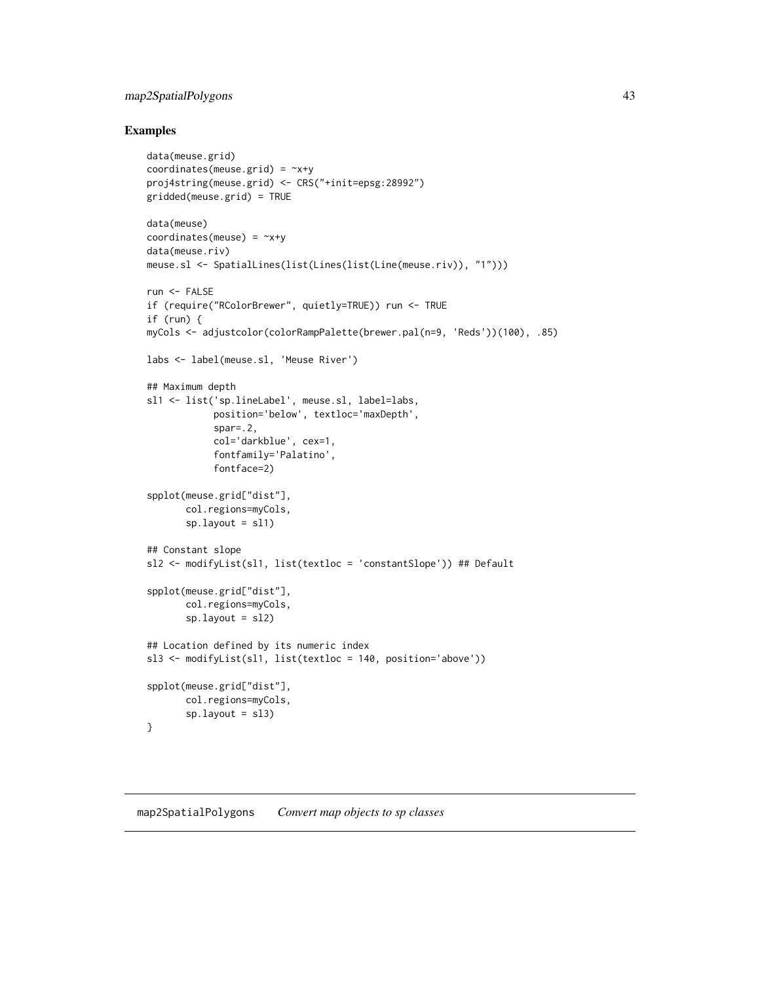# map2SpatialPolygons 43

# Examples

```
data(meuse.grid)
coordinates(meuse.grid) = -x+yproj4string(meuse.grid) <- CRS("+init=epsg:28992")
gridded(meuse.grid) = TRUE
data(meuse)
coordinates(meuse) = -x+ydata(meuse.riv)
meuse.sl <- SpatialLines(list(Lines(list(Line(meuse.riv)), "1")))
run <- FALSE
if (require("RColorBrewer", quietly=TRUE)) run <- TRUE
if (run) {
myCols <- adjustcolor(colorRampPalette(brewer.pal(n=9, 'Reds'))(100), .85)
labs <- label(meuse.sl, 'Meuse River')
## Maximum depth
sl1 <- list('sp.lineLabel', meuse.sl, label=labs,
            position='below', textloc='maxDepth',
            spar=.2,
            col='darkblue', cex=1,
            fontfamily='Palatino',
            fontface=2)
spplot(meuse.grid["dist"],
       col.regions=myCols,
       sp.layout = sl1)
## Constant slope
sl2 <- modifyList(sl1, list(textloc = 'constantSlope')) ## Default
spplot(meuse.grid["dist"],
       col.regions=myCols,
       sp.layout = sl2)## Location defined by its numeric index
sl3 <- modifyList(sl1, list(textloc = 140, position='above'))
spplot(meuse.grid["dist"],
       col.regions=myCols,
       sp.layout = s13)}
```
#### <span id="page-42-0"></span>map2SpatialPolygons *Convert map objects to sp classes*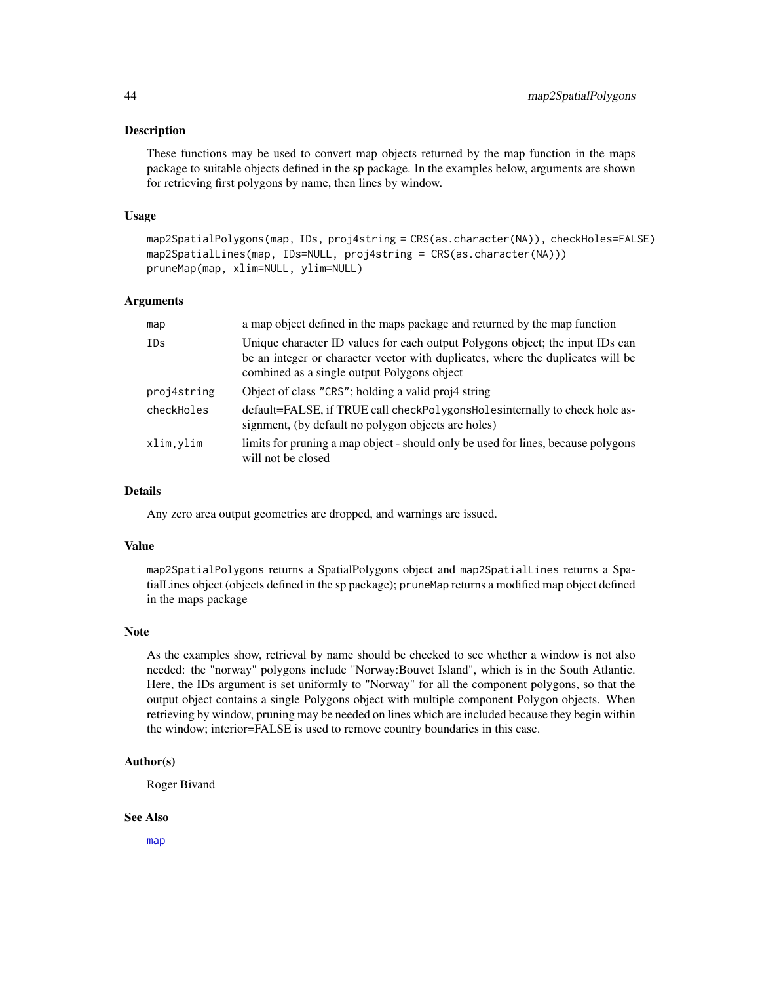These functions may be used to convert map objects returned by the map function in the maps package to suitable objects defined in the sp package. In the examples below, arguments are shown for retrieving first polygons by name, then lines by window.

#### Usage

```
map2SpatialPolygons(map, IDs, proj4string = CRS(as.character(NA)), checkHoles=FALSE)
map2SpatialLines(map, IDs=NULL, proj4string = CRS(as.character(NA)))
pruneMap(map, xlim=NULL, ylim=NULL)
```
#### Arguments

| map         | a map object defined in the maps package and returned by the map function                                                                                                                                       |
|-------------|-----------------------------------------------------------------------------------------------------------------------------------------------------------------------------------------------------------------|
| IDs         | Unique character ID values for each output Polygons object; the input IDs can<br>be an integer or character vector with duplicates, where the duplicates will be<br>combined as a single output Polygons object |
| proj4string | Object of class "CRS"; holding a valid proj4 string                                                                                                                                                             |
| checkHoles  | default=FALSE, if TRUE call checkPolygonsHolesinternally to check hole as-<br>signment, (by default no polygon objects are holes)                                                                               |
| xlim,ylim   | limits for pruning a map object - should only be used for lines, because polygons<br>will not be closed                                                                                                         |

### Details

Any zero area output geometries are dropped, and warnings are issued.

#### Value

map2SpatialPolygons returns a SpatialPolygons object and map2SpatialLines returns a SpatialLines object (objects defined in the sp package); pruneMap returns a modified map object defined in the maps package

#### Note

As the examples show, retrieval by name should be checked to see whether a window is not also needed: the "norway" polygons include "Norway:Bouvet Island", which is in the South Atlantic. Here, the IDs argument is set uniformly to "Norway" for all the component polygons, so that the output object contains a single Polygons object with multiple component Polygon objects. When retrieving by window, pruning may be needed on lines which are included because they begin within the window; interior=FALSE is used to remove country boundaries in this case.

### Author(s)

Roger Bivand

#### See Also

[map](#page-0-0)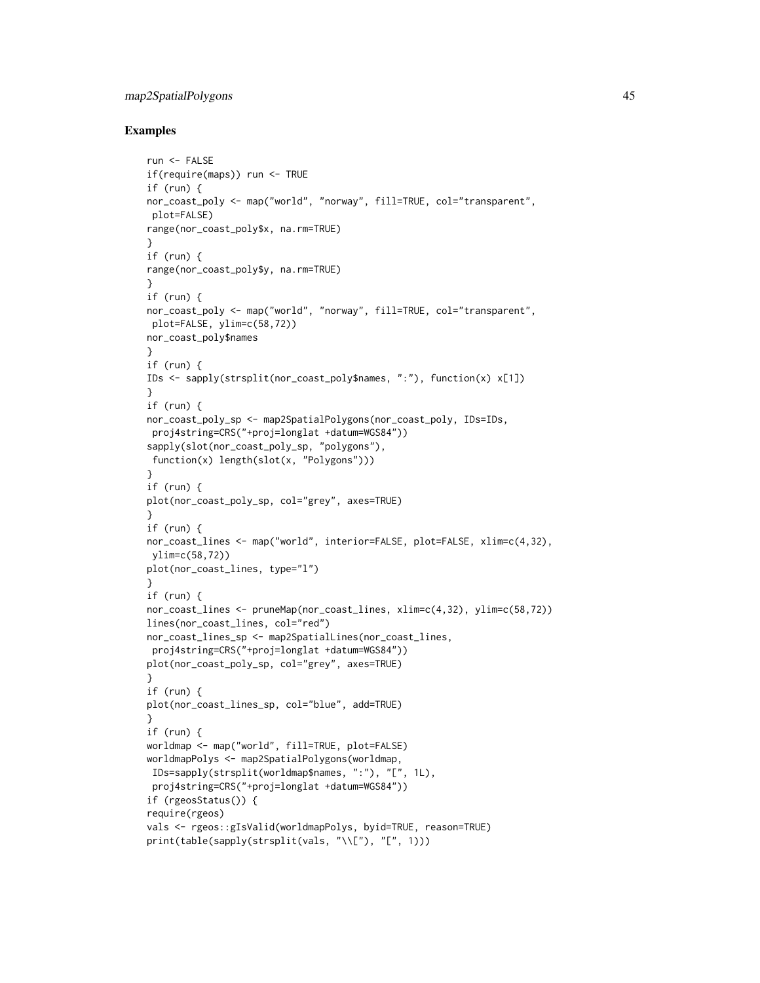# map2SpatialPolygons 45

```
run <- FALSE
if(require(maps)) run <- TRUE
if (run) {
nor_coast_poly <- map("world", "norway", fill=TRUE, col="transparent",
plot=FALSE)
range(nor_coast_poly$x, na.rm=TRUE)
}
if (run) {
range(nor_coast_poly$y, na.rm=TRUE)
}
if (run) {
nor_coast_poly <- map("world", "norway", fill=TRUE, col="transparent",
plot=FALSE, ylim=c(58,72))
nor_coast_poly$names
}
if (run) {
IDs <- sapply(strsplit(nor_coast_poly$names, ":"), function(x) x[1])
}
if (run) {
nor_coast_poly_sp <- map2SpatialPolygons(nor_coast_poly, IDs=IDs,
 proj4string=CRS("+proj=longlat +datum=WGS84"))
sapply(slot(nor_coast_poly_sp, "polygons"),
function(x) length(slot(x, "Polygons")))
}
if (run) {
plot(nor_coast_poly_sp, col="grey", axes=TRUE)
}
if (run) {
nor_coast_lines <- map("world", interior=FALSE, plot=FALSE, xlim=c(4,32),
ylim=c(58,72))
plot(nor_coast_lines, type="l")
}
if (run) {
nor_coast_lines <- pruneMap(nor_coast_lines, xlim=c(4,32), ylim=c(58,72))
lines(nor_coast_lines, col="red")
nor_coast_lines_sp <- map2SpatialLines(nor_coast_lines,
proj4string=CRS("+proj=longlat +datum=WGS84"))
plot(nor_coast_poly_sp, col="grey", axes=TRUE)
}
if (run) {
plot(nor_coast_lines_sp, col="blue", add=TRUE)
}
if (run) {
worldmap <- map("world", fill=TRUE, plot=FALSE)
worldmapPolys <- map2SpatialPolygons(worldmap,
IDs=sapply(strsplit(worldmap$names, ":"), "[", 1L),
 proj4string=CRS("+proj=longlat +datum=WGS84"))
if (rgeosStatus()) {
require(rgeos)
vals <- rgeos::gIsValid(worldmapPolys, byid=TRUE, reason=TRUE)
print(table(sapply(strsplit(vals, "\\["), "[", 1)))
```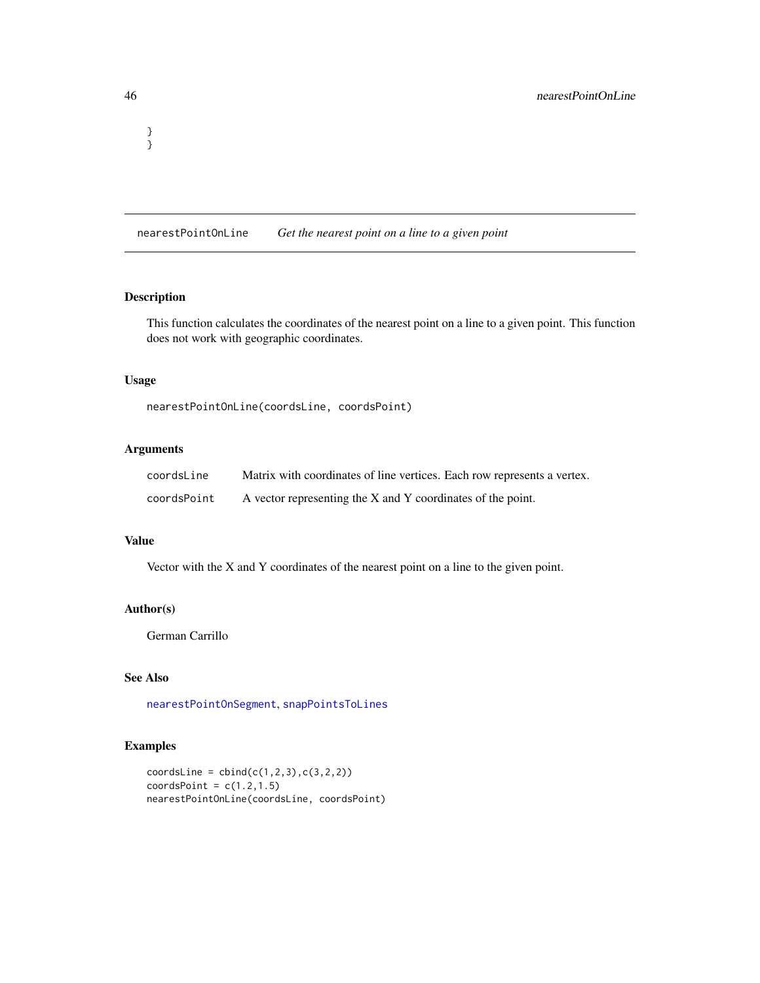<span id="page-45-0"></span>nearestPointOnLine *Get the nearest point on a line to a given point*

### Description

This function calculates the coordinates of the nearest point on a line to a given point. This function does not work with geographic coordinates.

### Usage

nearestPointOnLine(coordsLine, coordsPoint)

# Arguments

| coordsLine  | Matrix with coordinates of line vertices. Each row represents a vertex. |
|-------------|-------------------------------------------------------------------------|
| coordsPoint | A vector representing the X and Y coordinates of the point.             |

### Value

Vector with the  $X$  and  $Y$  coordinates of the nearest point on a line to the given point.

# Author(s)

German Carrillo

# See Also

[nearestPointOnSegment](#page-46-0), [snapPointsToLines](#page-68-0)

# Examples

```
coordinates = child(c(1, 2, 3), c(3, 2, 2))coordinatesPoint = c(1.2, 1.5)nearestPointOnLine(coordsLine, coordsPoint)
```
} }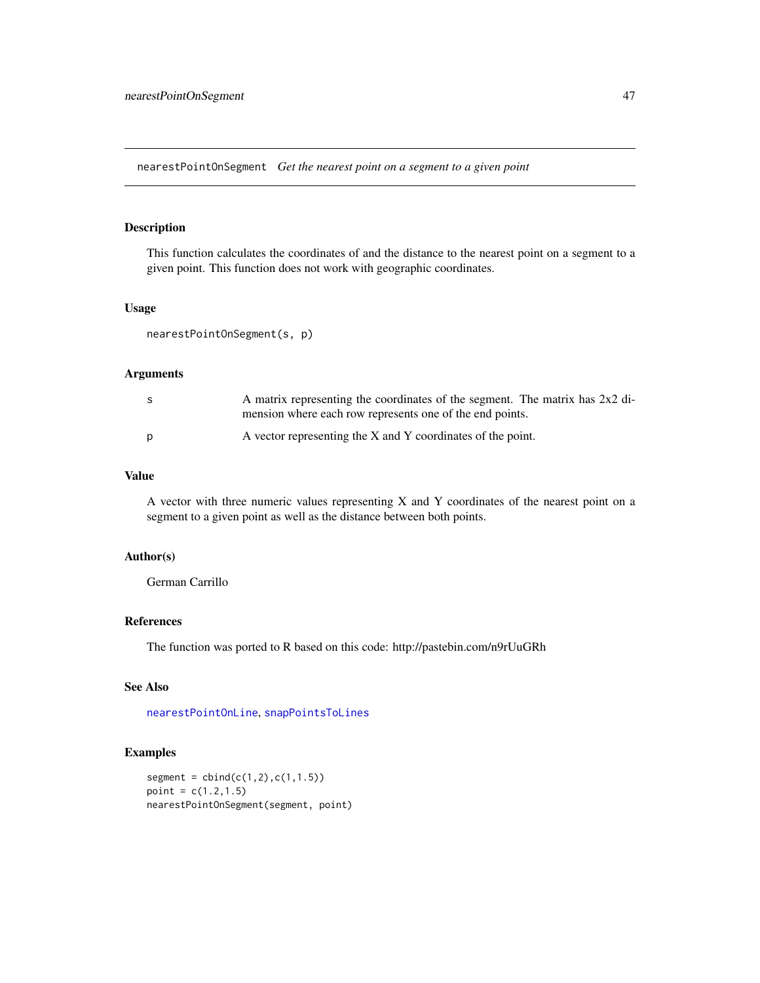<span id="page-46-0"></span>nearestPointOnSegment *Get the nearest point on a segment to a given point*

### Description

This function calculates the coordinates of and the distance to the nearest point on a segment to a given point. This function does not work with geographic coordinates.

#### Usage

```
nearestPointOnSegment(s, p)
```
### Arguments

| -S | A matrix representing the coordinates of the segment. The matrix has 2x2 di- |
|----|------------------------------------------------------------------------------|
|    | mension where each row represents one of the end points.                     |
| D  | A vector representing the X and Y coordinates of the point.                  |

### Value

A vector with three numeric values representing X and Y coordinates of the nearest point on a segment to a given point as well as the distance between both points.

#### Author(s)

German Carrillo

# References

The function was ported to R based on this code: http://pastebin.com/n9rUuGRh

# See Also

[nearestPointOnLine](#page-45-0), [snapPointsToLines](#page-68-0)

```
segment = child(c(1, 2), c(1, 1.5))point = c(1.2, 1.5)nearestPointOnSegment(segment, point)
```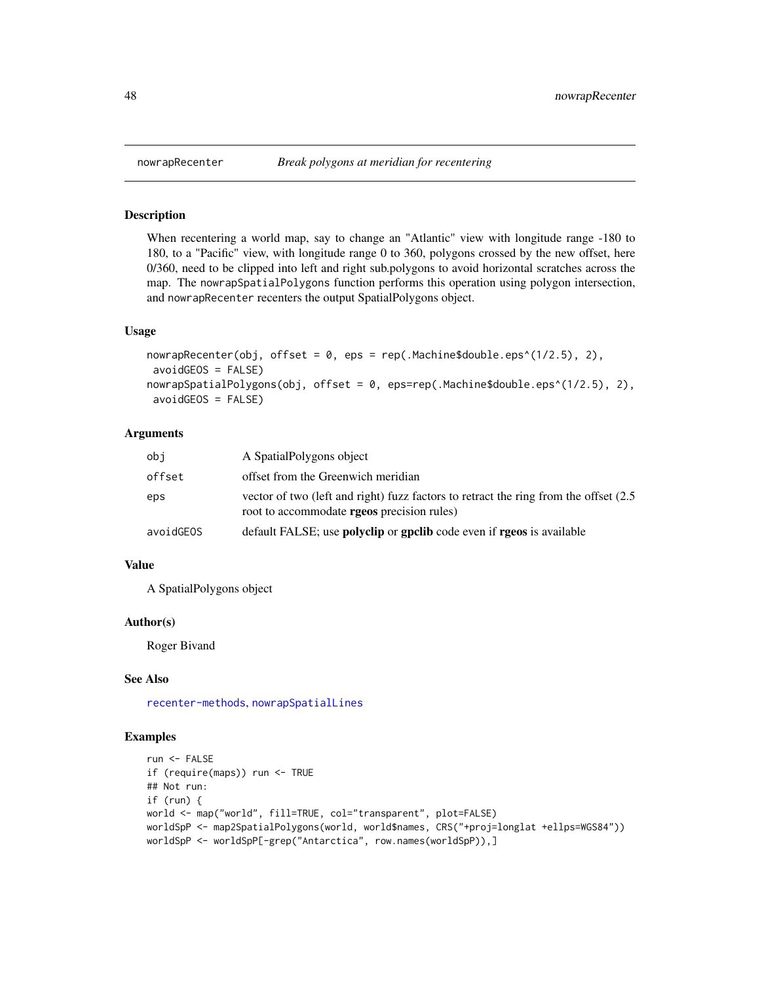When recentering a world map, say to change an "Atlantic" view with longitude range -180 to 180, to a "Pacific" view, with longitude range 0 to 360, polygons crossed by the new offset, here 0/360, need to be clipped into left and right sub.polygons to avoid horizontal scratches across the map. The nowrapSpatialPolygons function performs this operation using polygon intersection, and nowrapRecenter recenters the output SpatialPolygons object.

#### Usage

```
nowrapRecenter(obj, offset = 0, eps = rep(.Machine$double.eps^(1/2.5), 2),
avoidGEOS = FALSE)
nowrapSpatialPolygons(obj, offset = 0, eps=rep(.Machine$double.eps^(1/2.5), 2),
avoidGEOS = FALSE)
```
### Arguments

| obi       | A Spatial Polygons object                                                                                                                 |
|-----------|-------------------------------------------------------------------------------------------------------------------------------------------|
| offset    | offset from the Greenwich meridian                                                                                                        |
| eps       | yector of two (left and right) fuzz factors to retract the ring from the offset (2.5<br>root to accommodate <b>rgeos</b> precision rules) |
| avoidGEOS | default FALSE; use <b>polyclip</b> or <b>gpclib</b> code even if <b>rgeos</b> is available                                                |

## Value

A SpatialPolygons object

### Author(s)

Roger Bivand

#### See Also

[recenter-methods](#page-0-0), [nowrapSpatialLines](#page-48-0)

```
run <- FALSE
if (require(maps)) run <- TRUE
## Not run:
if (run) {
world <- map("world", fill=TRUE, col="transparent", plot=FALSE)
worldSpP <- map2SpatialPolygons(world, world$names, CRS("+proj=longlat +ellps=WGS84"))
worldSpP <- worldSpP[-grep("Antarctica", row.names(worldSpP)),]
```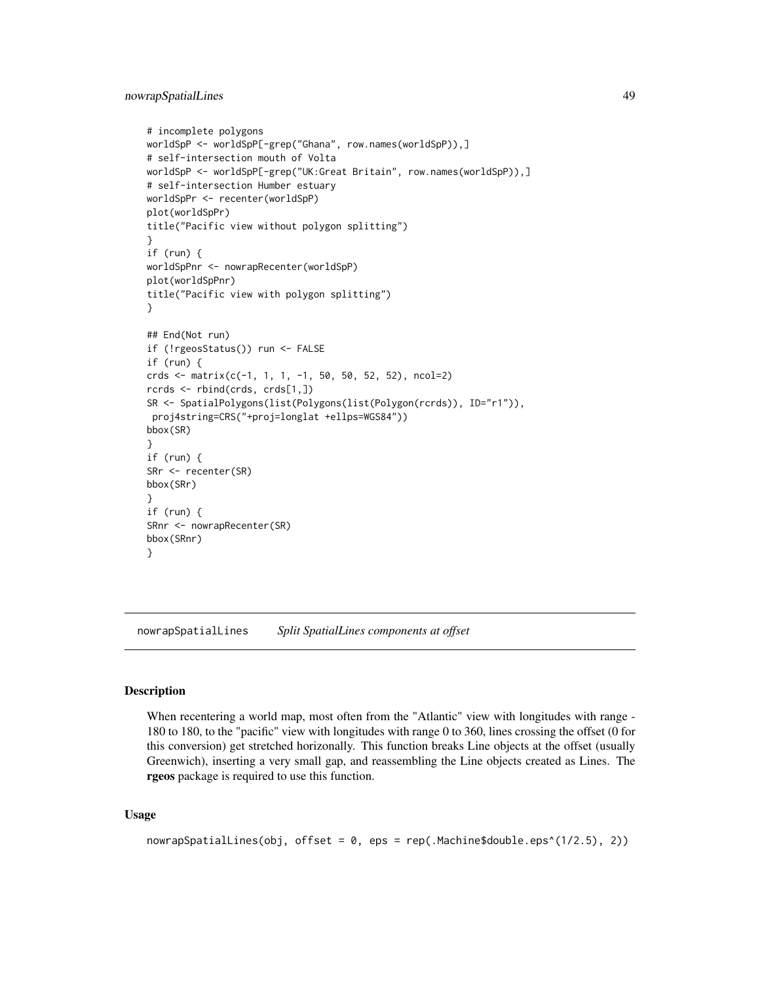```
# incomplete polygons
worldSpP <- worldSpP[-grep("Ghana", row.names(worldSpP)),]
# self-intersection mouth of Volta
worldSpP <- worldSpP[-grep("UK:Great Britain", row.names(worldSpP)),]
# self-intersection Humber estuary
worldSpPr <- recenter(worldSpP)
plot(worldSpPr)
title("Pacific view without polygon splitting")
}
if (run) {
worldSpPnr <- nowrapRecenter(worldSpP)
plot(worldSpPnr)
title("Pacific view with polygon splitting")
}
## End(Not run)
if (!rgeosStatus()) run <- FALSE
if (run) {
crds <- matrix(c(-1, 1, 1, -1, 50, 50, 52, 52), ncol=2)
rcrds <- rbind(crds, crds[1,])
SR <- SpatialPolygons(list(Polygons(list(Polygon(rcrds)), ID="r1")),
proj4string=CRS("+proj=longlat +ellps=WGS84"))
bbox(SR)
}
if (run) {
SRr <- recenter(SR)
bbox(SRr)
}
if (run) {
SRnr <- nowrapRecenter(SR)
bbox(SRnr)
}
```
<span id="page-48-0"></span>nowrapSpatialLines *Split SpatialLines components at offset*

#### **Description**

When recentering a world map, most often from the "Atlantic" view with longitudes with range -180 to 180, to the "pacific" view with longitudes with range 0 to 360, lines crossing the offset (0 for this conversion) get stretched horizonally. This function breaks Line objects at the offset (usually Greenwich), inserting a very small gap, and reassembling the Line objects created as Lines. The rgeos package is required to use this function.

#### Usage

```
nowrapSpatialLines(obj, offset = 0, eps = rep(.Machine$double.eps^(1/2.5), 2))
```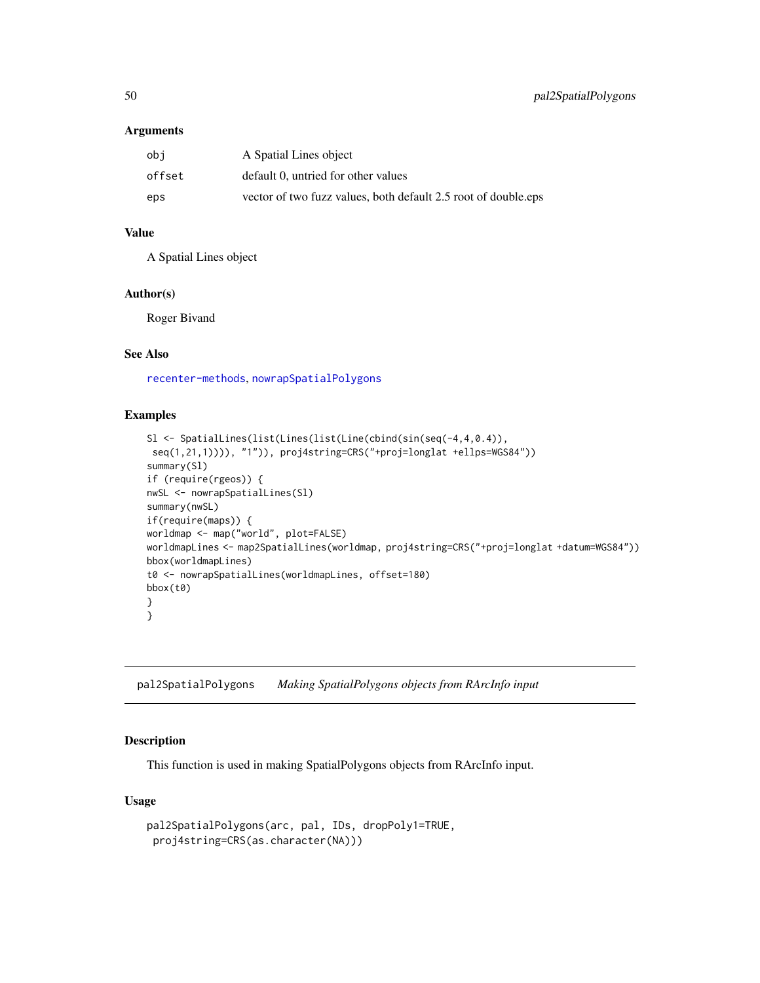#### Arguments

| obi    | A Spatial Lines object                                         |
|--------|----------------------------------------------------------------|
| offset | default 0, untried for other values                            |
| eps    | vector of two fuzz values, both default 2.5 root of double.eps |

# Value

A Spatial Lines object

### Author(s)

Roger Bivand

# See Also

[recenter-methods](#page-0-0), [nowrapSpatialPolygons](#page-47-0)

### Examples

```
Sl <- SpatialLines(list(Lines(list(Line(cbind(sin(seq(-4,4,0.4)),
 seq(1,21,1)))), "1")), proj4string=CRS("+proj=longlat +ellps=WGS84"))
summary(Sl)
if (require(rgeos)) {
nwSL <- nowrapSpatialLines(Sl)
summary(nwSL)
if(require(maps)) {
worldmap <- map("world", plot=FALSE)
worldmapLines <- map2SpatialLines(worldmap, proj4string=CRS("+proj=longlat +datum=WGS84"))
bbox(worldmapLines)
t0 <- nowrapSpatialLines(worldmapLines, offset=180)
bbox(t0)
}
}
```
pal2SpatialPolygons *Making SpatialPolygons objects from RArcInfo input*

### Description

This function is used in making SpatialPolygons objects from RArcInfo input.

### Usage

```
pal2SpatialPolygons(arc, pal, IDs, dropPoly1=TRUE,
proj4string=CRS(as.character(NA)))
```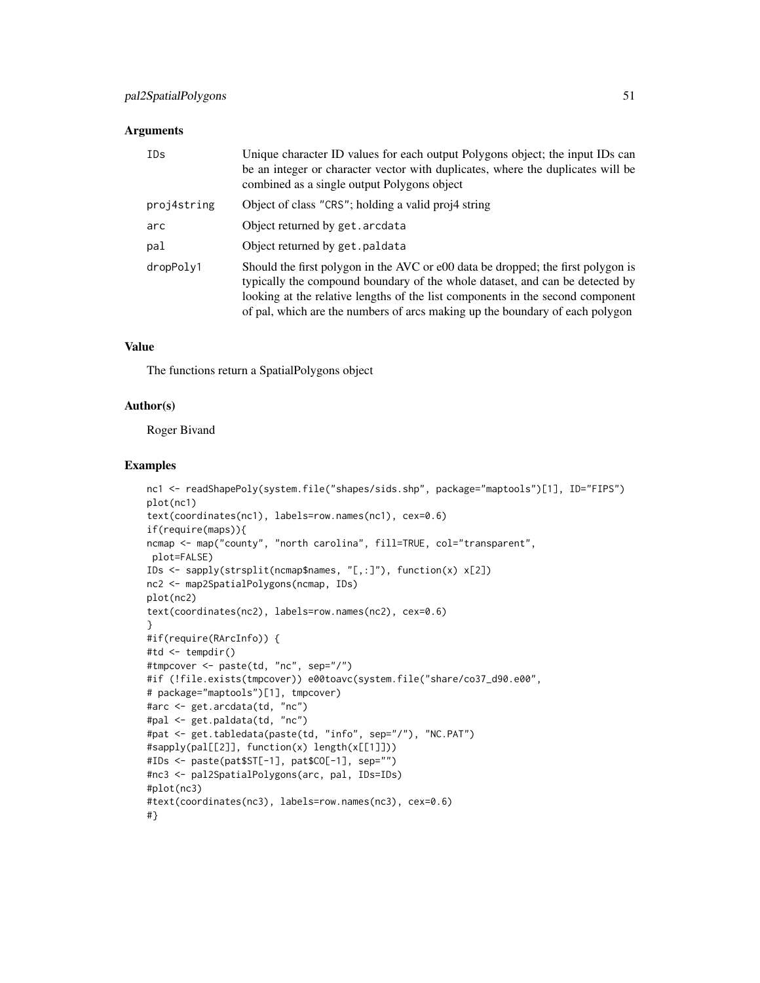#### Arguments

| IDs         | Unique character ID values for each output Polygons object; the input IDs can<br>be an integer or character vector with duplicates, where the duplicates will be<br>combined as a single output Polygons object                                                                                                                    |
|-------------|------------------------------------------------------------------------------------------------------------------------------------------------------------------------------------------------------------------------------------------------------------------------------------------------------------------------------------|
| proj4string | Object of class "CRS"; holding a valid proj4 string                                                                                                                                                                                                                                                                                |
| arc         | Object returned by get. arcdata                                                                                                                                                                                                                                                                                                    |
| pal         | Object returned by get. paldata                                                                                                                                                                                                                                                                                                    |
| dropPoly1   | Should the first polygon in the AVC or e00 data be dropped; the first polygon is<br>typically the compound boundary of the whole dataset, and can be detected by<br>looking at the relative lengths of the list components in the second component<br>of pal, which are the numbers of arcs making up the boundary of each polygon |

# Value

The functions return a SpatialPolygons object

### Author(s)

Roger Bivand

```
nc1 <- readShapePoly(system.file("shapes/sids.shp", package="maptools")[1], ID="FIPS")
plot(nc1)
text(coordinates(nc1), labels=row.names(nc1), cex=0.6)
if(require(maps)){
ncmap <- map("county", "north carolina", fill=TRUE, col="transparent",
plot=FALSE)
IDs <- sapply(strsplit(ncmap$names, "[,:]"), function(x) x[2])
nc2 <- map2SpatialPolygons(ncmap, IDs)
plot(nc2)
text(coordinates(nc2), labels=row.names(nc2), cex=0.6)
}
#if(require(RArcInfo)) {
#td <- tempdir()
#tmpcover <- paste(td, "nc", sep="/")
#if (!file.exists(tmpcover)) e00toavc(system.file("share/co37_d90.e00",
# package="maptools")[1], tmpcover)
#arc <- get.arcdata(td, "nc")
#pal <- get.paldata(td, "nc")
#pat <- get.tabledata(paste(td, "info", sep="/"), "NC.PAT")
#sapply(pal[[2]], function(x) length(x[[1]]))
#IDs <- paste(pat$ST[-1], pat$CO[-1], sep="")
#nc3 <- pal2SpatialPolygons(arc, pal, IDs=IDs)
#plot(nc3)
#text(coordinates(nc3), labels=row.names(nc3), cex=0.6)
#}
```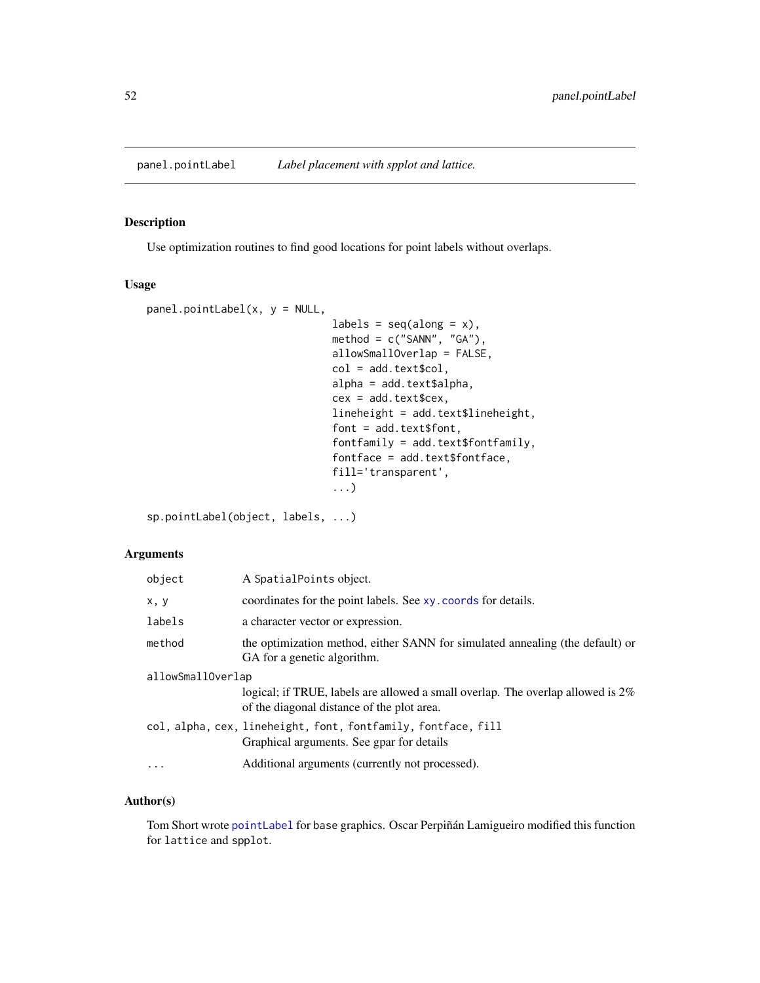<span id="page-51-0"></span>

Use optimization routines to find good locations for point labels without overlaps.

### Usage

```
panel.pointLabel(x, y = NULL,labels = seq(along = x),
                              method = c("SANN", "GA"),
                              allowSmallOverlap = FALSE,
                              col = add.text$col,
                              alpha = add.text$alpha,
                              cex = add.text$cex,
                              lineheight = add.text$lineheight,
                              font = add.text$font,fontfamily = add.text$fontfamily,
                              fontface = add.text$fontface,
                              fill='transparent',
                              ...)
```
sp.pointLabel(object, labels, ...)

# Arguments

| object            | A SpatialPoints object.                                                                                                       |
|-------------------|-------------------------------------------------------------------------------------------------------------------------------|
| x, y              | coordinates for the point labels. See xy. coords for details.                                                                 |
| labels            | a character vector or expression.                                                                                             |
| method            | the optimization method, either SANN for simulated annealing (the default) or<br>GA for a genetic algorithm.                  |
| allowSmallOverlap |                                                                                                                               |
|                   | logical; if TRUE, labels are allowed a small overlap. The overlap allowed is 2%<br>of the diagonal distance of the plot area. |
|                   | col, alpha, cex, lineheight, font, fontfamily, fontface, fill<br>Graphical arguments. See gpar for details                    |
| $\cdots$          | Additional arguments (currently not processed).                                                                               |

# Author(s)

Tom Short wrote [pointLabel](#page-53-0) for base graphics. Oscar Perpiñán Lamigueiro modified this function for lattice and spplot.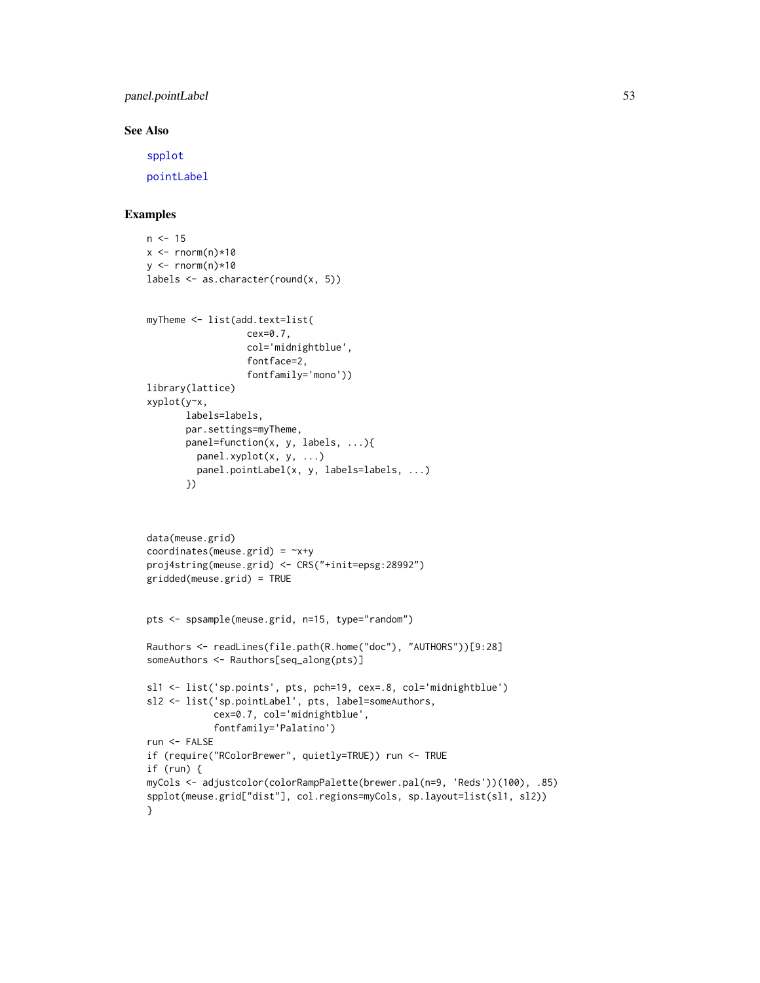panel.pointLabel 53

### See Also

[spplot](#page-0-0)

[pointLabel](#page-53-0)

```
n < -15x \leq -rnorm(n)*10y \le - rnorm(n)*10labels <- as.character(round(x, 5))
myTheme <- list(add.text=list(
                  cex=0.7,
                  col='midnightblue',
                  fontface=2,
                  fontfamily='mono'))
library(lattice)
xyplot(y~x,
       labels=labels,
       par.settings=myTheme,
       panel=function(x, y, labels, ...){
         panel.xyplot(x, y, ...)
         panel.pointLabel(x, y, labels=labels, ...)
       })
data(meuse.grid)
coordinates(meuse.grid) = ~x+y
proj4string(meuse.grid) <- CRS("+init=epsg:28992")
gridded(meuse.grid) = TRUE
pts <- spsample(meuse.grid, n=15, type="random")
Rauthors <- readLines(file.path(R.home("doc"), "AUTHORS"))[9:28]
someAuthors <- Rauthors[seq_along(pts)]
sl1 <- list('sp.points', pts, pch=19, cex=.8, col='midnightblue')
sl2 <- list('sp.pointLabel', pts, label=someAuthors,
            cex=0.7, col='midnightblue',
            fontfamily='Palatino')
run <- FALSE
if (require("RColorBrewer", quietly=TRUE)) run <- TRUE
if (run) {
myCols <- adjustcolor(colorRampPalette(brewer.pal(n=9, 'Reds'))(100), .85)
spplot(meuse.grid["dist"], col.regions=myCols, sp.layout=list(sl1, sl2))
}
```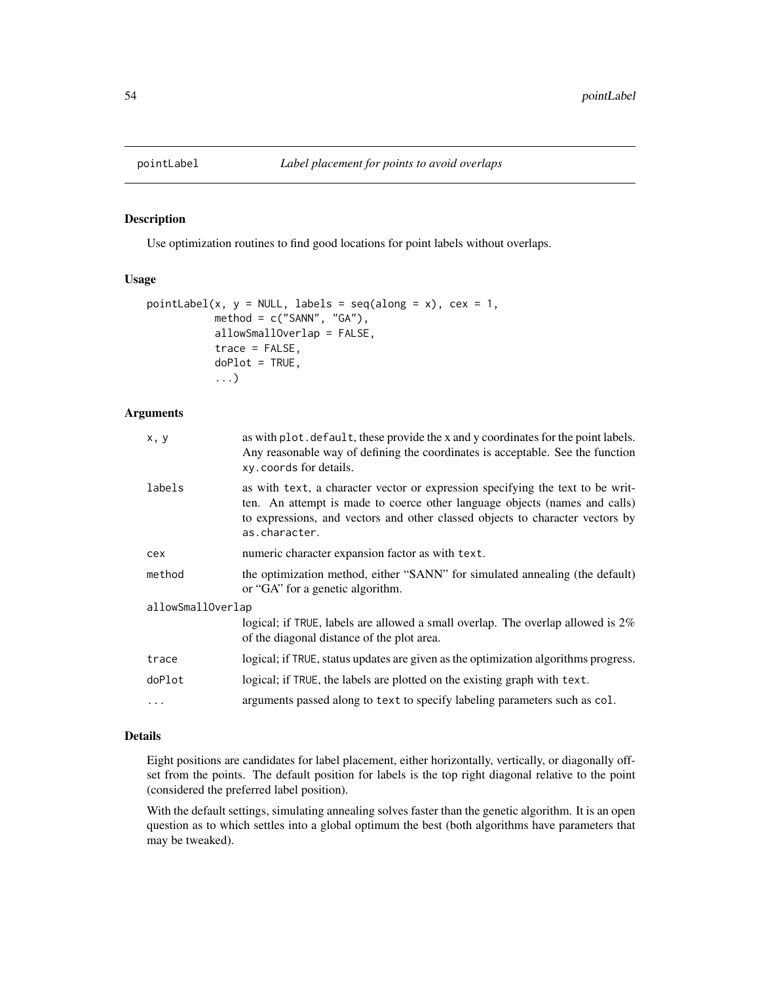<span id="page-53-0"></span>

Use optimization routines to find good locations for point labels without overlaps.

### Usage

```
pointLabel(x, y = NULL, labels = seq(along = x), cex = 1,
           method = c("SANN", "GA"),
           allowSmallOverlap = FALSE,
           trace = FALSE,
           doPlot = TRUE,
           ...)
```
#### Arguments

| x, y              | as with plot. default, these provide the x and y coordinates for the point labels.<br>Any reasonable way of defining the coordinates is acceptable. See the function<br>xy. coords for details.                                                                |  |
|-------------------|----------------------------------------------------------------------------------------------------------------------------------------------------------------------------------------------------------------------------------------------------------------|--|
| labels            | as with text, a character vector or expression specifying the text to be writ-<br>ten. An attempt is made to coerce other language objects (names and calls)<br>to expressions, and vectors and other classed objects to character vectors by<br>as.character. |  |
| cex               | numeric character expansion factor as with text.                                                                                                                                                                                                               |  |
| method            | the optimization method, either "SANN" for simulated annealing (the default)<br>or "GA" for a genetic algorithm.                                                                                                                                               |  |
| allowSmallOverlap |                                                                                                                                                                                                                                                                |  |
|                   | logical; if TRUE, labels are allowed a small overlap. The overlap allowed is $2\%$<br>of the diagonal distance of the plot area.                                                                                                                               |  |
| trace             | logical; if TRUE, status updates are given as the optimization algorithms progress.                                                                                                                                                                            |  |
| doPlot            | logical; if TRUE, the labels are plotted on the existing graph with text.                                                                                                                                                                                      |  |
| $\ddotsc$         | arguments passed along to text to specify labeling parameters such as col.                                                                                                                                                                                     |  |
|                   |                                                                                                                                                                                                                                                                |  |

## Details

Eight positions are candidates for label placement, either horizontally, vertically, or diagonally offset from the points. The default position for labels is the top right diagonal relative to the point (considered the preferred label position).

With the default settings, simulating annealing solves faster than the genetic algorithm. It is an open question as to which settles into a global optimum the best (both algorithms have parameters that may be tweaked).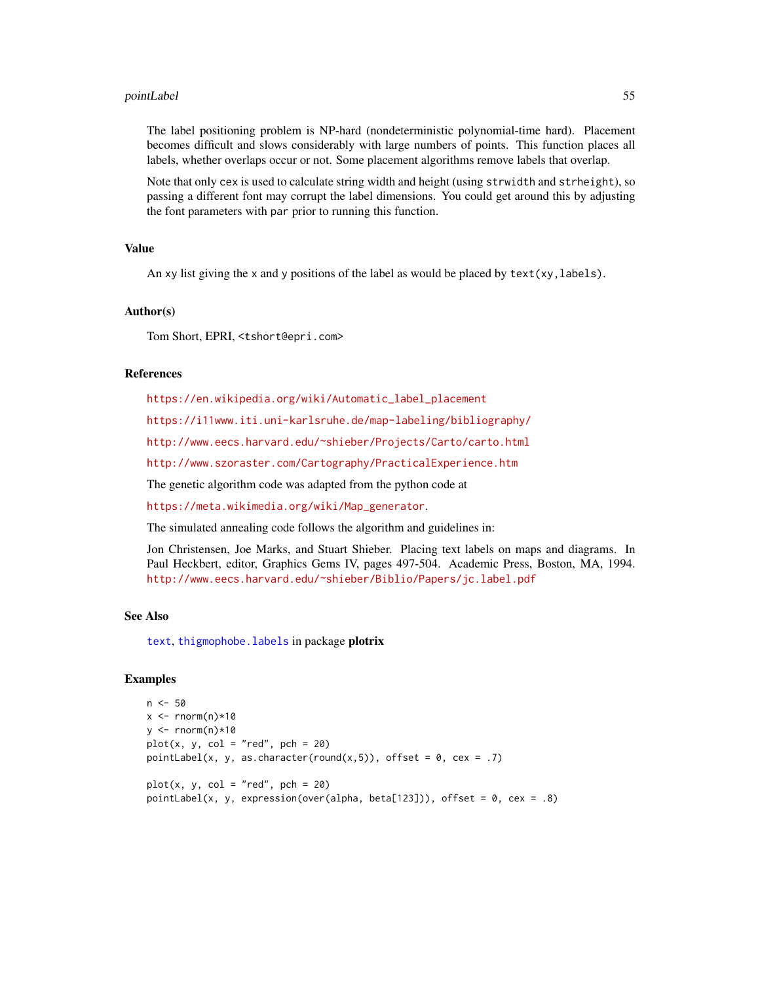#### pointLabel 55

The label positioning problem is NP-hard (nondeterministic polynomial-time hard). Placement becomes difficult and slows considerably with large numbers of points. This function places all labels, whether overlaps occur or not. Some placement algorithms remove labels that overlap.

Note that only cex is used to calculate string width and height (using strwidth and strheight), so passing a different font may corrupt the label dimensions. You could get around this by adjusting the font parameters with par prior to running this function.

### Value

An xy list giving the x and y positions of the label as would be placed by  $text(xy, labels)$ .

#### Author(s)

Tom Short, EPRI, <tshort@epri.com>

#### References

[https://en.wikipedia.org/wiki/Automatic\\_label\\_placement](https://en.wikipedia.org/wiki/Automatic_label_placement)

<https://i11www.iti.uni-karlsruhe.de/map-labeling/bibliography/>

<http://www.eecs.harvard.edu/~shieber/Projects/Carto/carto.html>

<http://www.szoraster.com/Cartography/PracticalExperience.htm>

The genetic algorithm code was adapted from the python code at

[https://meta.wikimedia.org/wiki/Map\\_generator](https://meta.wikimedia.org/wiki/Map_generator).

The simulated annealing code follows the algorithm and guidelines in:

Jon Christensen, Joe Marks, and Stuart Shieber. Placing text labels on maps and diagrams. In Paul Heckbert, editor, Graphics Gems IV, pages 497-504. Academic Press, Boston, MA, 1994. <http://www.eecs.harvard.edu/~shieber/Biblio/Papers/jc.label.pdf>

#### See Also

[text](#page-0-0), thigmophobe. labels in package plotrix

```
n <- 50
x \leq -rnorm(n)*10y \leq -rnorm(n)*10plot(x, y, col = "red", pch = 20)pointLabel(x, y, as.character(round(x,5)), offset = 0, cex = .7)
plot(x, y, col = "red", pch = 20)pointLabel(x, y, expression(over(alpha, beta[123])), offset = 0, cex = .8)
```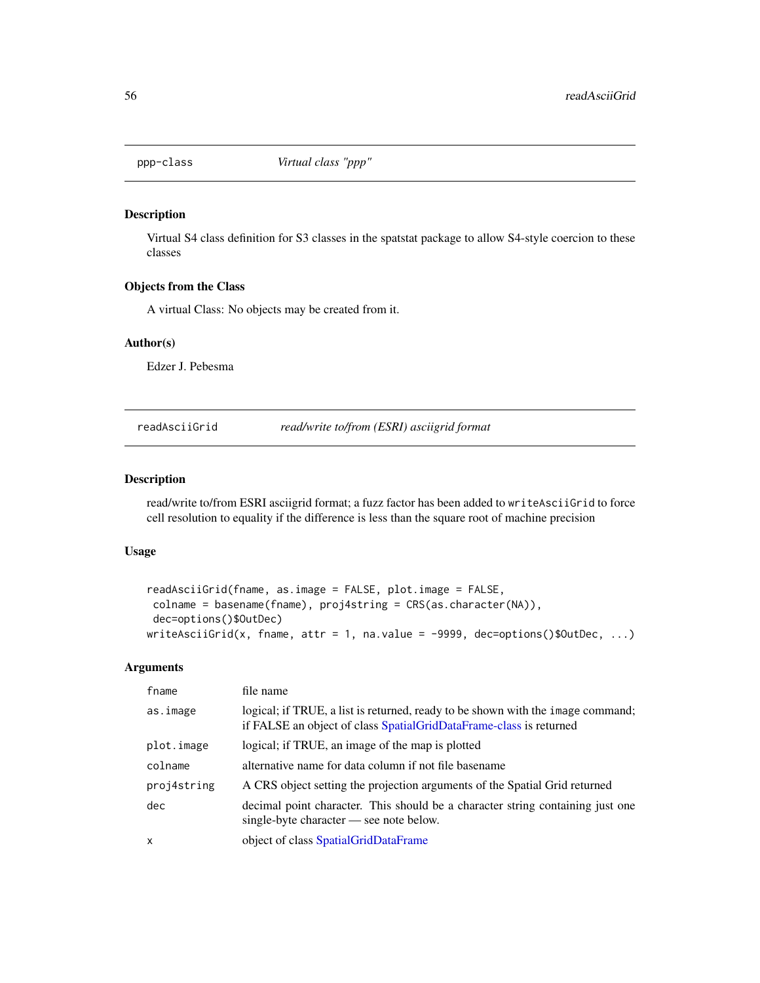Virtual S4 class definition for S3 classes in the spatstat package to allow S4-style coercion to these classes

# Objects from the Class

A virtual Class: No objects may be created from it.

#### Author(s)

Edzer J. Pebesma

readAsciiGrid *read/write to/from (ESRI) asciigrid format*

### Description

read/write to/from ESRI asciigrid format; a fuzz factor has been added to writeAsciiGrid to force cell resolution to equality if the difference is less than the square root of machine precision

#### Usage

```
readAsciiGrid(fname, as.image = FALSE, plot.image = FALSE,
colname = basename(fname), proj4string = CRS(as.character(NA)),
dec=options()$OutDec)
writeAsciiGrid(x, fname, attr = 1, na.value = -9999, dec=options()$OutDec, ...)
```
#### Arguments

| fname        | file name                                                                                                                                             |
|--------------|-------------------------------------------------------------------------------------------------------------------------------------------------------|
| as.image     | logical; if TRUE, a list is returned, ready to be shown with the image command;<br>if FALSE an object of class SpatialGridDataFrame-class is returned |
| plot.image   | logical; if TRUE, an image of the map is plotted                                                                                                      |
| colname      | alternative name for data column if not file basename                                                                                                 |
| proj4string  | A CRS object setting the projection arguments of the Spatial Grid returned                                                                            |
| dec          | decimal point character. This should be a character string containing just one<br>single-byte character — see note below.                             |
| $\mathsf{x}$ | object of class SpatialGridDataFrame                                                                                                                  |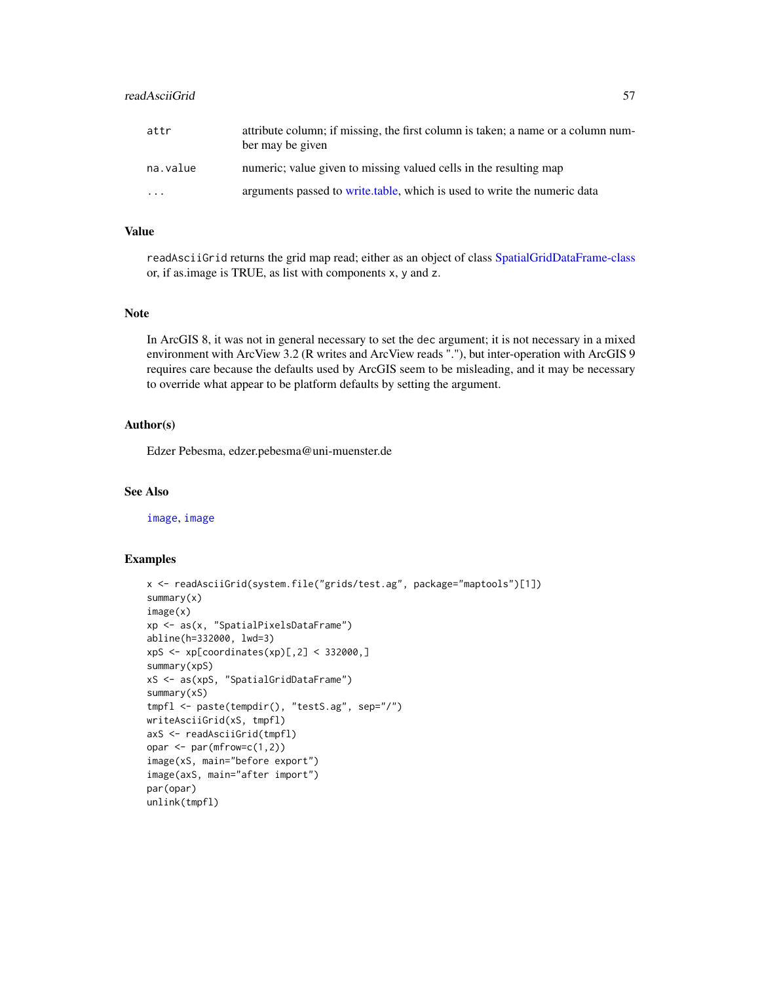# readAsciiGrid 57

| attr     | attribute column; if missing, the first column is taken; a name or a column num-<br>ber may be given |
|----------|------------------------------------------------------------------------------------------------------|
| na.value | numeric; value given to missing valued cells in the resulting map                                    |

| $\cdots$ | arguments passed to write table, which is used to write the numeric data |  |  |  |
|----------|--------------------------------------------------------------------------|--|--|--|

# Value

readAsciiGrid returns the grid map read; either as an object of class [SpatialGridDataFrame-class](#page-0-0) or, if as.image is TRUE, as list with components x, y and z.

### Note

In ArcGIS 8, it was not in general necessary to set the dec argument; it is not necessary in a mixed environment with ArcView 3.2 (R writes and ArcView reads "."), but inter-operation with ArcGIS 9 requires care because the defaults used by ArcGIS seem to be misleading, and it may be necessary to override what appear to be platform defaults by setting the argument.

#### Author(s)

Edzer Pebesma, edzer.pebesma@uni-muenster.de

# See Also

[image](#page-0-0), [image](#page-0-0)

```
x <- readAsciiGrid(system.file("grids/test.ag", package="maptools")[1])
summary(x)
image(x)
xp <- as(x, "SpatialPixelsDataFrame")
abline(h=332000, lwd=3)
xpS <- xp[coordinates(xp)[,2] < 332000,]
summary(xpS)
xS <- as(xpS, "SpatialGridDataFrame")
summary(xS)
tmpfl <- paste(tempdir(), "testS.ag", sep="/")
writeAsciiGrid(xS, tmpfl)
axS <- readAsciiGrid(tmpfl)
opar \leq par(mfrow=c(1,2))
image(xS, main="before export")
image(axS, main="after import")
par(opar)
unlink(tmpfl)
```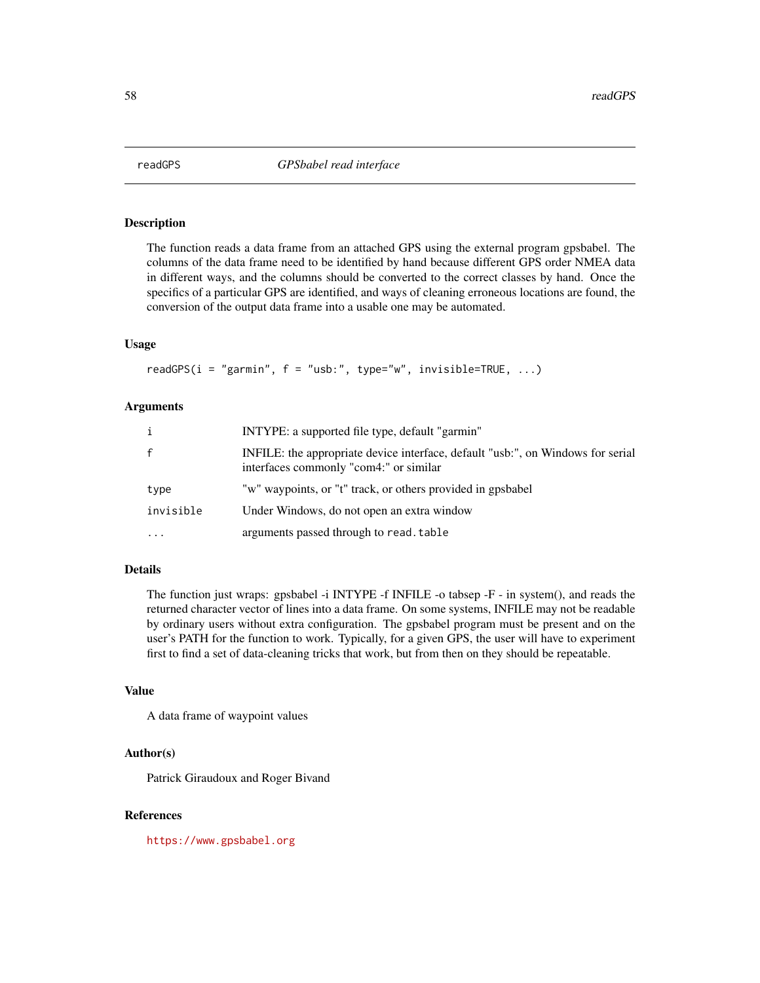The function reads a data frame from an attached GPS using the external program gpsbabel. The columns of the data frame need to be identified by hand because different GPS order NMEA data in different ways, and the columns should be converted to the correct classes by hand. Once the specifics of a particular GPS are identified, and ways of cleaning erroneous locations are found, the conversion of the output data frame into a usable one may be automated.

### Usage

readGPS( $i = "garmin", f = "usb:", type="w", invisible=True, ...)$ 

### Arguments

| $\mathbf{i}$ | INTYPE: a supported file type, default "garmin"                                                                           |
|--------------|---------------------------------------------------------------------------------------------------------------------------|
| $\mathsf{f}$ | INFILE: the appropriate device interface, default "usb:", on Windows for serial<br>interfaces commonly "com4:" or similar |
| type         | "w" waypoints, or "t" track, or others provided in gpsbabel                                                               |
| invisible    | Under Windows, do not open an extra window                                                                                |
| $\cdots$     | arguments passed through to read. table                                                                                   |

#### Details

The function just wraps: gpsbabel -i INTYPE -f INFILE -o tabsep -F - in system(), and reads the returned character vector of lines into a data frame. On some systems, INFILE may not be readable by ordinary users without extra configuration. The gpsbabel program must be present and on the user's PATH for the function to work. Typically, for a given GPS, the user will have to experiment first to find a set of data-cleaning tricks that work, but from then on they should be repeatable.

#### Value

A data frame of waypoint values

#### Author(s)

Patrick Giraudoux and Roger Bivand

#### References

<https://www.gpsbabel.org>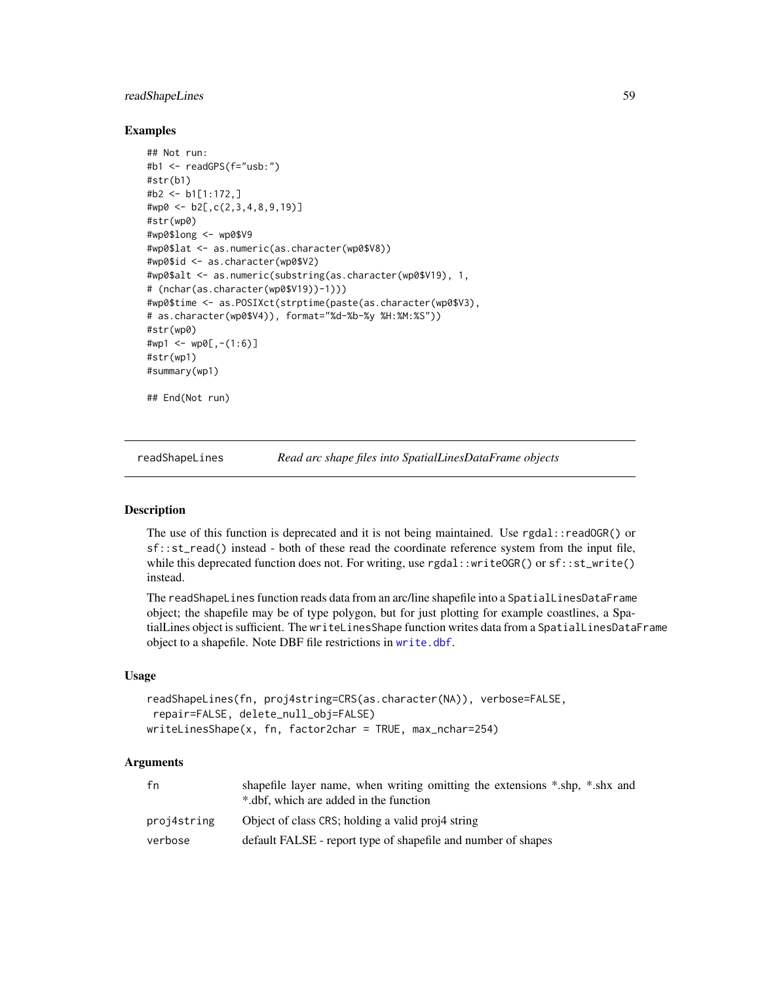# readShapeLines 59

### Examples

```
## Not run:
#b1 <- readGPS(f="usb:")
#str(b1)
#b2 <- b1[1:172,]
#wp0 <- b2[,c(2,3,4,8,9,19)]
#str(wp0)
#wp0$long <- wp0$V9
#wp0$lat <- as.numeric(as.character(wp0$V8))
#wp0$id <- as.character(wp0$V2)
#wp0$alt <- as.numeric(substring(as.character(wp0$V19), 1,
# (nchar(as.character(wp0$V19))-1)))
#wp0$time <- as.POSIXct(strptime(paste(as.character(wp0$V3),
# as.character(wp0$V4)), format="%d-%b-%y %H:%M:%S"))
#str(wp0)
#wp1 \le - \text{wp0}[, -(1:6)]#str(wp1)
#summary(wp1)
## End(Not run)
```
readShapeLines *Read arc shape files into SpatialLinesDataFrame objects*

### Description

The use of this function is deprecated and it is not being maintained. Use rgdal::readOGR() or sf::st\_read() instead - both of these read the coordinate reference system from the input file, while this deprecated function does not. For writing, use  $rgdal::writeOGR()$  or  $sf::st\_write()$ instead.

The readShapeLines function reads data from an arc/line shapefile into a SpatialLinesDataFrame object; the shapefile may be of type polygon, but for just plotting for example coastlines, a SpatialLines object is sufficient. The writeLinesShape function writes data from a SpatialLinesDataFrame object to a shapefile. Note DBF file restrictions in [write.dbf](#page-0-0).

#### Usage

```
readShapeLines(fn, proj4string=CRS(as.character(NA)), verbose=FALSE,
repair=FALSE, delete_null_obj=FALSE)
writeLinesShape(x, fn, factor2char = TRUE, max_nchar=254)
```
#### Arguments

| fn          | shapefile layer name, when writing omitting the extensions *.shp, *.shx and<br>*.dbf, which are added in the function |
|-------------|-----------------------------------------------------------------------------------------------------------------------|
| proj4string | Object of class CRS; holding a valid proj4 string                                                                     |
| verbose     | default FALSE - report type of shapefile and number of shapes                                                         |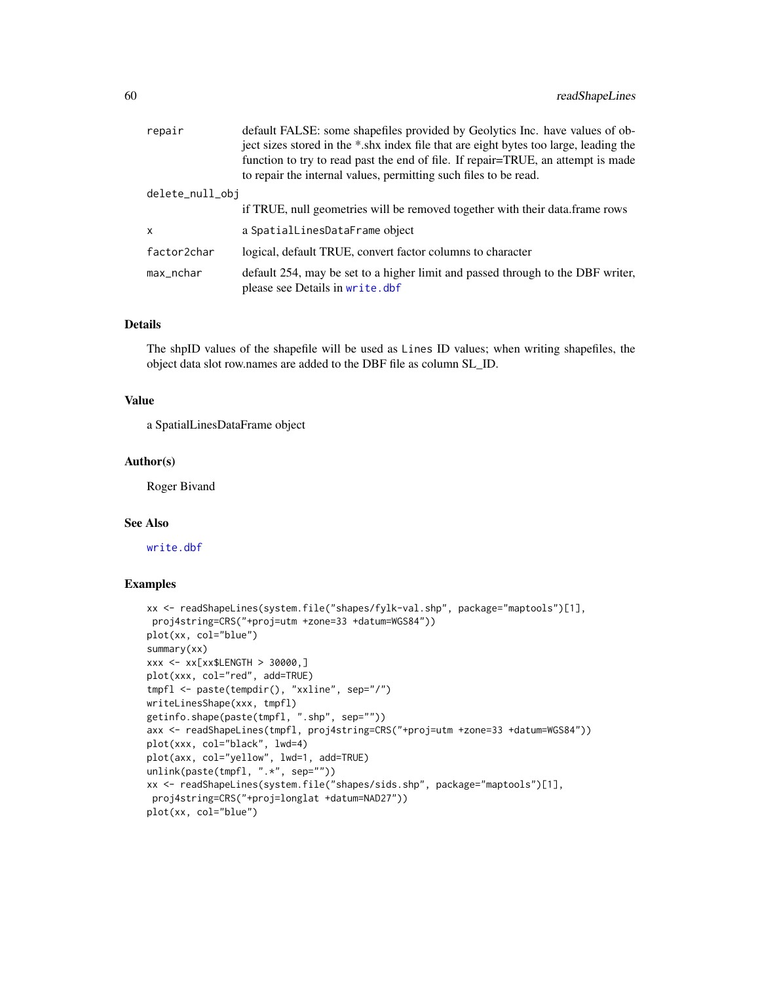| repair          | default FALSE: some shapefiles provided by Geolytics Inc. have values of ob-<br>ject sizes stored in the *.shx index file that are eight bytes too large, leading the<br>function to try to read past the end of file. If repair=TRUE, an attempt is made<br>to repair the internal values, permitting such files to be read. |
|-----------------|-------------------------------------------------------------------------------------------------------------------------------------------------------------------------------------------------------------------------------------------------------------------------------------------------------------------------------|
| delete_null_obj |                                                                                                                                                                                                                                                                                                                               |
|                 | if TRUE, null geometries will be removed together with their data. frame rows                                                                                                                                                                                                                                                 |
| x               | a SpatialLinesDataFrame object                                                                                                                                                                                                                                                                                                |
| factor2char     | logical, default TRUE, convert factor columns to character                                                                                                                                                                                                                                                                    |
| max_nchar       | default 254, may be set to a higher limit and passed through to the DBF writer,<br>please see Details in write.dbf                                                                                                                                                                                                            |

### Details

The shpID values of the shapefile will be used as Lines ID values; when writing shapefiles, the object data slot row.names are added to the DBF file as column SL\_ID.

### Value

a SpatialLinesDataFrame object

#### Author(s)

Roger Bivand

# See Also

[write.dbf](#page-0-0)

```
xx <- readShapeLines(system.file("shapes/fylk-val.shp", package="maptools")[1],
proj4string=CRS("+proj=utm +zone=33 +datum=WGS84"))
plot(xx, col="blue")
summary(xx)
xxx <- xx[xx$LENGTH > 30000,]
plot(xxx, col="red", add=TRUE)
tmpfl <- paste(tempdir(), "xxline", sep="/")
writeLinesShape(xxx, tmpfl)
getinfo.shape(paste(tmpfl, ".shp", sep=""))
axx <- readShapeLines(tmpfl, proj4string=CRS("+proj=utm +zone=33 +datum=WGS84"))
plot(xxx, col="black", lwd=4)
plot(axx, col="yellow", lwd=1, add=TRUE)
unlink(paste(tmpfl, ".*", sep=""))
xx <- readShapeLines(system.file("shapes/sids.shp", package="maptools")[1],
proj4string=CRS("+proj=longlat +datum=NAD27"))
plot(xx, col="blue")
```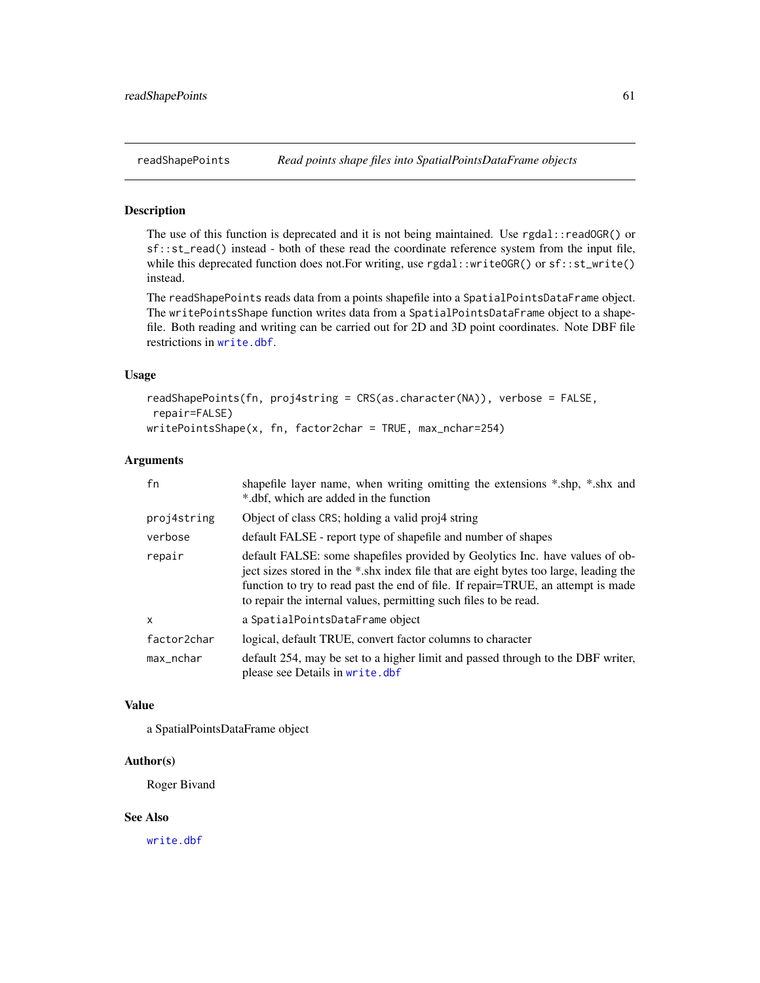The use of this function is deprecated and it is not being maintained. Use rgdal::readOGR() or sf::st\_read() instead - both of these read the coordinate reference system from the input file, while this deprecated function does not. For writing, use rgdal::writeOGR() or sf::st\_write() instead.

The readShapePoints reads data from a points shapefile into a SpatialPointsDataFrame object. The writePointsShape function writes data from a SpatialPointsDataFrame object to a shapefile. Both reading and writing can be carried out for 2D and 3D point coordinates. Note DBF file restrictions in [write.dbf](#page-0-0).

# Usage

```
readShapePoints(fn, proj4string = CRS(as.character(NA)), verbose = FALSE,
repair=FALSE)
writePointsShape(x, fn, factor2char = TRUE, max_nchar=254)
```
#### Arguments

| fn           | shapefile layer name, when writing omitting the extensions *.shp, *.shx and<br>*.dbf, which are added in the function                                                                                                                                                                                                         |
|--------------|-------------------------------------------------------------------------------------------------------------------------------------------------------------------------------------------------------------------------------------------------------------------------------------------------------------------------------|
| proj4string  | Object of class CRS; holding a valid proj4 string                                                                                                                                                                                                                                                                             |
| verbose      | default FALSE - report type of shapefile and number of shapes                                                                                                                                                                                                                                                                 |
| repair       | default FALSE: some shapefiles provided by Geolytics Inc. have values of ob-<br>ject sizes stored in the *.shx index file that are eight bytes too large, leading the<br>function to try to read past the end of file. If repair=TRUE, an attempt is made<br>to repair the internal values, permitting such files to be read. |
| $\mathsf{x}$ | a SpatialPointsDataFrame object                                                                                                                                                                                                                                                                                               |
| factor2char  | logical, default TRUE, convert factor columns to character                                                                                                                                                                                                                                                                    |
| max_nchar    | default 254, may be set to a higher limit and passed through to the DBF writer,<br>please see Details in write.dbf                                                                                                                                                                                                            |

### Value

a SpatialPointsDataFrame object

### Author(s)

Roger Bivand

# See Also

[write.dbf](#page-0-0)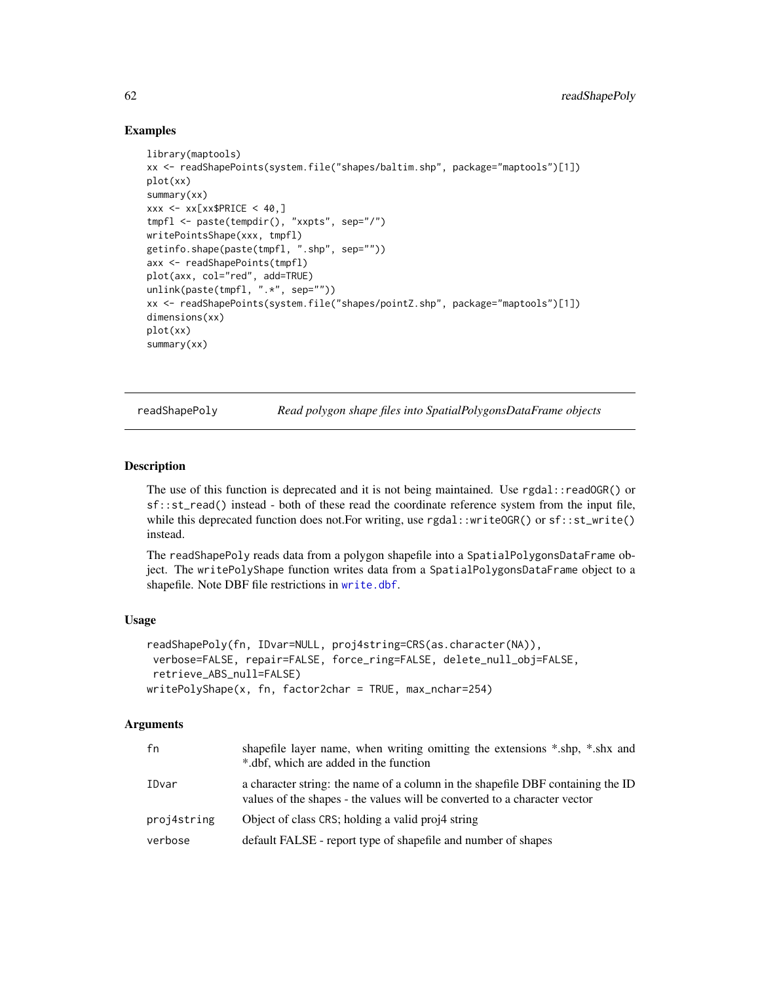### Examples

```
library(maptools)
xx <- readShapePoints(system.file("shapes/baltim.shp", package="maptools")[1])
plot(xx)
summary(xx)
xxx \leq -x \times [xx$ PRICE \leq 40, ]tmpfl <- paste(tempdir(), "xxpts", sep="/")
writePointsShape(xxx, tmpfl)
getinfo.shape(paste(tmpfl, ".shp", sep=""))
axx <- readShapePoints(tmpfl)
plot(axx, col="red", add=TRUE)
unlink(paste(tmpfl, ".*", sep=""))
xx <- readShapePoints(system.file("shapes/pointZ.shp", package="maptools")[1])
dimensions(xx)
plot(xx)
summary(xx)
```
readShapePoly *Read polygon shape files into SpatialPolygonsDataFrame objects*

### **Description**

The use of this function is deprecated and it is not being maintained. Use rgdal::readOGR() or sf::st\_read() instead - both of these read the coordinate reference system from the input file, while this deprecated function does not. For writing, use  $rgdal::writeOGR()$  or  $sf::st\_write()$ instead.

The readShapePoly reads data from a polygon shapefile into a SpatialPolygonsDataFrame object. The writePolyShape function writes data from a SpatialPolygonsDataFrame object to a shapefile. Note DBF file restrictions in [write.dbf](#page-0-0).

### Usage

```
readShapePoly(fn, IDvar=NULL, proj4string=CRS(as.character(NA)),
verbose=FALSE, repair=FALSE, force_ring=FALSE, delete_null_obj=FALSE,
retrieve_ABS_null=FALSE)
writePolyShape(x, fn, factor2char = TRUE, max_nchar=254)
```
#### Arguments

| fn          | shapefile layer name, when writing omitting the extensions *.shp, *.shx and<br>*.dbf, which are added in the function                                        |
|-------------|--------------------------------------------------------------------------------------------------------------------------------------------------------------|
| IDvar       | a character string: the name of a column in the shapefile DBF containing the ID<br>values of the shapes - the values will be converted to a character vector |
| proj4string | Object of class CRS; holding a valid proj4 string                                                                                                            |
| verbose     | default FALSE - report type of shapefile and number of shapes                                                                                                |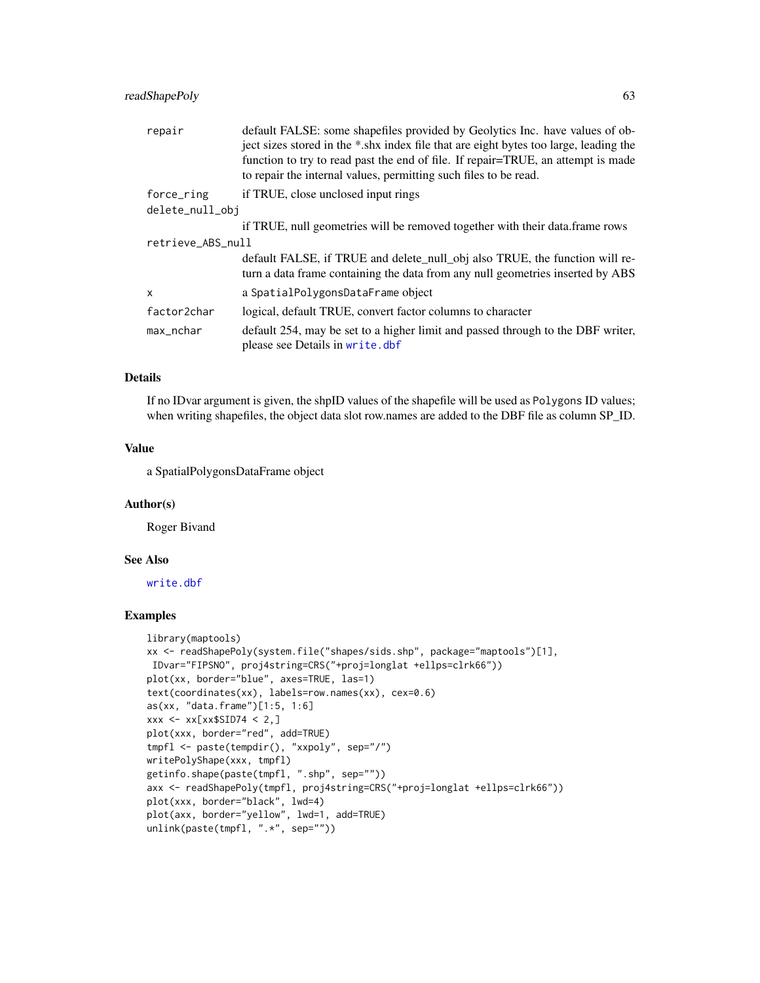### readShapePoly 63

| repair            | default FALSE: some shapefiles provided by Geolytics Inc. have values of ob-<br>ject sizes stored in the *.shx index file that are eight bytes too large, leading the<br>function to try to read past the end of file. If repair=TRUE, an attempt is made<br>to repair the internal values, permitting such files to be read. |  |
|-------------------|-------------------------------------------------------------------------------------------------------------------------------------------------------------------------------------------------------------------------------------------------------------------------------------------------------------------------------|--|
| force_ring        | if TRUE, close unclosed input rings                                                                                                                                                                                                                                                                                           |  |
| delete_null_obj   |                                                                                                                                                                                                                                                                                                                               |  |
|                   | if TRUE, null geometries will be removed together with their data. frame rows                                                                                                                                                                                                                                                 |  |
| retrieve_ABS_null |                                                                                                                                                                                                                                                                                                                               |  |
|                   | default FALSE, if TRUE and delete_null_obj also TRUE, the function will re-<br>turn a data frame containing the data from any null geometries inserted by ABS                                                                                                                                                                 |  |
| $\mathsf{x}$      | a SpatialPolygonsDataFrame object                                                                                                                                                                                                                                                                                             |  |
| factor2char       | logical, default TRUE, convert factor columns to character                                                                                                                                                                                                                                                                    |  |
| max_nchar         | default 254, may be set to a higher limit and passed through to the DBF writer,<br>please see Details in write.dbf                                                                                                                                                                                                            |  |

# Details

If no IDvar argument is given, the shpID values of the shapefile will be used as Polygons ID values; when writing shapefiles, the object data slot row.names are added to the DBF file as column SP\_ID.

#### Value

a SpatialPolygonsDataFrame object

#### Author(s)

Roger Bivand

# See Also

[write.dbf](#page-0-0)

```
library(maptools)
xx <- readShapePoly(system.file("shapes/sids.shp", package="maptools")[1],
IDvar="FIPSNO", proj4string=CRS("+proj=longlat +ellps=clrk66"))
plot(xx, border="blue", axes=TRUE, las=1)
text(coordinates(xx), labels=row.names(xx), cex=0.6)
as(xx, "data.frame")[1:5, 1:6]
xxx \leftarrow xx[xx$SID74 < 2, ]plot(xxx, border="red", add=TRUE)
tmpfl <- paste(tempdir(), "xxpoly", sep="/")
writePolyShape(xxx, tmpfl)
getinfo.shape(paste(tmpfl, ".shp", sep=""))
axx <- readShapePoly(tmpfl, proj4string=CRS("+proj=longlat +ellps=clrk66"))
plot(xxx, border="black", lwd=4)
plot(axx, border="yellow", lwd=1, add=TRUE)
unlink(paste(tmpfl, ".*", sep=""))
```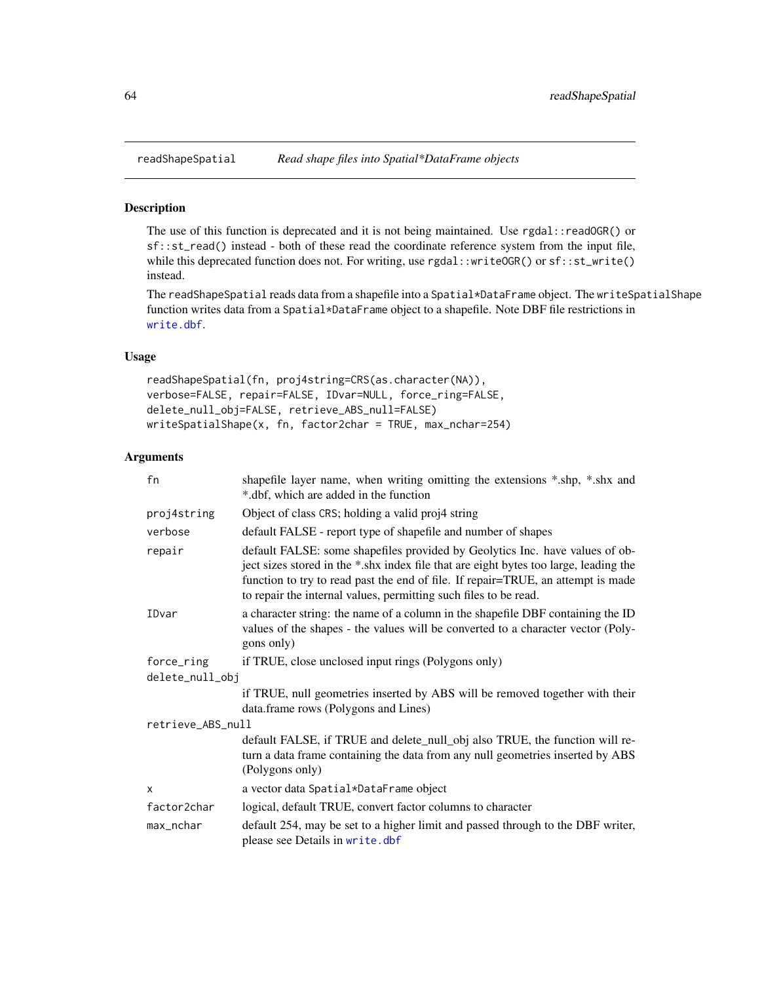The use of this function is deprecated and it is not being maintained. Use rgdal::readOGR() or sf::st\_read() instead - both of these read the coordinate reference system from the input file, while this deprecated function does not. For writing, use rgdal::writeOGR() or sf::st\_write() instead.

The readShapeSpatial reads data from a shapefile into a Spatial\*DataFrame object. The writeSpatialShape function writes data from a Spatial\*DataFrame object to a shapefile. Note DBF file restrictions in [write.dbf](#page-0-0).

#### Usage

```
readShapeSpatial(fn, proj4string=CRS(as.character(NA)),
verbose=FALSE, repair=FALSE, IDvar=NULL, force_ring=FALSE,
delete_null_obj=FALSE, retrieve_ABS_null=FALSE)
writeSpatialShape(x, fn, factor2char = TRUE, max_nchar=254)
```
### Arguments

| fn                | shapefile layer name, when writing omitting the extensions *.shp, *.shx and<br>*.dbf, which are added in the function                                                                                                                                                                                                         |  |
|-------------------|-------------------------------------------------------------------------------------------------------------------------------------------------------------------------------------------------------------------------------------------------------------------------------------------------------------------------------|--|
| proj4string       | Object of class CRS; holding a valid proj4 string                                                                                                                                                                                                                                                                             |  |
| verbose           | default FALSE - report type of shapefile and number of shapes                                                                                                                                                                                                                                                                 |  |
| repair            | default FALSE: some shapefiles provided by Geolytics Inc. have values of ob-<br>ject sizes stored in the *.shx index file that are eight bytes too large, leading the<br>function to try to read past the end of file. If repair=TRUE, an attempt is made<br>to repair the internal values, permitting such files to be read. |  |
| IDvar             | a character string: the name of a column in the shapefile DBF containing the ID<br>values of the shapes - the values will be converted to a character vector (Poly-<br>gons only)                                                                                                                                             |  |
| force_ring        | if TRUE, close unclosed input rings (Polygons only)                                                                                                                                                                                                                                                                           |  |
| delete_null_obj   |                                                                                                                                                                                                                                                                                                                               |  |
|                   | if TRUE, null geometries inserted by ABS will be removed together with their<br>data.frame rows (Polygons and Lines)                                                                                                                                                                                                          |  |
| retrieve_ABS_null |                                                                                                                                                                                                                                                                                                                               |  |
|                   | default FALSE, if TRUE and delete_null_obj also TRUE, the function will re-<br>turn a data frame containing the data from any null geometries inserted by ABS<br>(Polygons only)                                                                                                                                              |  |
| $\mathsf{x}$      | a vector data Spatial*DataFrame object                                                                                                                                                                                                                                                                                        |  |
| factor2char       | logical, default TRUE, convert factor columns to character                                                                                                                                                                                                                                                                    |  |
| max_nchar         | default 254, may be set to a higher limit and passed through to the DBF writer,<br>please see Details in write.dbf                                                                                                                                                                                                            |  |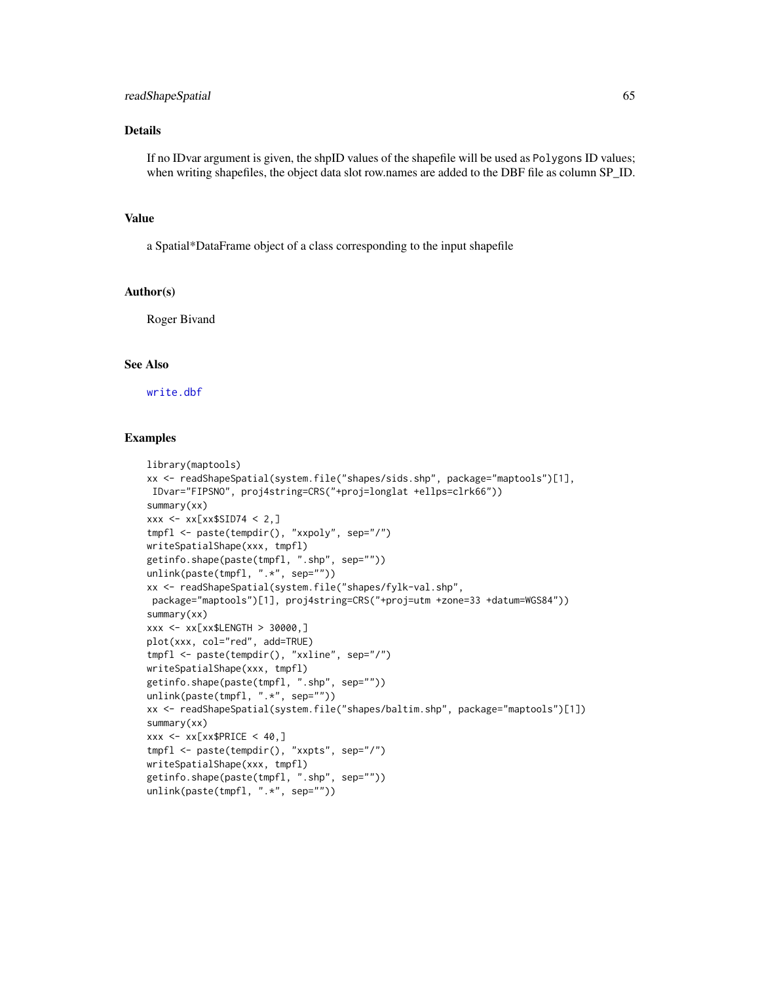### Details

If no IDvar argument is given, the shpID values of the shapefile will be used as Polygons ID values; when writing shapefiles, the object data slot row.names are added to the DBF file as column SP\_ID.

# Value

a Spatial\*DataFrame object of a class corresponding to the input shapefile

### Author(s)

Roger Bivand

# See Also

[write.dbf](#page-0-0)

```
library(maptools)
xx <- readShapeSpatial(system.file("shapes/sids.shp", package="maptools")[1],
IDvar="FIPSNO", proj4string=CRS("+proj=longlat +ellps=clrk66"))
summary(xx)
xxx \leq -x \times [xx$SID74 < 2, ]tmpfl <- paste(tempdir(), "xxpoly", sep="/")
writeSpatialShape(xxx, tmpfl)
getinfo.shape(paste(tmpfl, ".shp", sep=""))
unlink(paste(tmpfl, ".*", sep=""))
xx <- readShapeSpatial(system.file("shapes/fylk-val.shp",
package="maptools")[1], proj4string=CRS("+proj=utm +zone=33 +datum=WGS84"))
summary(xx)
xxx <- xx[xx$LENGTH > 30000,]
plot(xxx, col="red", add=TRUE)
tmpfl <- paste(tempdir(), "xxline", sep="/")
writeSpatialShape(xxx, tmpfl)
getinfo.shape(paste(tmpfl, ".shp", sep=""))
unlink(paste(tmpfl, ".*", sep=""))
xx <- readShapeSpatial(system.file("shapes/baltim.shp", package="maptools")[1])
summary(xx)
xxx \leq -x \times [xx$PRICE \leq 40, ]tmpfl <- paste(tempdir(), "xxpts", sep="/")
writeSpatialShape(xxx, tmpfl)
getinfo.shape(paste(tmpfl, ".shp", sep=""))
unlink(paste(tmpfl, ".*", sep=""))
```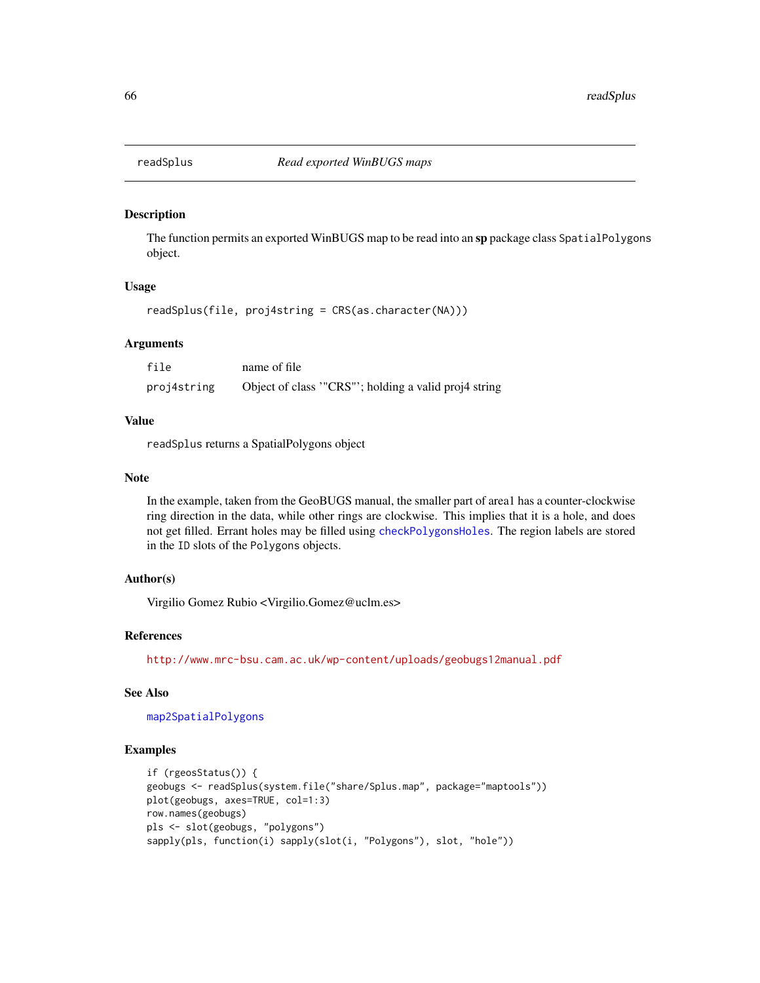The function permits an exported WinBUGS map to be read into an sp package class SpatialPolygons object.

# Usage

readSplus(file, proj4string = CRS(as.character(NA)))

#### Arguments

| file        | name of file                                        |
|-------------|-----------------------------------------------------|
| proj4string | Object of class "CRS"; holding a valid proj4 string |

## Value

readSplus returns a SpatialPolygons object

### Note

In the example, taken from the GeoBUGS manual, the smaller part of area1 has a counter-clockwise ring direction in the data, while other rings are clockwise. This implies that it is a hole, and does not get filled. Errant holes may be filled using [checkPolygonsHoles](#page-15-0). The region labels are stored in the ID slots of the Polygons objects.

## Author(s)

Virgilio Gomez Rubio <Virgilio.Gomez@uclm.es>

### References

<http://www.mrc-bsu.cam.ac.uk/wp-content/uploads/geobugs12manual.pdf>

# See Also

[map2SpatialPolygons](#page-42-0)

```
if (rgeosStatus()) {
geobugs <- readSplus(system.file("share/Splus.map", package="maptools"))
plot(geobugs, axes=TRUE, col=1:3)
row.names(geobugs)
pls <- slot(geobugs, "polygons")
sapply(pls, function(i) sapply(slot(i, "Polygons"), slot, "hole"))
```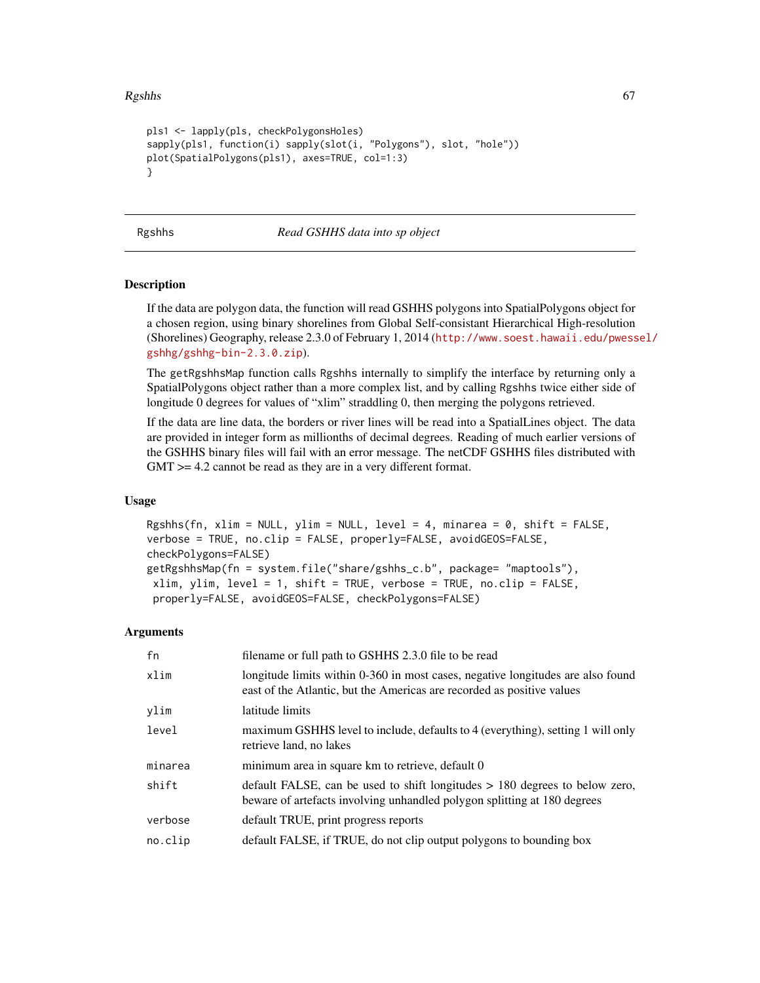#### $Rgshhs$  67

```
pls1 <- lapply(pls, checkPolygonsHoles)
sapply(pls1, function(i) sapply(slot(i, "Polygons"), slot, "hole"))
plot(SpatialPolygons(pls1), axes=TRUE, col=1:3)
}
```
Rgshhs *Read GSHHS data into sp object*

### **Description**

If the data are polygon data, the function will read GSHHS polygons into SpatialPolygons object for a chosen region, using binary shorelines from Global Self-consistant Hierarchical High-resolution (Shorelines) Geography, release 2.3.0 of February 1, 2014 ([http://www.soest.hawaii.edu/pwess](http://www.soest.hawaii.edu/pwessel/gshhg/gshhg-bin-2.3.0.zip)el/ [gshhg/gshhg-bin-2.3.0.zip](http://www.soest.hawaii.edu/pwessel/gshhg/gshhg-bin-2.3.0.zip)).

The getRgshhsMap function calls Rgshhs internally to simplify the interface by returning only a SpatialPolygons object rather than a more complex list, and by calling Rgshhs twice either side of longitude 0 degrees for values of "xlim" straddling 0, then merging the polygons retrieved.

If the data are line data, the borders or river lines will be read into a SpatialLines object. The data are provided in integer form as millionths of decimal degrees. Reading of much earlier versions of the GSHHS binary files will fail with an error message. The netCDF GSHHS files distributed with GMT > = 4.2 cannot be read as they are in a very different format.

#### Usage

Rgshhs(fn, xlim = NULL, ylim = NULL, level = 4, minarea =  $0$ , shift = FALSE, verbose = TRUE, no.clip = FALSE, properly=FALSE, avoidGEOS=FALSE, checkPolygons=FALSE) getRgshhsMap(fn = system.file("share/gshhs\_c.b", package= "maptools"),  $xlim$ ,  $ylim$ ,  $level = 1$ ,  $shift = TRUE$ ,  $verbose = TRUE$ ,  $no.clip = FALSE$ , properly=FALSE, avoidGEOS=FALSE, checkPolygons=FALSE)

#### Arguments

| fn      | filename or full path to GSHHS 2.3.0 file to be read                                                                                                      |
|---------|-----------------------------------------------------------------------------------------------------------------------------------------------------------|
| xlim    | longitude limits within 0-360 in most cases, negative longitudes are also found<br>east of the Atlantic, but the Americas are recorded as positive values |
| ylim    | latitude limits                                                                                                                                           |
| level   | maximum GSHHS level to include, defaults to 4 (everything), setting 1 will only<br>retrieve land, no lakes                                                |
| minarea | minimum area in square km to retrieve, default 0                                                                                                          |
| shift   | default FALSE, can be used to shift longitudes $> 180$ degrees to below zero,<br>beware of artefacts involving unhandled polygon splitting at 180 degrees |
| verbose | default TRUE, print progress reports                                                                                                                      |
| no.clip | default FALSE, if TRUE, do not clip output polygons to bounding box                                                                                       |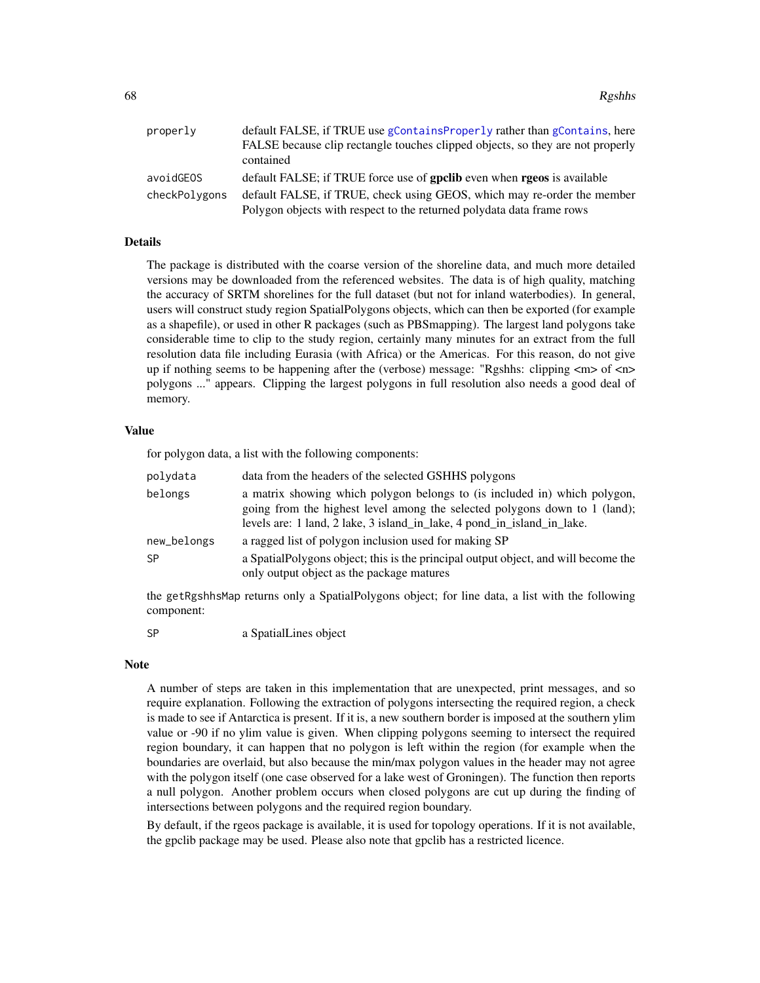| properly      | default FALSE, if TRUE use gContainsProperly rather than gContains, here       |
|---------------|--------------------------------------------------------------------------------|
|               | FALSE because clip rectangle touches clipped objects, so they are not properly |
|               | contained                                                                      |
| avoidGEOS     | default FALSE; if TRUE force use of goclib even when rgeos is available        |
| checkPolygons | default FALSE, if TRUE, check using GEOS, which may re-order the member        |
|               | Polygon objects with respect to the returned polydata data frame rows          |

### Details

The package is distributed with the coarse version of the shoreline data, and much more detailed versions may be downloaded from the referenced websites. The data is of high quality, matching the accuracy of SRTM shorelines for the full dataset (but not for inland waterbodies). In general, users will construct study region SpatialPolygons objects, which can then be exported (for example as a shapefile), or used in other R packages (such as PBSmapping). The largest land polygons take considerable time to clip to the study region, certainly many minutes for an extract from the full resolution data file including Eurasia (with Africa) or the Americas. For this reason, do not give up if nothing seems to be happening after the (verbose) message: "Rgshhs: clipping <m> of <n> polygons ..." appears. Clipping the largest polygons in full resolution also needs a good deal of memory.

# Value

for polygon data, a list with the following components:

| polydata                 | data from the headers of the selected GSHHS polygons                                                                                                                                                                               |
|--------------------------|------------------------------------------------------------------------------------------------------------------------------------------------------------------------------------------------------------------------------------|
| belongs                  | a matrix showing which polygon belongs to (is included in) which polygon,<br>going from the highest level among the selected polygons down to 1 (land);<br>levels are: 1 land, 2 lake, 3 island_in_lake, 4 pond_in_island_in_lake. |
| new_belongs<br><b>SP</b> | a ragged list of polygon inclusion used for making SP<br>a SpatialPolygons object; this is the principal output object, and will become the<br>only output object as the package matures                                           |

the getRgshhsMap returns only a SpatialPolygons object; for line data, a list with the following component:

SP a SpatialLines object

#### Note

A number of steps are taken in this implementation that are unexpected, print messages, and so require explanation. Following the extraction of polygons intersecting the required region, a check is made to see if Antarctica is present. If it is, a new southern border is imposed at the southern ylim value or -90 if no ylim value is given. When clipping polygons seeming to intersect the required region boundary, it can happen that no polygon is left within the region (for example when the boundaries are overlaid, but also because the min/max polygon values in the header may not agree with the polygon itself (one case observed for a lake west of Groningen). The function then reports a null polygon. Another problem occurs when closed polygons are cut up during the finding of intersections between polygons and the required region boundary.

By default, if the rgeos package is available, it is used for topology operations. If it is not available, the gpclib package may be used. Please also note that gpclib has a restricted licence.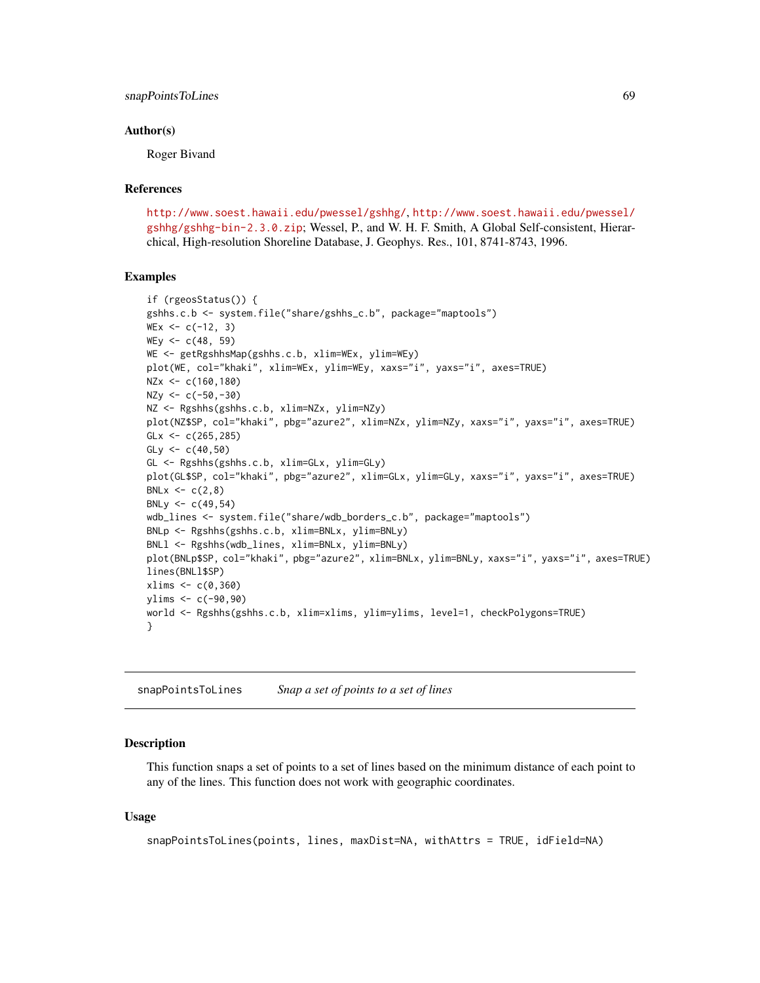## snapPointsToLines 69

#### Author(s)

Roger Bivand

#### References

<http://www.soest.hawaii.edu/pwessel/gshhg/>, [http://www.soest.hawaii.edu/pwessel/](http://www.soest.hawaii.edu/pwessel/gshhg/gshhg-bin-2.3.0.zip) [gshhg/gshhg-bin-2.3.0.zip](http://www.soest.hawaii.edu/pwessel/gshhg/gshhg-bin-2.3.0.zip); Wessel, P., and W. H. F. Smith, A Global Self-consistent, Hierarchical, High-resolution Shoreline Database, J. Geophys. Res., 101, 8741-8743, 1996.

#### Examples

```
if (rgeosStatus()) {
gshhs.c.b <- system.file("share/gshhs_c.b", package="maptools")
WEX < -c(-12, 3)WEy \leq c(48, 59)WE <- getRgshhsMap(gshhs.c.b, xlim=WEx, ylim=WEy)
plot(WE, col="khaki", xlim=WEx, ylim=WEy, xaxs="i", yaxs="i", axes=TRUE)
NZx <- c(160,180)
NZy <- c(-50,-30)
NZ <- Rgshhs(gshhs.c.b, xlim=NZx, ylim=NZy)
plot(NZ$SP, col="khaki", pbg="azure2", xlim=NZx, ylim=NZy, xaxs="i", yaxs="i", axes=TRUE)
GLx < -c(265, 285)GLy <- c(40,50)
GL <- Rgshhs(gshhs.c.b, xlim=GLx, ylim=GLy)
plot(GL$SP, col="khaki", pbg="azure2", xlim=GLx, ylim=GLy, xaxs="i", yaxs="i", axes=TRUE)
BNLx \leq -c(2, 8)BNLy <-c(49,54)wdb_lines <- system.file("share/wdb_borders_c.b", package="maptools")
BNLp <- Rgshhs(gshhs.c.b, xlim=BNLx, ylim=BNLy)
BNLl <- Rgshhs(wdb_lines, xlim=BNLx, ylim=BNLy)
plot(BNLp$SP, col="khaki", pbg="azure2", xlim=BNLx, ylim=BNLy, xaxs="i", yaxs="i", axes=TRUE)
lines(BNLl$SP)
xlims < -c(0,360)ylims <- c(-90,90)
world <- Rgshhs(gshhs.c.b, xlim=xlims, ylim=ylims, level=1, checkPolygons=TRUE)
}
```
<span id="page-68-0"></span>snapPointsToLines *Snap a set of points to a set of lines*

#### Description

This function snaps a set of points to a set of lines based on the minimum distance of each point to any of the lines. This function does not work with geographic coordinates.

#### Usage

```
snapPointsToLines(points, lines, maxDist=NA, withAttrs = TRUE, idField=NA)
```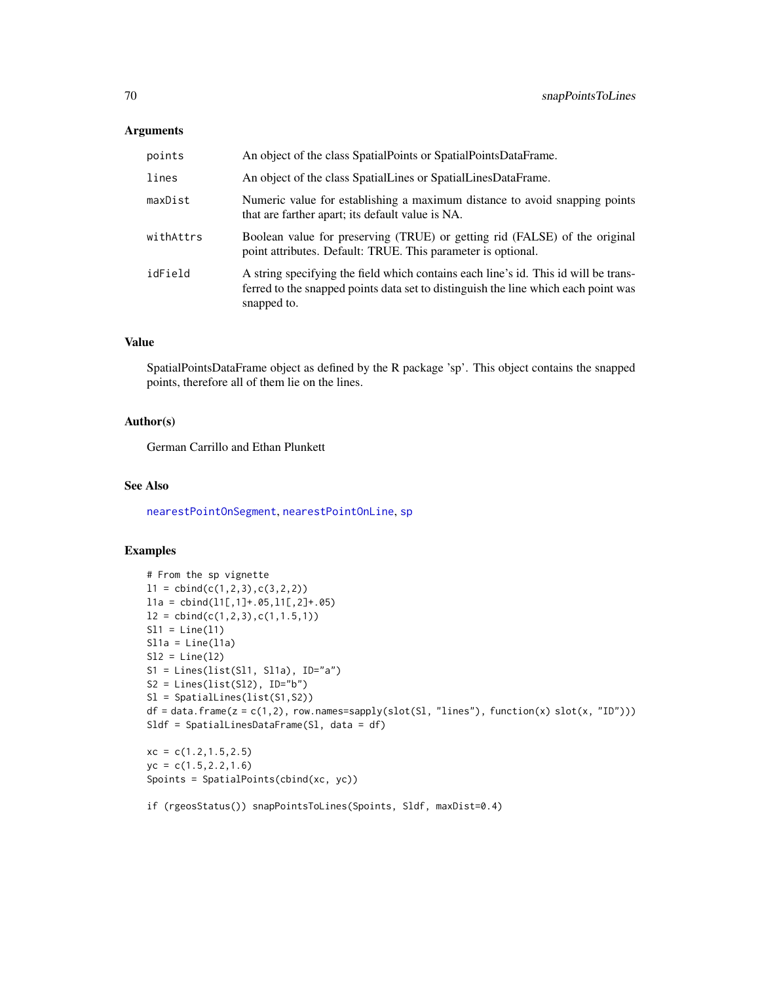### Arguments

| points    | An object of the class SpatialPoints or SpatialPointsDataFrame.                                                                                                                          |
|-----------|------------------------------------------------------------------------------------------------------------------------------------------------------------------------------------------|
| lines     | An object of the class SpatialLines or SpatialLinesDataFrame.                                                                                                                            |
| maxDist   | Numeric value for establishing a maximum distance to avoid snapping points<br>that are farther apart; its default value is NA.                                                           |
| withAttrs | Boolean value for preserving (TRUE) or getting rid (FALSE) of the original<br>point attributes. Default: TRUE. This parameter is optional.                                               |
| idField   | A string specifying the field which contains each line's id. This id will be trans-<br>ferred to the snapped points data set to distinguish the line which each point was<br>snapped to. |

# Value

SpatialPointsDataFrame object as defined by the R package 'sp'. This object contains the snapped points, therefore all of them lie on the lines.

### Author(s)

German Carrillo and Ethan Plunkett

# See Also

[nearestPointOnSegment](#page-46-0), [nearestPointOnLine](#page-45-0), [sp](#page-0-0)

### Examples

```
# From the sp vignette
11 = \text{cbind}(c(1,2,3),c(3,2,2))l1a = cbind(l1[,1]+.05,l1[,2]+.05)
12 = \text{cbind}(c(1, 2, 3), c(1, 1.5, 1))S11 = Line(11)S11a = Line(11a)S12 = Line(12)S1 = Lines(list(S11, S11a), ID="a")S2 = Lines(list(S12), ID="b")Sl = SpatialLines(list(S1,S2))
df = data frame(z = c(1,2), row.namess=sapply(slot(S1, 'lines''), function(x) slot(x, 'ID'')))Sldf = SpatialLinesDataFrame(Sl, data = df)
xc = c(1.2, 1.5, 2.5)yc = c(1.5, 2.2, 1.6)
```
Spoints = SpatialPoints(cbind(xc, yc))

if (rgeosStatus()) snapPointsToLines(Spoints, Sldf, maxDist=0.4)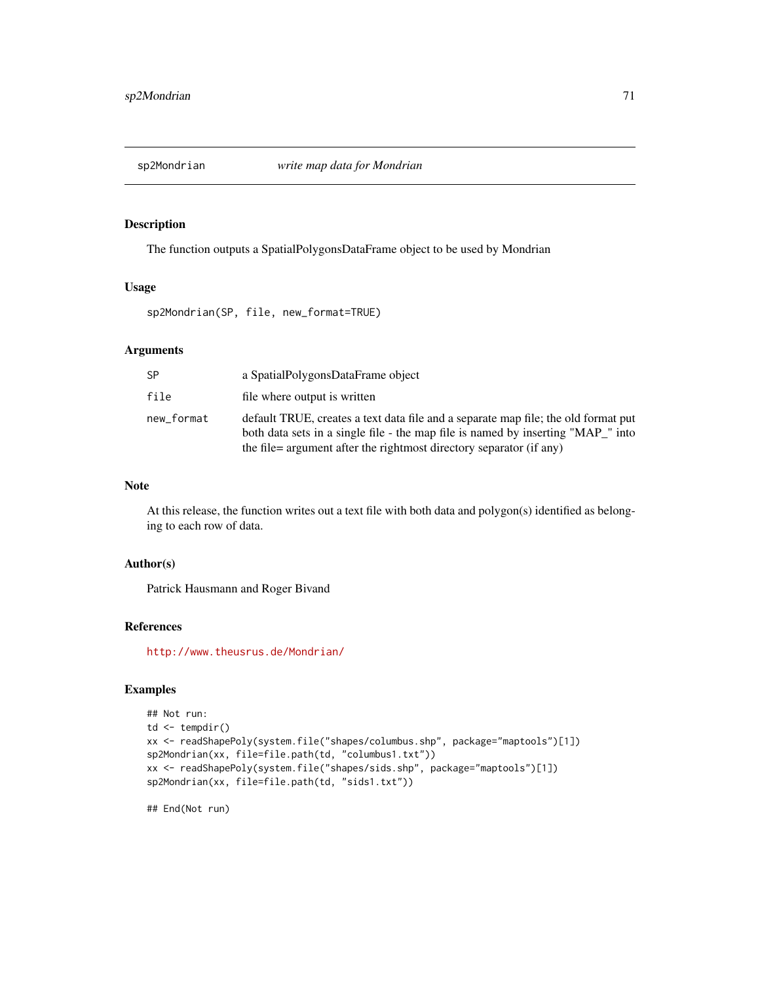The function outputs a SpatialPolygonsDataFrame object to be used by Mondrian

#### Usage

sp2Mondrian(SP, file, new\_format=TRUE)

## Arguments

| SP         | a SpatialPolygonsDataFrame object                                                                                                                                                                                                             |
|------------|-----------------------------------------------------------------------------------------------------------------------------------------------------------------------------------------------------------------------------------------------|
| file       | file where output is written                                                                                                                                                                                                                  |
| new format | default TRUE, creates a text data file and a separate map file; the old format put<br>both data sets in a single file - the map file is named by inserting "MAP" into<br>the file = argument after the rightmost directory separator (if any) |

### Note

At this release, the function writes out a text file with both data and polygon(s) identified as belonging to each row of data.

#### Author(s)

Patrick Hausmann and Roger Bivand

#### References

<http://www.theusrus.de/Mondrian/>

# Examples

```
## Not run:
td \leftarrow tempdir()xx <- readShapePoly(system.file("shapes/columbus.shp", package="maptools")[1])
sp2Mondrian(xx, file=file.path(td, "columbus1.txt"))
xx <- readShapePoly(system.file("shapes/sids.shp", package="maptools")[1])
sp2Mondrian(xx, file=file.path(td, "sids1.txt"))
```
## End(Not run)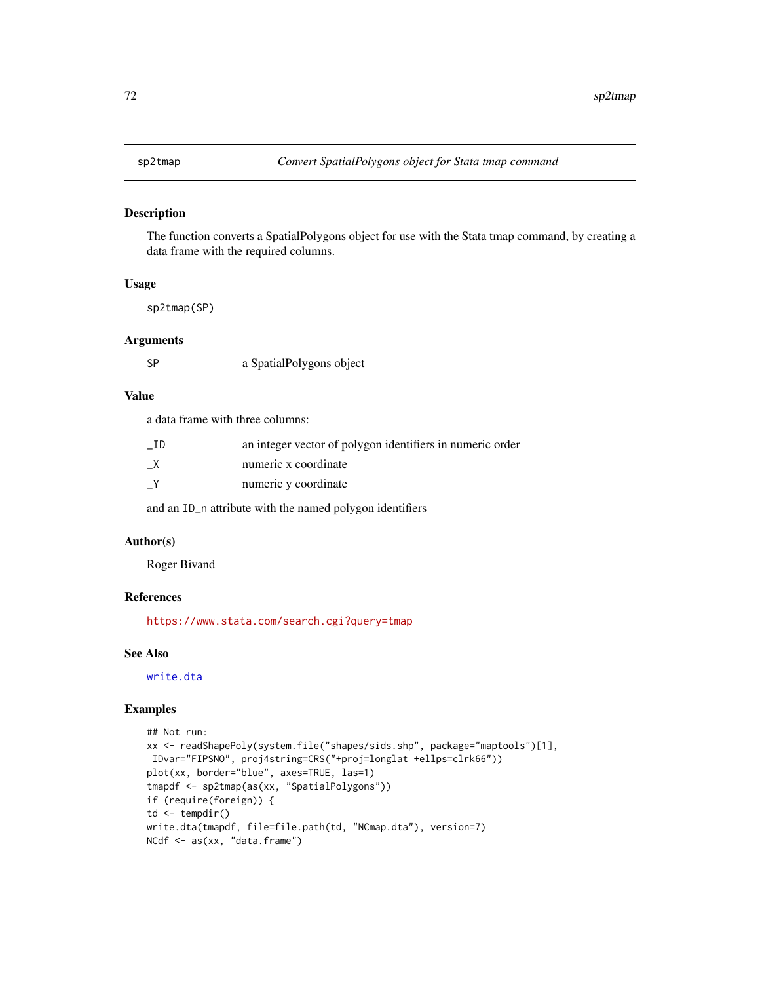The function converts a SpatialPolygons object for use with the Stata tmap command, by creating a data frame with the required columns.

#### Usage

sp2tmap(SP)

### Arguments

SP a SpatialPolygons object

# Value

a data frame with three columns:

| - ID          | an integer vector of polygon identifiers in numeric order |
|---------------|-----------------------------------------------------------|
| X             | numeric x coordinate                                      |
| $\mathsf{-Y}$ | numeric y coordinate                                      |

and an ID\_n attribute with the named polygon identifiers

# Author(s)

Roger Bivand

## References

<https://www.stata.com/search.cgi?query=tmap>

# See Also

[write.dta](#page-0-0)

```
## Not run:
xx <- readShapePoly(system.file("shapes/sids.shp", package="maptools")[1],
IDvar="FIPSNO", proj4string=CRS("+proj=longlat +ellps=clrk66"))
plot(xx, border="blue", axes=TRUE, las=1)
tmapdf <- sp2tmap(as(xx, "SpatialPolygons"))
if (require(foreign)) {
td \leftarrow tempdir()write.dta(tmapdf, file=file.path(td, "NCmap.dta"), version=7)
NCdf <- as(xx, "data.frame")
```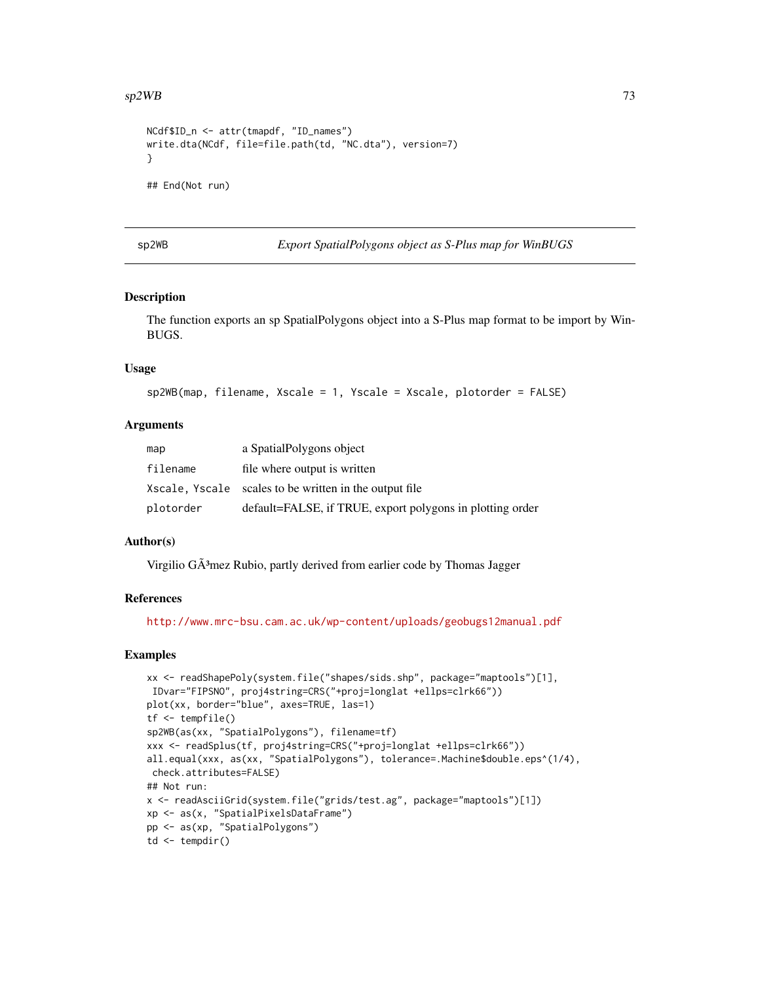#### <span id="page-72-0"></span> $sp2WB$  73

```
NCdf$ID_n <- attr(tmapdf, "ID_names")
write.dta(NCdf, file=file.path(td, "NC.dta"), version=7)
}
## End(Not run)
```
sp2WB *Export SpatialPolygons object as S-Plus map for WinBUGS*

# Description

The function exports an sp SpatialPolygons object into a S-Plus map format to be import by Win-BUGS.

# Usage

```
sp2WB(map, filename, Xscale = 1, Yscale = Xscale, plotorder = FALSE)
```
# Arguments

| map       | a SpatialPolygons object                                  |
|-----------|-----------------------------------------------------------|
| filename  | file where output is written                              |
|           | Xscale, Yscale scales to be written in the output file    |
| plotorder | default=FALSE, if TRUE, export polygons in plotting order |

# Author(s)

Virgilio  $G\tilde{A}^3$ mez Rubio, partly derived from earlier code by Thomas Jagger

#### References

<http://www.mrc-bsu.cam.ac.uk/wp-content/uploads/geobugs12manual.pdf>

```
xx <- readShapePoly(system.file("shapes/sids.shp", package="maptools")[1],
IDvar="FIPSNO", proj4string=CRS("+proj=longlat +ellps=clrk66"))
plot(xx, border="blue", axes=TRUE, las=1)
tf <- tempfile()
sp2WB(as(xx, "SpatialPolygons"), filename=tf)
xxx <- readSplus(tf, proj4string=CRS("+proj=longlat +ellps=clrk66"))
all.equal(xxx, as(xx, "SpatialPolygons"), tolerance=.Machine$double.eps^(1/4),
check.attributes=FALSE)
## Not run:
x <- readAsciiGrid(system.file("grids/test.ag", package="maptools")[1])
xp <- as(x, "SpatialPixelsDataFrame")
pp <- as(xp, "SpatialPolygons")
td \leftarrow tempdir()
```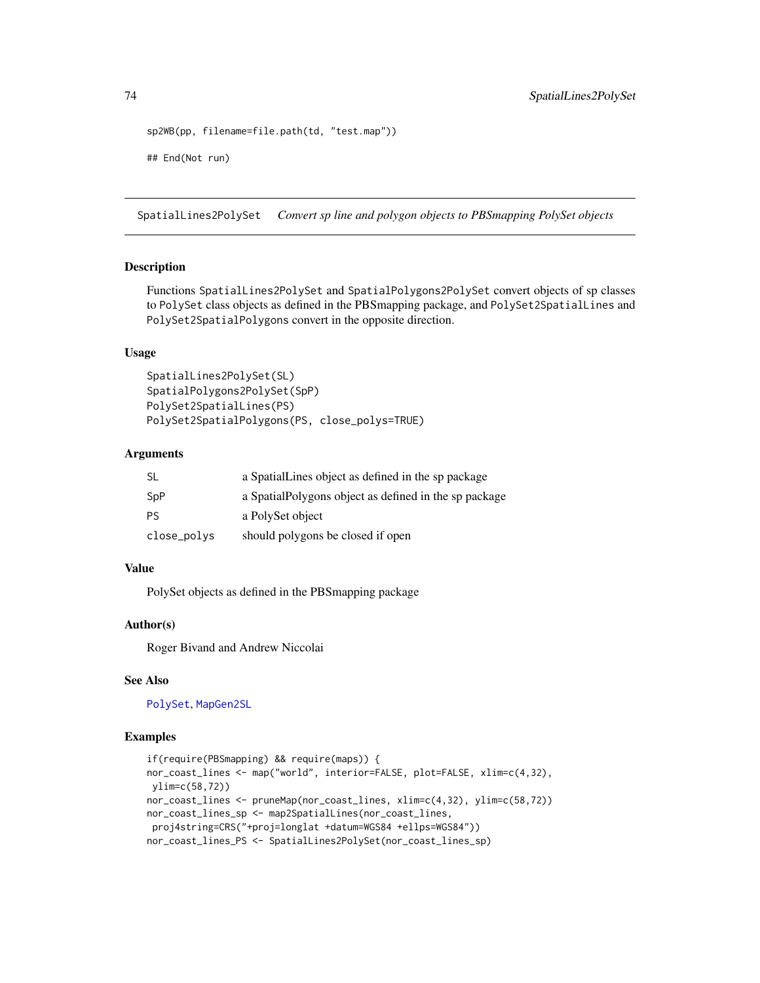```
sp2WB(pp, filename=file.path(td, "test.map"))
## End(Not run)
```
SpatialLines2PolySet *Convert sp line and polygon objects to PBSmapping PolySet objects*

# **Description**

Functions SpatialLines2PolySet and SpatialPolygons2PolySet convert objects of sp classes to PolySet class objects as defined in the PBSmapping package, and PolySet2SpatialLines and PolySet2SpatialPolygons convert in the opposite direction.

# Usage

```
SpatialLines2PolySet(SL)
SpatialPolygons2PolySet(SpP)
PolySet2SpatialLines(PS)
PolySet2SpatialPolygons(PS, close_polys=TRUE)
```
#### Arguments

| SL          | a SpatialLines object as defined in the sp package     |
|-------------|--------------------------------------------------------|
| SpP         | a Spatial Polygons object as defined in the sp package |
| PS          | a PolySet object                                       |
| close_polys | should polygons be closed if open                      |

# Value

PolySet objects as defined in the PBSmapping package

# Author(s)

Roger Bivand and Andrew Niccolai

# See Also

[PolySet](#page-0-0), [MapGen2SL](#page-17-0)

```
if(require(PBSmapping) && require(maps)) {
nor_coast_lines <- map("world", interior=FALSE, plot=FALSE, xlim=c(4,32),
ylim=c(58,72))
nor_coast_lines <- pruneMap(nor_coast_lines, xlim=c(4,32), ylim=c(58,72))
nor_coast_lines_sp <- map2SpatialLines(nor_coast_lines,
proj4string=CRS("+proj=longlat +datum=WGS84 +ellps=WGS84"))
nor_coast_lines_PS <- SpatialLines2PolySet(nor_coast_lines_sp)
```
<span id="page-73-0"></span>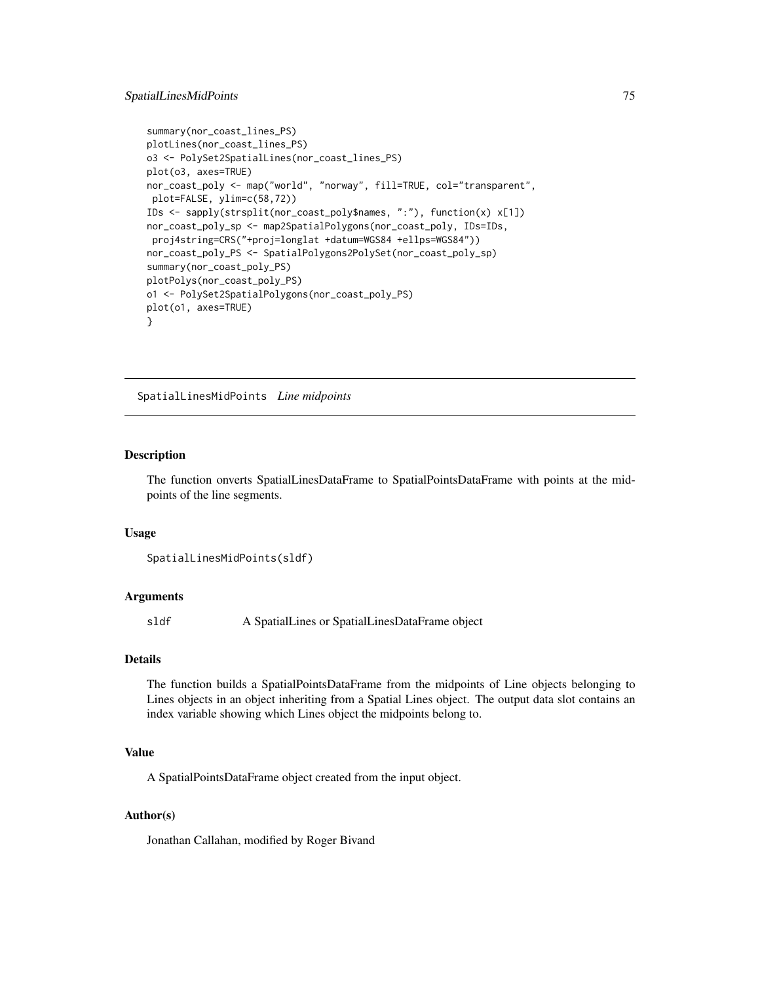#### <span id="page-74-0"></span>SpatialLinesMidPoints 75

```
summary(nor_coast_lines_PS)
plotLines(nor_coast_lines_PS)
o3 <- PolySet2SpatialLines(nor_coast_lines_PS)
plot(o3, axes=TRUE)
nor_coast_poly <- map("world", "norway", fill=TRUE, col="transparent",
plot=FALSE, ylim=c(58,72))
IDs <- sapply(strsplit(nor_coast_poly$names, ":"), function(x) x[1])
nor_coast_poly_sp <- map2SpatialPolygons(nor_coast_poly, IDs=IDs,
proj4string=CRS("+proj=longlat +datum=WGS84 +ellps=WGS84"))
nor_coast_poly_PS <- SpatialPolygons2PolySet(nor_coast_poly_sp)
summary(nor_coast_poly_PS)
plotPolys(nor_coast_poly_PS)
o1 <- PolySet2SpatialPolygons(nor_coast_poly_PS)
plot(o1, axes=TRUE)
}
```
SpatialLinesMidPoints *Line midpoints*

#### Description

The function onverts SpatialLinesDataFrame to SpatialPointsDataFrame with points at the midpoints of the line segments.

#### Usage

```
SpatialLinesMidPoints(sldf)
```
# Arguments

sldf A SpatialLines or SpatialLinesDataFrame object

#### Details

The function builds a SpatialPointsDataFrame from the midpoints of Line objects belonging to Lines objects in an object inheriting from a Spatial Lines object. The output data slot contains an index variable showing which Lines object the midpoints belong to.

# Value

A SpatialPointsDataFrame object created from the input object.

#### Author(s)

Jonathan Callahan, modified by Roger Bivand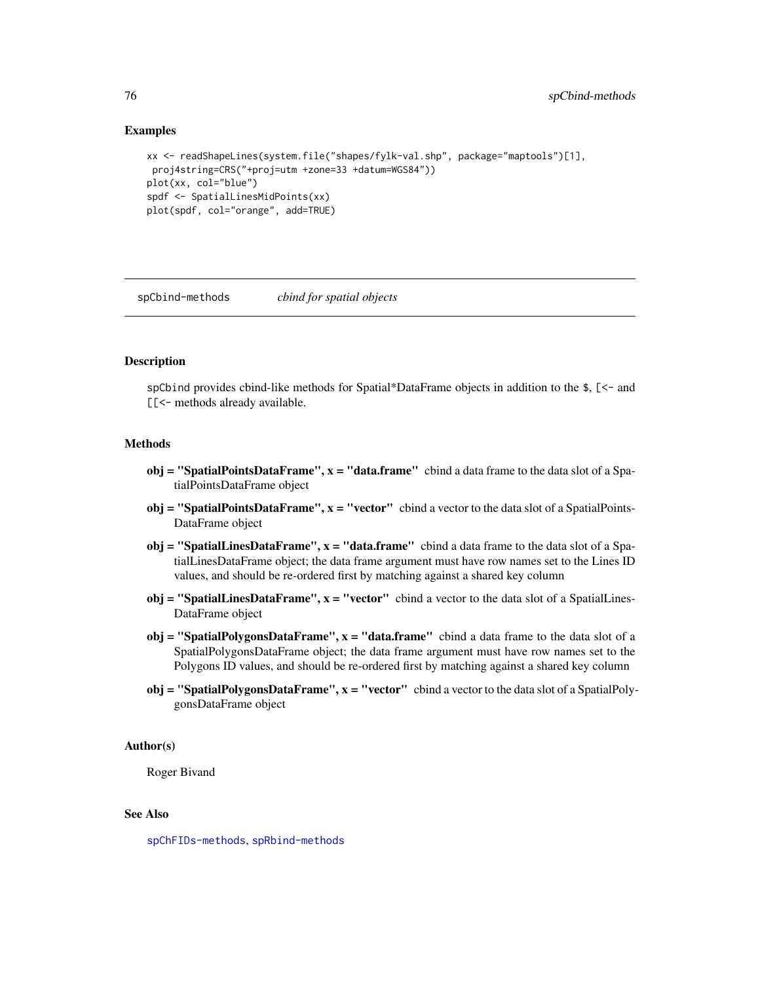# Examples

```
xx <- readShapeLines(system.file("shapes/fylk-val.shp", package="maptools")[1],
proj4string=CRS("+proj=utm +zone=33 +datum=WGS84"))
plot(xx, col="blue")
spdf <- SpatialLinesMidPoints(xx)
plot(spdf, col="orange", add=TRUE)
```
<span id="page-75-0"></span>spCbind-methods *cbind for spatial objects*

# **Description**

spCbind provides cbind-like methods for Spatial\*DataFrame objects in addition to the \$, [<- and [[<- methods already available.

# **Methods**

- $obj = "SpatialPointsDataFrame", x = "data-frame" \text{ chind a data frame to the data slot of a Spa-}$ tialPointsDataFrame object
- $obj = "SpatialPointsDataFrame", x = "vector" \text{ chind a vector to the data slot of a SpatialPoints-$ DataFrame object
- obj = "SpatialLinesDataFrame",  $x =$  "data.frame" cbind a data frame to the data slot of a SpatialLinesDataFrame object; the data frame argument must have row names set to the Lines ID values, and should be re-ordered first by matching against a shared key column
- obj = "SpatialLinesDataFrame",  $x =$  "vector" cbind a vector to the data slot of a SpatialLines-DataFrame object
- $obj = "SpatialPolygonsDataFrame", x = "data-frame"$  cbind a data frame to the data slot of a SpatialPolygonsDataFrame object; the data frame argument must have row names set to the Polygons ID values, and should be re-ordered first by matching against a shared key column
- $obj = "SpatialPolygonsDataFrame", x = "vector" \text{ chind a vector to the data slot of a SpatialPoly-}$ gonsDataFrame object

#### Author(s)

Roger Bivand

#### See Also

[spChFIDs-methods](#page-0-0), [spRbind-methods](#page-77-0)

<span id="page-75-1"></span>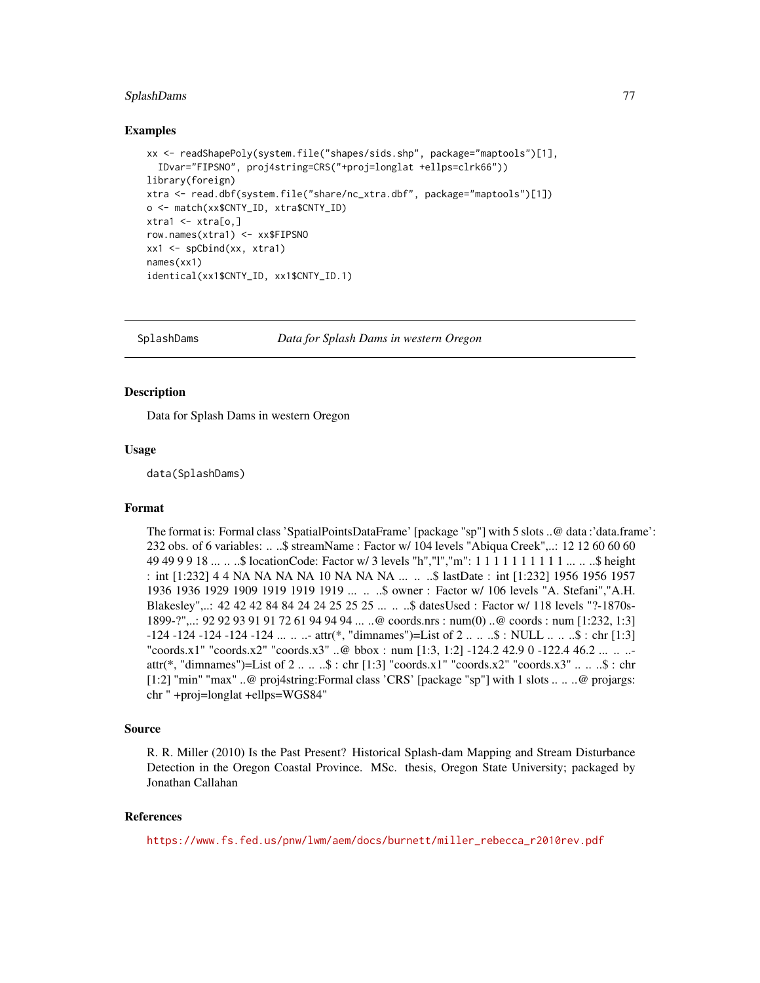# <span id="page-76-0"></span>SplashDams 77

#### Examples

```
xx <- readShapePoly(system.file("shapes/sids.shp", package="maptools")[1],
  IDvar="FIPSNO", proj4string=CRS("+proj=longlat +ellps=clrk66"))
library(foreign)
xtra <- read.dbf(system.file("share/nc_xtra.dbf", package="maptools")[1])
o <- match(xx$CNTY_ID, xtra$CNTY_ID)
xtra1 < -xtra[0,]row.names(xtra1) <- xx$FIPSNO
xx1 <- spCbind(xx, xtra1)
names(xx1)
identical(xx1$CNTY_ID, xx1$CNTY_ID.1)
```
SplashDams *Data for Splash Dams in western Oregon*

#### **Description**

Data for Splash Dams in western Oregon

#### Usage

data(SplashDams)

### Format

The format is: Formal class 'SpatialPointsDataFrame' [package "sp"] with 5 slots ..@ data :'data.frame': 232 obs. of 6 variables: .. ..\$ streamName : Factor w/ 104 levels "Abiqua Creek",..: 12 12 60 60 60 49 49 9 9 18 ... .. ..\$ locationCode: Factor w/ 3 levels "h","l","m": 1 1 1 1 1 1 1 1 1 1 ... .. ..\$ height : int [1:232] 4 4 NA NA NA NA 10 NA NA NA ... .. ..\$ lastDate : int [1:232] 1956 1956 1957 1936 1936 1929 1909 1919 1919 1919 ... .. ..\$ owner : Factor w/ 106 levels "A. Stefani","A.H. Blakesley",..: 42 42 42 84 84 24 24 25 25 25 ... .. ..\$ datesUsed : Factor w/ 118 levels "?-1870s-1899-?",..: 92 92 93 91 91 72 61 94 94 94 ... ..@ coords.nrs : num(0) ..@ coords : num [1:232, 1:3] -124 -124 -124 -124 -124 ... .. ..- attr(\*, "dimnames")=List of 2 .. .. ..\$ : NULL .. .. ..\$ : chr [1:3] "coords.x1" "coords.x2" "coords.x3" ..@ bbox : num [1:3, 1:2] -124.2 42.9 0 -122.4 46.2 ... .. .. attr(\*, "dimnames")=List of  $2 \ldots \ldots$ \$ : chr [1:3] "coords.x1" "coords.x2" "coords.x3"  $\ldots \ldots$ \$ : chr [1:2] "min" "max" ..@ proj4string:Formal class 'CRS' [package "sp"] with 1 slots .. .. ..@ projargs: chr " +proj=longlat +ellps=WGS84"

#### Source

R. R. Miller (2010) Is the Past Present? Historical Splash-dam Mapping and Stream Disturbance Detection in the Oregon Coastal Province. MSc. thesis, Oregon State University; packaged by Jonathan Callahan

# References

[https://www.fs.fed.us/pnw/lwm/aem/docs/burnett/miller\\_rebecca\\_r2010rev.pdf](https://www.fs.fed.us/pnw/lwm/aem/docs/burnett/miller_rebecca_r2010rev.pdf)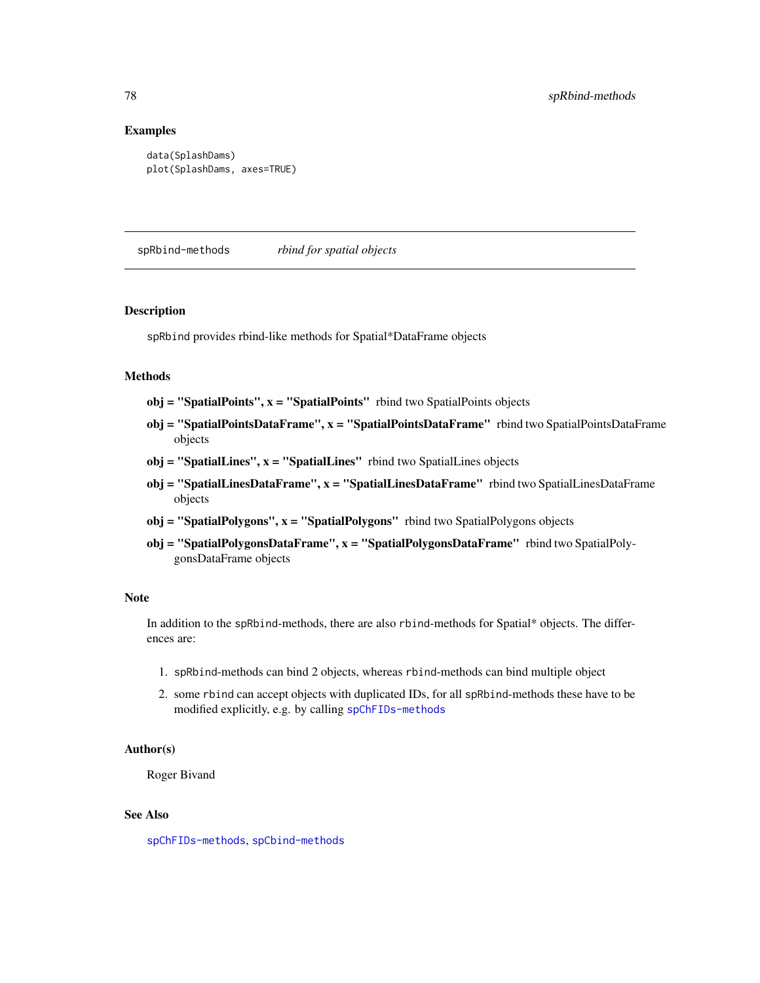# Examples

```
data(SplashDams)
plot(SplashDams, axes=TRUE)
```
<span id="page-77-0"></span>spRbind-methods *rbind for spatial objects*

#### **Description**

spRbind provides rbind-like methods for Spatial\*DataFrame objects

# Methods

- $obj = "SpatialPoints", x = "SpatialPoints"$  rbind two SpatialPoints objects
- obj = "SpatialPointsDataFrame", x = "SpatialPointsDataFrame" rbind two SpatialPointsDataFrame objects
- $obj = "SpatialLines", x = "SpatialLines"$  rbind two SpatialLines objects
- obj = "SpatialLinesDataFrame", x = "SpatialLinesDataFrame" rbind two SpatialLinesDataFrame objects
- obj = "SpatialPolygons", x = "SpatialPolygons" rbind two SpatialPolygons objects
- obj = "SpatialPolygonsDataFrame", x = "SpatialPolygonsDataFrame" rbind two SpatialPolygonsDataFrame objects

#### Note

In addition to the spRbind-methods, there are also rbind-methods for Spatial\* objects. The differences are:

- 1. spRbind-methods can bind 2 objects, whereas rbind-methods can bind multiple object
- 2. some rbind can accept objects with duplicated IDs, for all spRbind-methods these have to be modified explicitly, e.g. by calling [spChFIDs-methods](#page-0-0)

# Author(s)

Roger Bivand

### See Also

[spChFIDs-methods](#page-0-0), [spCbind-methods](#page-75-0)

<span id="page-77-1"></span>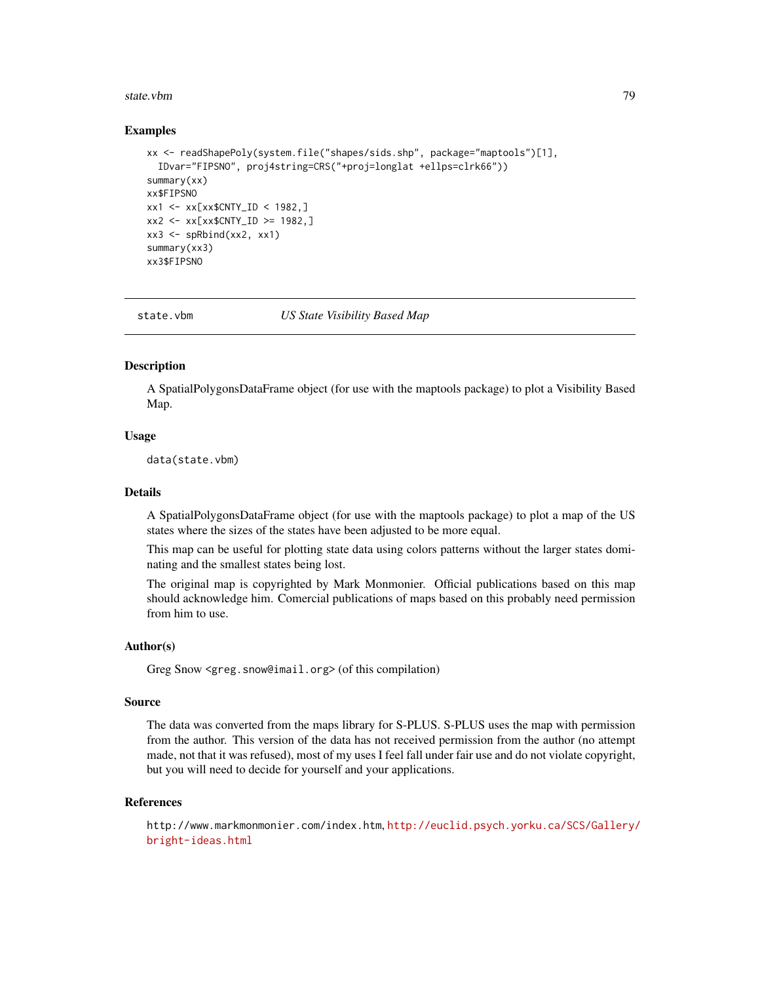#### <span id="page-78-0"></span>state.vbm 29

#### Examples

```
xx <- readShapePoly(system.file("shapes/sids.shp", package="maptools")[1],
  IDvar="FIPSNO", proj4string=CRS("+proj=longlat +ellps=clrk66"))
summary(xx)
xx$FIPSNO
xx1 <- xx[xx$CNTY_ID < 1982,]
xx2 <- xx[xx$CNTY_ID >= 1982,]
xx3 \leq - spRbind(xx2, xx1)
summary(xx3)
xx3$FIPSNO
```
state.vbm *US State Visibility Based Map*

#### Description

A SpatialPolygonsDataFrame object (for use with the maptools package) to plot a Visibility Based Map.

# Usage

data(state.vbm)

# Details

A SpatialPolygonsDataFrame object (for use with the maptools package) to plot a map of the US states where the sizes of the states have been adjusted to be more equal.

This map can be useful for plotting state data using colors patterns without the larger states dominating and the smallest states being lost.

The original map is copyrighted by Mark Monmonier. Official publications based on this map should acknowledge him. Comercial publications of maps based on this probably need permission from him to use.

#### Author(s)

Greg Snow <greg.snow@imail.org> (of this compilation)

#### Source

The data was converted from the maps library for S-PLUS. S-PLUS uses the map with permission from the author. This version of the data has not received permission from the author (no attempt made, not that it was refused), most of my uses I feel fall under fair use and do not violate copyright, but you will need to decide for yourself and your applications.

#### References

http://www.markmonmonier.com/index.htm, [http://euclid.psych.yorku.ca/SCS/Gallery/](http://euclid.psych.yorku.ca/SCS/Gallery/bright-ideas.html) [bright-ideas.html](http://euclid.psych.yorku.ca/SCS/Gallery/bright-ideas.html)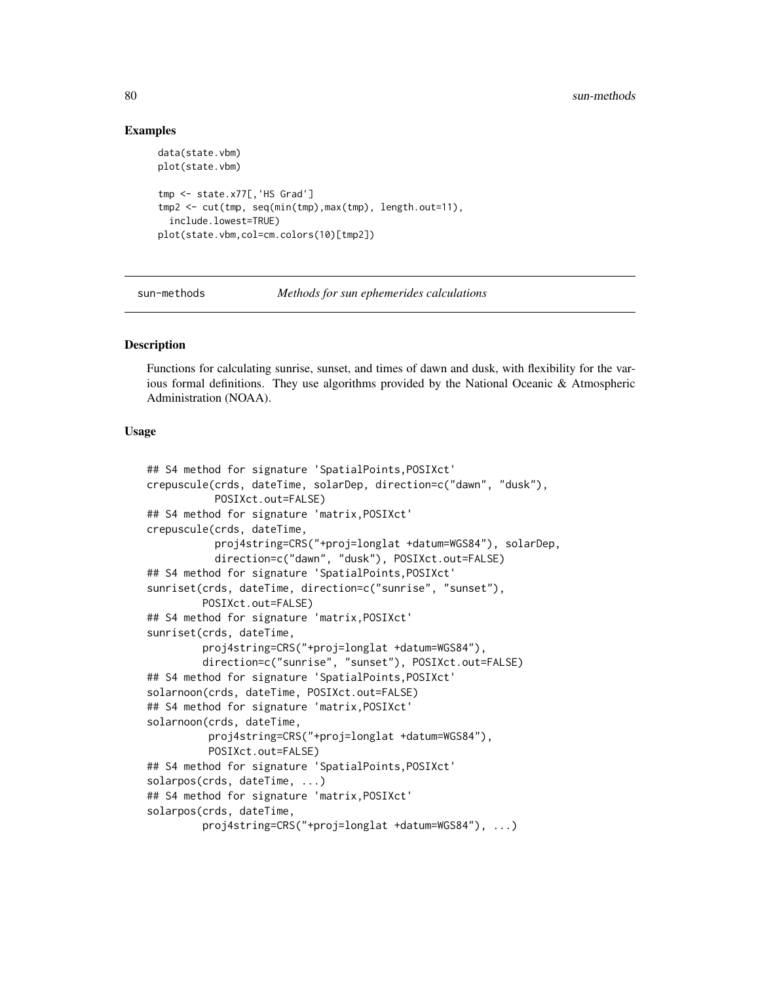# Examples

```
data(state.vbm)
plot(state.vbm)
tmp <- state.x77[,'HS Grad']
tmp2 <- cut(tmp, seq(min(tmp),max(tmp), length.out=11),
 include.lowest=TRUE)
plot(state.vbm,col=cm.colors(10)[tmp2])
```
sun-methods *Methods for sun ephemerides calculations*

# Description

Functions for calculating sunrise, sunset, and times of dawn and dusk, with flexibility for the various formal definitions. They use algorithms provided by the National Oceanic & Atmospheric Administration (NOAA).

# Usage

```
## S4 method for signature 'SpatialPoints,POSIXct'
crepuscule(crds, dateTime, solarDep, direction=c("dawn", "dusk"),
           POSIXct.out=FALSE)
## S4 method for signature 'matrix,POSIXct'
crepuscule(crds, dateTime,
           proj4string=CRS("+proj=longlat +datum=WGS84"), solarDep,
           direction=c("dawn", "dusk"), POSIXct.out=FALSE)
## S4 method for signature 'SpatialPoints,POSIXct'
sunriset(crds, dateTime, direction=c("sunrise", "sunset"),
         POSIXct.out=FALSE)
## S4 method for signature 'matrix,POSIXct'
sunriset(crds, dateTime,
         proj4string=CRS("+proj=longlat +datum=WGS84"),
         direction=c("sunrise", "sunset"), POSIXct.out=FALSE)
## S4 method for signature 'SpatialPoints,POSIXct'
solarnoon(crds, dateTime, POSIXct.out=FALSE)
## S4 method for signature 'matrix,POSIXct'
solarnoon(crds, dateTime,
          proj4string=CRS("+proj=longlat +datum=WGS84"),
         POSIXct.out=FALSE)
## S4 method for signature 'SpatialPoints,POSIXct'
solarpos(crds, dateTime, ...)
## S4 method for signature 'matrix,POSIXct'
solarpos(crds, dateTime,
         proj4string=CRS("+proj=longlat +datum=WGS84"), ...)
```
<span id="page-79-0"></span>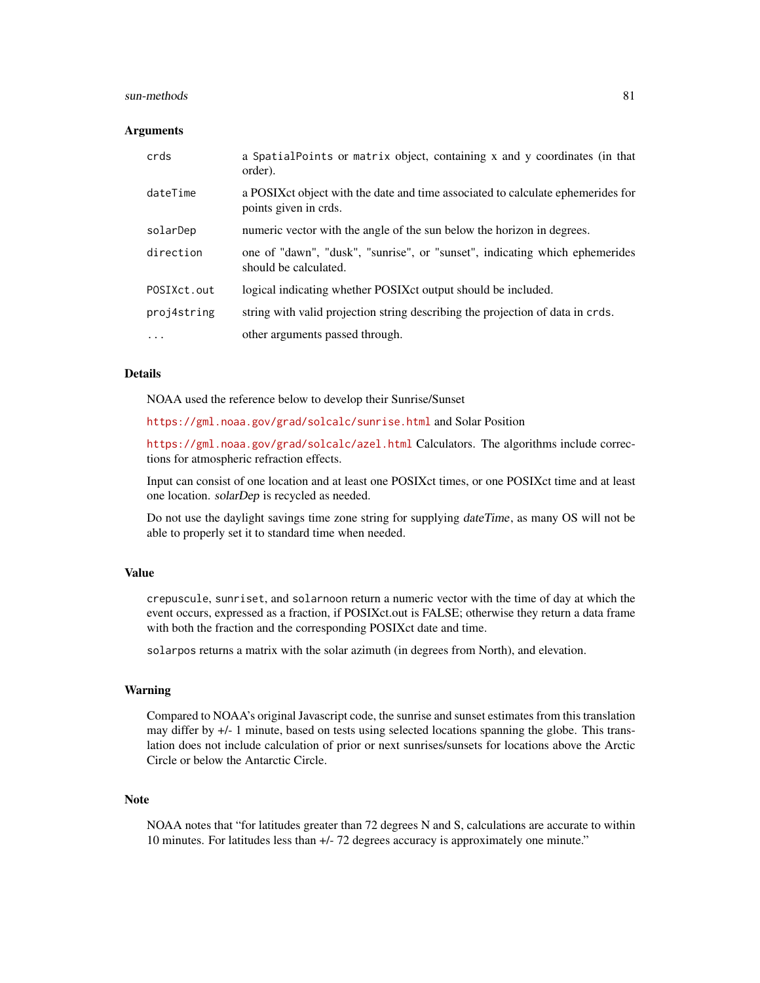#### sun-methods 81

#### **Arguments**

| crds        | a SpatialPoints or matrix object, containing x and y coordinates (in that<br>order).                      |
|-------------|-----------------------------------------------------------------------------------------------------------|
| dateTime    | a POSIX ct object with the date and time associated to calculate ephemerides for<br>points given in crds. |
| solarDep    | numeric vector with the angle of the sun below the horizon in degrees.                                    |
| direction   | one of "dawn", "dusk", "sunrise", or "sunset", indicating which ephemerides<br>should be calculated.      |
| POSIXct.out | logical indicating whether POSIX ct output should be included.                                            |
| proj4string | string with valid projection string describing the projection of data in crds.                            |
| $\cdots$    | other arguments passed through.                                                                           |

#### Details

NOAA used the reference below to develop their Sunrise/Sunset

<https://gml.noaa.gov/grad/solcalc/sunrise.html> and Solar Position

<https://gml.noaa.gov/grad/solcalc/azel.html> Calculators. The algorithms include corrections for atmospheric refraction effects.

Input can consist of one location and at least one POSIXct times, or one POSIXct time and at least one location. solarDep is recycled as needed.

Do not use the daylight savings time zone string for supplying dateTime, as many OS will not be able to properly set it to standard time when needed.

# Value

crepuscule, sunriset, and solarnoon return a numeric vector with the time of day at which the event occurs, expressed as a fraction, if POSIXct.out is FALSE; otherwise they return a data frame with both the fraction and the corresponding POSIXct date and time.

solarpos returns a matrix with the solar azimuth (in degrees from North), and elevation.

#### Warning

Compared to NOAA's original Javascript code, the sunrise and sunset estimates from this translation may differ by +/- 1 minute, based on tests using selected locations spanning the globe. This translation does not include calculation of prior or next sunrises/sunsets for locations above the Arctic Circle or below the Antarctic Circle.

### Note

NOAA notes that "for latitudes greater than 72 degrees N and S, calculations are accurate to within 10 minutes. For latitudes less than +/- 72 degrees accuracy is approximately one minute."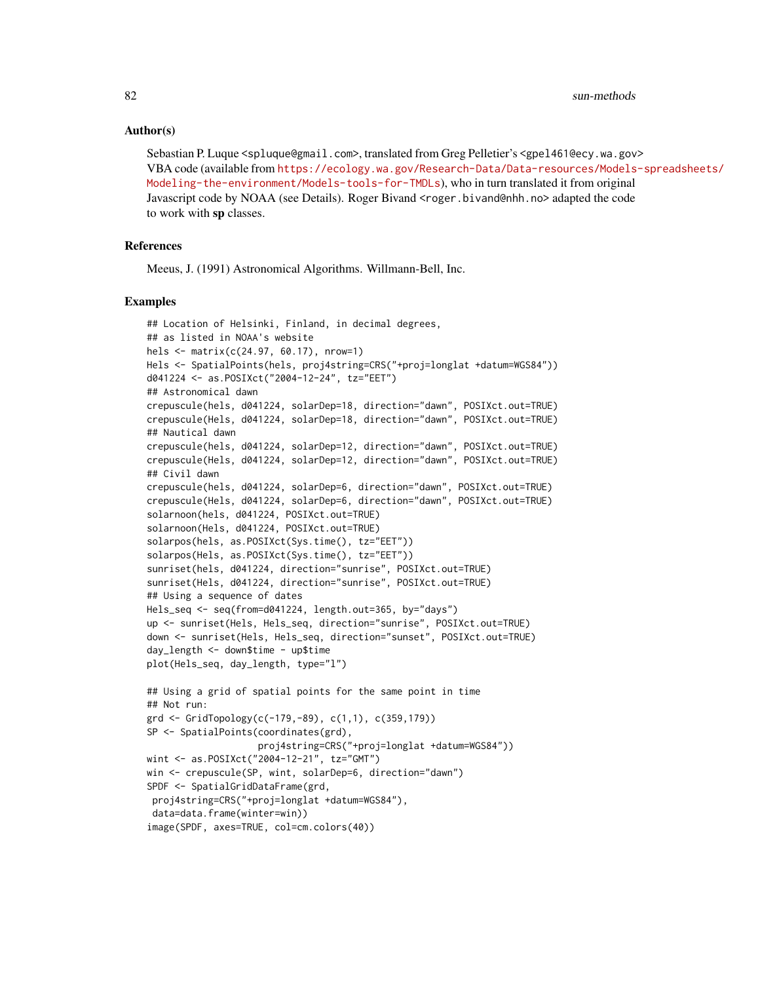#### Author(s)

Sebastian P. Luque <spluque@gmail.com>, translated from Greg Pelletier's <gpel461@ecy.wa.gov> VBA code (available from [https://ecology.wa.gov/Research-Data/Data-resources/Models](https://ecology.wa.gov/Research-Data/Data-resources/Models-spreadsheets/Modeling-the-environment/Models-tools-for-TMDLs)-spreadsheets/ [Modeling-the-environment/Models-tools-for-TMDLs](https://ecology.wa.gov/Research-Data/Data-resources/Models-spreadsheets/Modeling-the-environment/Models-tools-for-TMDLs)), who in turn translated it from original Javascript code by NOAA (see Details). Roger Bivand <roger.bivand@nhh.no> adapted the code to work with sp classes.

# References

Meeus, J. (1991) Astronomical Algorithms. Willmann-Bell, Inc.

```
## Location of Helsinki, Finland, in decimal degrees,
## as listed in NOAA's website
hels <- matrix(c(24.97, 60.17), nrow=1)
Hels <- SpatialPoints(hels, proj4string=CRS("+proj=longlat +datum=WGS84"))
d041224 <- as.POSIXct("2004-12-24", tz="EET")
## Astronomical dawn
crepuscule(hels, d041224, solarDep=18, direction="dawn", POSIXct.out=TRUE)
crepuscule(Hels, d041224, solarDep=18, direction="dawn", POSIXct.out=TRUE)
## Nautical dawn
crepuscule(hels, d041224, solarDep=12, direction="dawn", POSIXct.out=TRUE)
crepuscule(Hels, d041224, solarDep=12, direction="dawn", POSIXct.out=TRUE)
## Civil dawn
crepuscule(hels, d041224, solarDep=6, direction="dawn", POSIXct.out=TRUE)
crepuscule(Hels, d041224, solarDep=6, direction="dawn", POSIXct.out=TRUE)
solarnoon(hels, d041224, POSIXct.out=TRUE)
solarnoon(Hels, d041224, POSIXct.out=TRUE)
solarpos(hels, as.POSIXct(Sys.time(), tz="EET"))
solarpos(Hels, as.POSIXct(Sys.time(), tz="EET"))
sunriset(hels, d041224, direction="sunrise", POSIXct.out=TRUE)
sunriset(Hels, d041224, direction="sunrise", POSIXct.out=TRUE)
## Using a sequence of dates
Hels_seq <- seq(from=d041224, length.out=365, by="days")
up <- sunriset(Hels, Hels_seq, direction="sunrise", POSIXct.out=TRUE)
down <- sunriset(Hels, Hels_seq, direction="sunset", POSIXct.out=TRUE)
day_length <- down$time - up$time
plot(Hels_seq, day_length, type="l")
## Using a grid of spatial points for the same point in time
## Not run:
grd <- GridTopology(c(-179,-89), c(1,1), c(359,179))
SP <- SpatialPoints(coordinates(grd),
                    proj4string=CRS("+proj=longlat +datum=WGS84"))
wint <- as.POSIXct("2004-12-21", tz="GMT")
win <- crepuscule(SP, wint, solarDep=6, direction="dawn")
SPDF <- SpatialGridDataFrame(grd,
 proj4string=CRS("+proj=longlat +datum=WGS84"),
 data=data.frame(winter=win))
image(SPDF, axes=TRUE, col=cm.colors(40))
```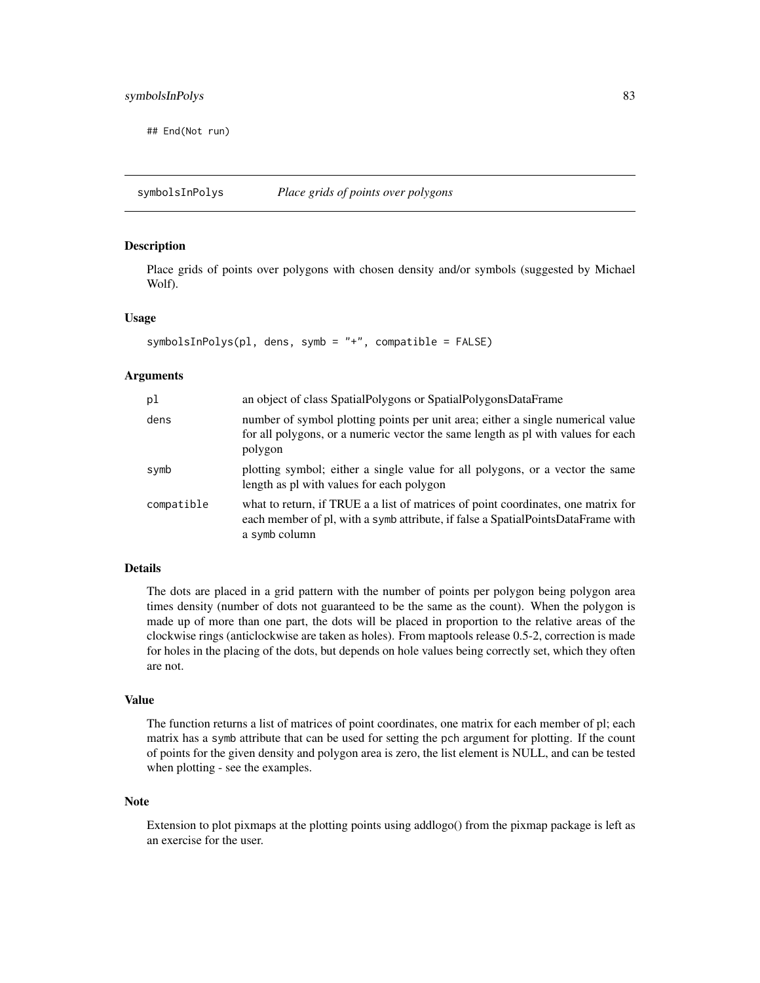<span id="page-82-0"></span>## End(Not run)

symbolsInPolys *Place grids of points over polygons*

#### Description

Place grids of points over polygons with chosen density and/or symbols (suggested by Michael Wolf).

# Usage

```
symbolsInPolys(pl, dens, symb = "+", compatible = FALSE)
```
#### Arguments

| pl         | an object of class SpatialPolygons or SpatialPolygonsDataFrame                                                                                                                         |
|------------|----------------------------------------------------------------------------------------------------------------------------------------------------------------------------------------|
| dens       | number of symbol plotting points per unit area; either a single numerical value<br>for all polygons, or a numeric vector the same length as pl with values for each<br>polygon         |
| symb       | plotting symbol; either a single value for all polygons, or a vector the same<br>length as pl with values for each polygon                                                             |
| compatible | what to return, if TRUE a a list of matrices of point coordinates, one matrix for<br>each member of pl, with a symb attribute, if false a SpatialPointsDataFrame with<br>a symb column |

# Details

The dots are placed in a grid pattern with the number of points per polygon being polygon area times density (number of dots not guaranteed to be the same as the count). When the polygon is made up of more than one part, the dots will be placed in proportion to the relative areas of the clockwise rings (anticlockwise are taken as holes). From maptools release 0.5-2, correction is made for holes in the placing of the dots, but depends on hole values being correctly set, which they often are not.

#### Value

The function returns a list of matrices of point coordinates, one matrix for each member of pl; each matrix has a symb attribute that can be used for setting the pch argument for plotting. If the count of points for the given density and polygon area is zero, the list element is NULL, and can be tested when plotting - see the examples.

#### Note

Extension to plot pixmaps at the plotting points using addlogo() from the pixmap package is left as an exercise for the user.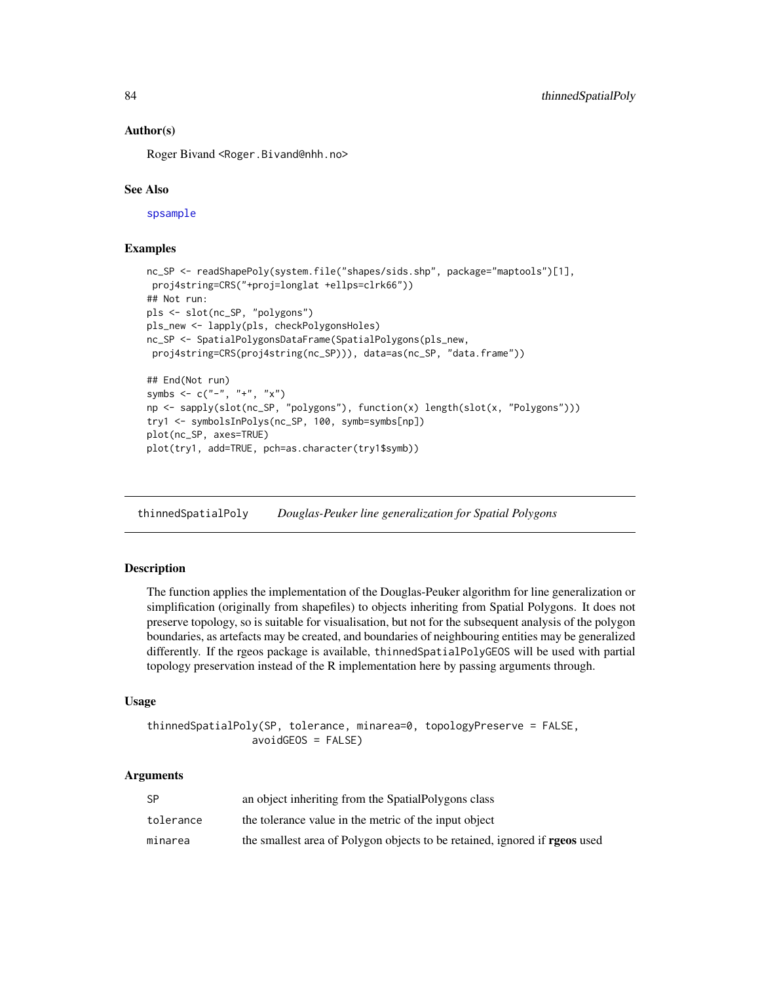# Author(s)

Roger Bivand <Roger.Bivand@nhh.no>

# See Also

[spsample](#page-0-0)

# Examples

```
nc_SP <- readShapePoly(system.file("shapes/sids.shp", package="maptools")[1],
proj4string=CRS("+proj=longlat +ellps=clrk66"))
## Not run:
pls <- slot(nc_SP, "polygons")
pls_new <- lapply(pls, checkPolygonsHoles)
nc_SP <- SpatialPolygonsDataFrame(SpatialPolygons(pls_new,
proj4string=CRS(proj4string(nc_SP))), data=as(nc_SP, "data.frame"))
## End(Not run)
symbs \leq c("-", "+", "x")np <- sapply(slot(nc_SP, "polygons"), function(x) length(slot(x, "Polygons")))
try1 <- symbolsInPolys(nc_SP, 100, symb=symbs[np])
plot(nc_SP, axes=TRUE)
plot(try1, add=TRUE, pch=as.character(try1$symb))
```
thinnedSpatialPoly *Douglas-Peuker line generalization for Spatial Polygons*

# Description

The function applies the implementation of the Douglas-Peuker algorithm for line generalization or simplification (originally from shapefiles) to objects inheriting from Spatial Polygons. It does not preserve topology, so is suitable for visualisation, but not for the subsequent analysis of the polygon boundaries, as artefacts may be created, and boundaries of neighbouring entities may be generalized differently. If the rgeos package is available, thinnedSpatialPolyGEOS will be used with partial topology preservation instead of the R implementation here by passing arguments through.

# Usage

```
thinnedSpatialPoly(SP, tolerance, minarea=0, topologyPreserve = FALSE,
                 avoidGEOS = FALSE)
```
# Arguments

| SP        | an object inheriting from the SpatialPolygons class                               |
|-----------|-----------------------------------------------------------------------------------|
| tolerance | the tolerance value in the metric of the input object                             |
| minarea   | the smallest area of Polygon objects to be retained, ignored if <b>rgeos</b> used |

<span id="page-83-0"></span>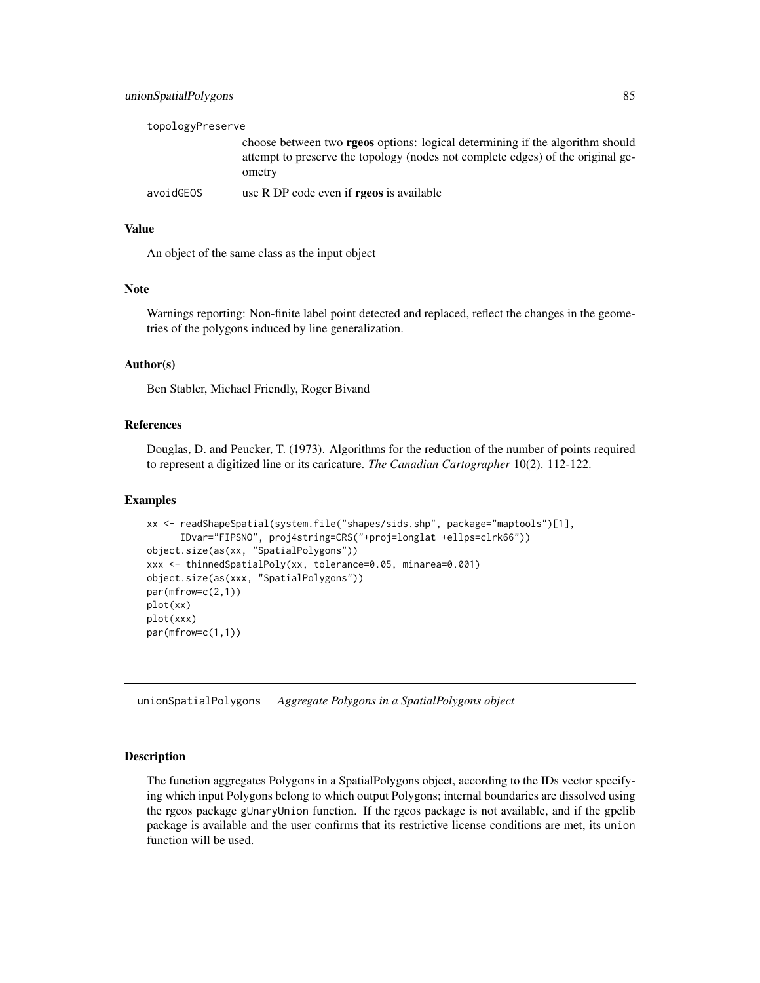<span id="page-84-0"></span>

| topologyPreserve |                                                                                                                                                                                   |
|------------------|-----------------------------------------------------------------------------------------------------------------------------------------------------------------------------------|
|                  | choose between two <b>rgeos</b> options: logical determining if the algorithm should<br>attempt to preserve the topology (nodes not complete edges) of the original ge-<br>ometry |
| avoidGEOS        | use R DP code even if <b>rgeos</b> is available                                                                                                                                   |

# Value

An object of the same class as the input object

#### Note

Warnings reporting: Non-finite label point detected and replaced, reflect the changes in the geometries of the polygons induced by line generalization.

# Author(s)

Ben Stabler, Michael Friendly, Roger Bivand

#### References

Douglas, D. and Peucker, T. (1973). Algorithms for the reduction of the number of points required to represent a digitized line or its caricature. *The Canadian Cartographer* 10(2). 112-122.

#### Examples

```
xx <- readShapeSpatial(system.file("shapes/sids.shp", package="maptools")[1],
      IDvar="FIPSNO", proj4string=CRS("+proj=longlat +ellps=clrk66"))
object.size(as(xx, "SpatialPolygons"))
xxx <- thinnedSpatialPoly(xx, tolerance=0.05, minarea=0.001)
object.size(as(xxx, "SpatialPolygons"))
par(mfrow=c(2,1))
plot(xx)
plot(xxx)
par(mfrow=c(1,1))
```
unionSpatialPolygons *Aggregate Polygons in a SpatialPolygons object*

# Description

The function aggregates Polygons in a SpatialPolygons object, according to the IDs vector specifying which input Polygons belong to which output Polygons; internal boundaries are dissolved using the rgeos package gUnaryUnion function. If the rgeos package is not available, and if the gpclib package is available and the user confirms that its restrictive license conditions are met, its union function will be used.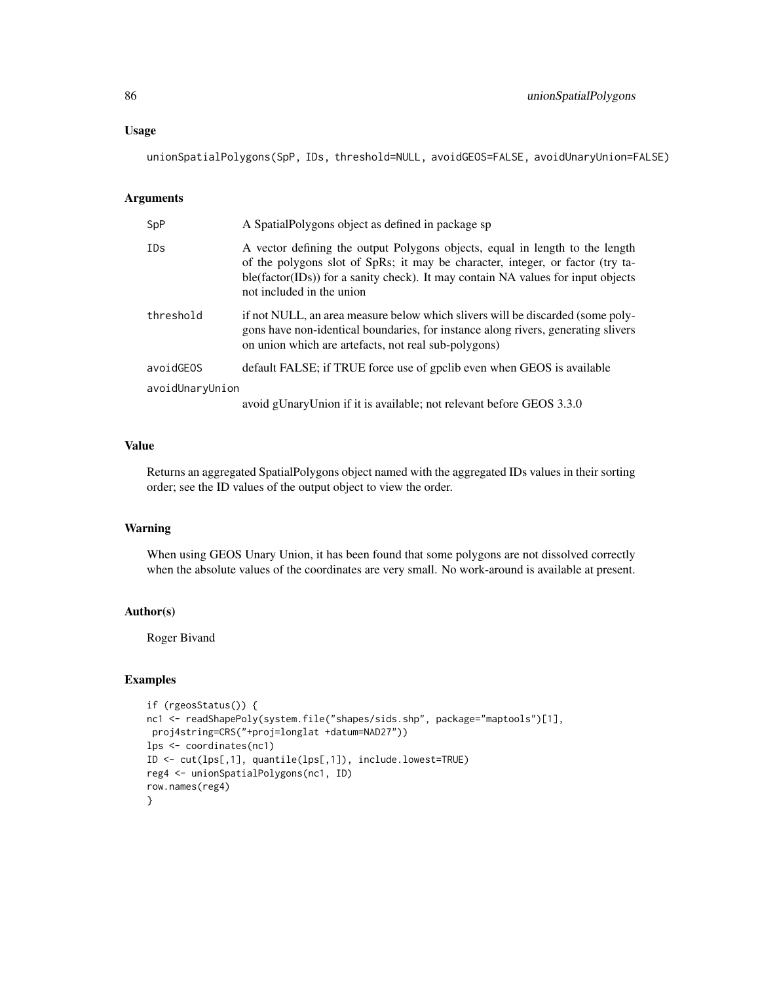#### Usage

unionSpatialPolygons(SpP, IDs, threshold=NULL, avoidGEOS=FALSE, avoidUnaryUnion=FALSE)

# Arguments

| SpP             | A SpatialPolygons object as defined in package sp                                                                                                                                                                                                                               |
|-----------------|---------------------------------------------------------------------------------------------------------------------------------------------------------------------------------------------------------------------------------------------------------------------------------|
| <b>IDs</b>      | A vector defining the output Polygons objects, equal in length to the length<br>of the polygons slot of SpRs; it may be character, integer, or factor (try ta-<br>ble(factor(IDs)) for a sanity check). It may contain NA values for input objects<br>not included in the union |
| threshold       | if not NULL, an area measure below which slivers will be discarded (some poly-<br>gons have non-identical boundaries, for instance along rivers, generating slivers<br>on union which are artefacts, not real sub-polygons)                                                     |
| avoidGEOS       | default FALSE; if TRUE force use of gpclib even when GEOS is available                                                                                                                                                                                                          |
| avoidUnaryUnion |                                                                                                                                                                                                                                                                                 |
|                 | avoid gUnaryUnion if it is available; not relevant before GEOS 3.3.0                                                                                                                                                                                                            |

# Value

Returns an aggregated SpatialPolygons object named with the aggregated IDs values in their sorting order; see the ID values of the output object to view the order.

# Warning

When using GEOS Unary Union, it has been found that some polygons are not dissolved correctly when the absolute values of the coordinates are very small. No work-around is available at present.

# Author(s)

Roger Bivand

```
if (rgeosStatus()) {
nc1 <- readShapePoly(system.file("shapes/sids.shp", package="maptools")[1],
proj4string=CRS("+proj=longlat +datum=NAD27"))
lps <- coordinates(nc1)
ID <- cut(lps[,1], quantile(lps[,1]), include.lowest=TRUE)
reg4 <- unionSpatialPolygons(nc1, ID)
row.names(reg4)
}
```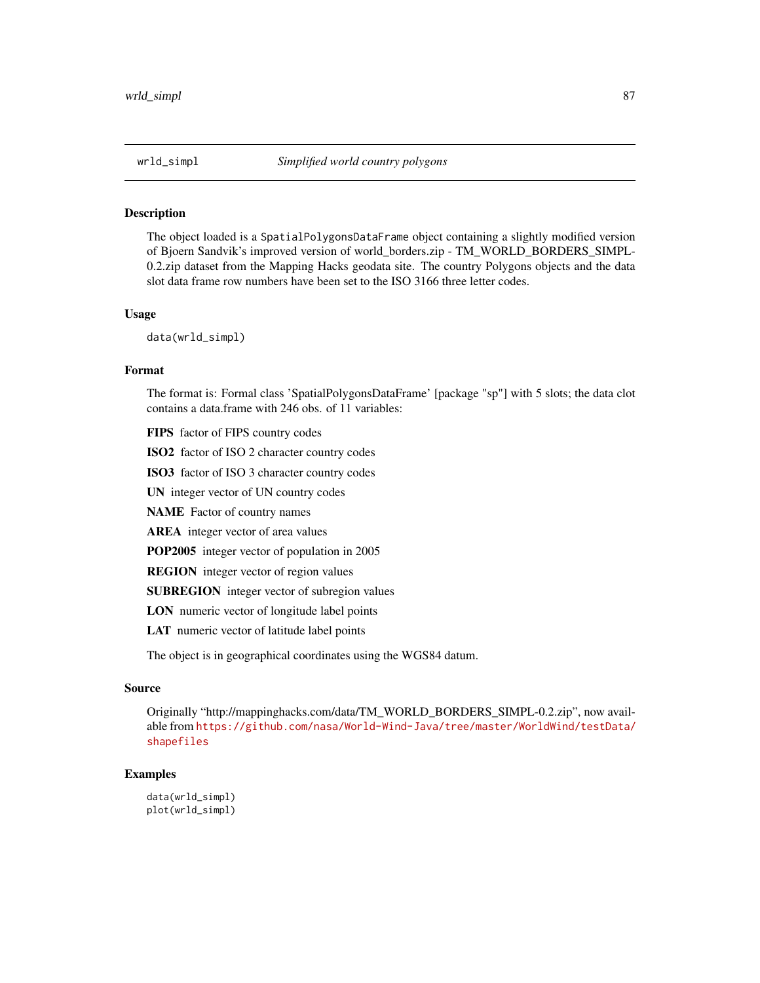<span id="page-86-0"></span>

# Description

The object loaded is a SpatialPolygonsDataFrame object containing a slightly modified version of Bjoern Sandvik's improved version of world\_borders.zip - TM\_WORLD\_BORDERS\_SIMPL-0.2.zip dataset from the Mapping Hacks geodata site. The country Polygons objects and the data slot data frame row numbers have been set to the ISO 3166 three letter codes.

#### Usage

data(wrld\_simpl)

#### Format

The format is: Formal class 'SpatialPolygonsDataFrame' [package "sp"] with 5 slots; the data clot contains a data.frame with 246 obs. of 11 variables:

FIPS factor of FIPS country codes

ISO2 factor of ISO 2 character country codes

ISO3 factor of ISO 3 character country codes

UN integer vector of UN country codes

NAME Factor of country names

AREA integer vector of area values

POP2005 integer vector of population in 2005

REGION integer vector of region values

SUBREGION integer vector of subregion values

LON numeric vector of longitude label points

LAT numeric vector of latitude label points

The object is in geographical coordinates using the WGS84 datum.

# Source

Originally "http://mappinghacks.com/data/TM\_WORLD\_BORDERS\_SIMPL-0.2.zip", now available from [https://github.com/nasa/World-Wind-Java/tree/master/WorldWind/testData/](https://github.com/nasa/World-Wind-Java/tree/master/WorldWind/testData/shapefiles) [shapefiles](https://github.com/nasa/World-Wind-Java/tree/master/WorldWind/testData/shapefiles)

#### Examples

data(wrld\_simpl) plot(wrld\_simpl)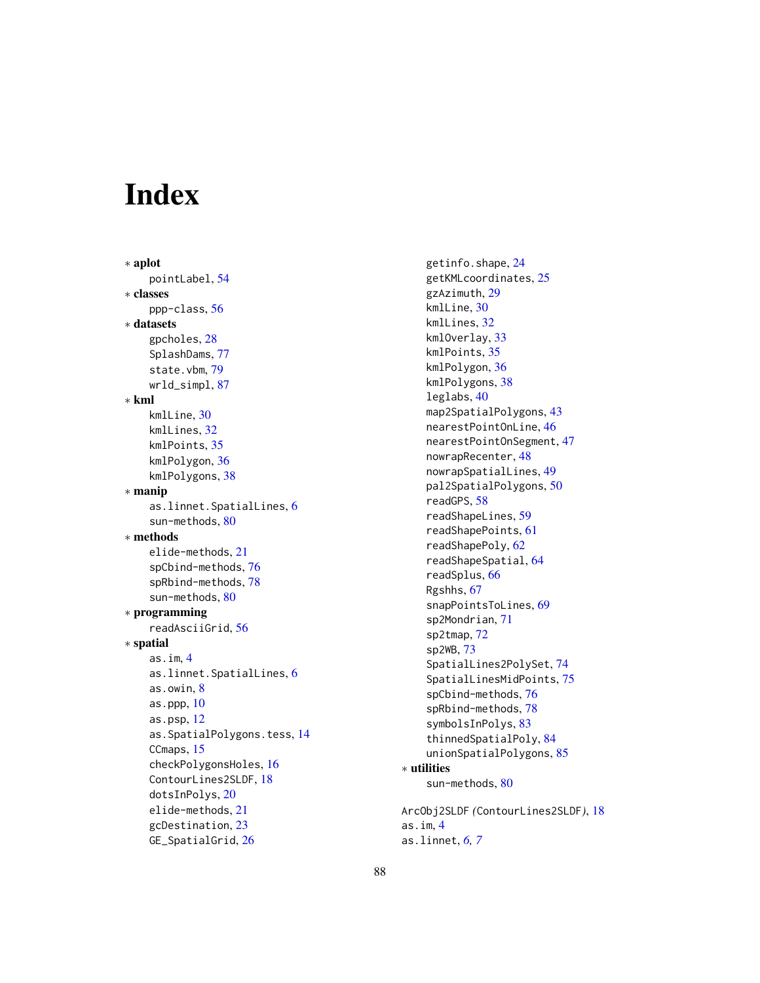# **Index**

∗ aplot pointLabel, [54](#page-53-0) ∗ classes ppp-class, [56](#page-55-0) ∗ datasets gpcholes, [28](#page-27-0) SplashDams, [77](#page-76-0) state.vbm, [79](#page-78-0) wrld\_simpl, [87](#page-86-0) ∗ kml kmlLine, [30](#page-29-0) kmlLines, [32](#page-31-0) kmlPoints, [35](#page-34-0) kmlPolygon, [36](#page-35-0) kmlPolygons, [38](#page-37-0) ∗ manip as.linnet.SpatialLines, [6](#page-5-0) sun-methods, [80](#page-79-0) ∗ methods elide-methods, [21](#page-20-0) spCbind-methods, [76](#page-75-1) spRbind-methods, [78](#page-77-1) sun-methods, [80](#page-79-0) ∗ programming readAsciiGrid, [56](#page-55-0) ∗ spatial as.im, [4](#page-3-0) as.linnet.SpatialLines, [6](#page-5-0) as.owin, [8](#page-7-0) as.ppp, [10](#page-9-0) as.psp, [12](#page-11-0) as.SpatialPolygons.tess, [14](#page-13-0) CCmaps, [15](#page-14-0) checkPolygonsHoles, [16](#page-15-0) ContourLines2SLDF, [18](#page-17-1) dotsInPolys, [20](#page-19-0) elide-methods, [21](#page-20-0) gcDestination, [23](#page-22-0) GE\_SpatialGrid, [26](#page-25-0)

getinfo.shape, [24](#page-23-0) getKMLcoordinates, [25](#page-24-0) gzAzimuth, [29](#page-28-0) kmlLine, [30](#page-29-0) kmlLines, [32](#page-31-0) kmlOverlay, [33](#page-32-0) kmlPoints, [35](#page-34-0) kmlPolygon, [36](#page-35-0) kmlPolygons, [38](#page-37-0) leglabs, [40](#page-39-0) map2SpatialPolygons, [43](#page-42-0) nearestPointOnLine, [46](#page-45-0) nearestPointOnSegment, [47](#page-46-0) nowrapRecenter, [48](#page-47-0) nowrapSpatialLines, [49](#page-48-0) pal2SpatialPolygons, [50](#page-49-0) readGPS, [58](#page-57-0) readShapeLines, [59](#page-58-0) readShapePoints, [61](#page-60-0) readShapePoly, [62](#page-61-0) readShapeSpatial, [64](#page-63-0) readSplus, [66](#page-65-0) Rgshhs, [67](#page-66-0) snapPointsToLines, [69](#page-68-0) sp2Mondrian, [71](#page-70-0) sp2tmap, [72](#page-71-0) sp2WB, [73](#page-72-0) SpatialLines2PolySet, [74](#page-73-0) SpatialLinesMidPoints, [75](#page-74-0) spCbind-methods, [76](#page-75-1) spRbind-methods, [78](#page-77-1) symbolsInPolys, [83](#page-82-0) thinnedSpatialPoly, [84](#page-83-0) unionSpatialPolygons, [85](#page-84-0) ∗ utilities sun-methods, [80](#page-79-0) ArcObj2SLDF *(*ContourLines2SLDF*)*, [18](#page-17-1)

as.im, [4](#page-3-0) as.linnet, *[6,](#page-5-0) [7](#page-6-0)*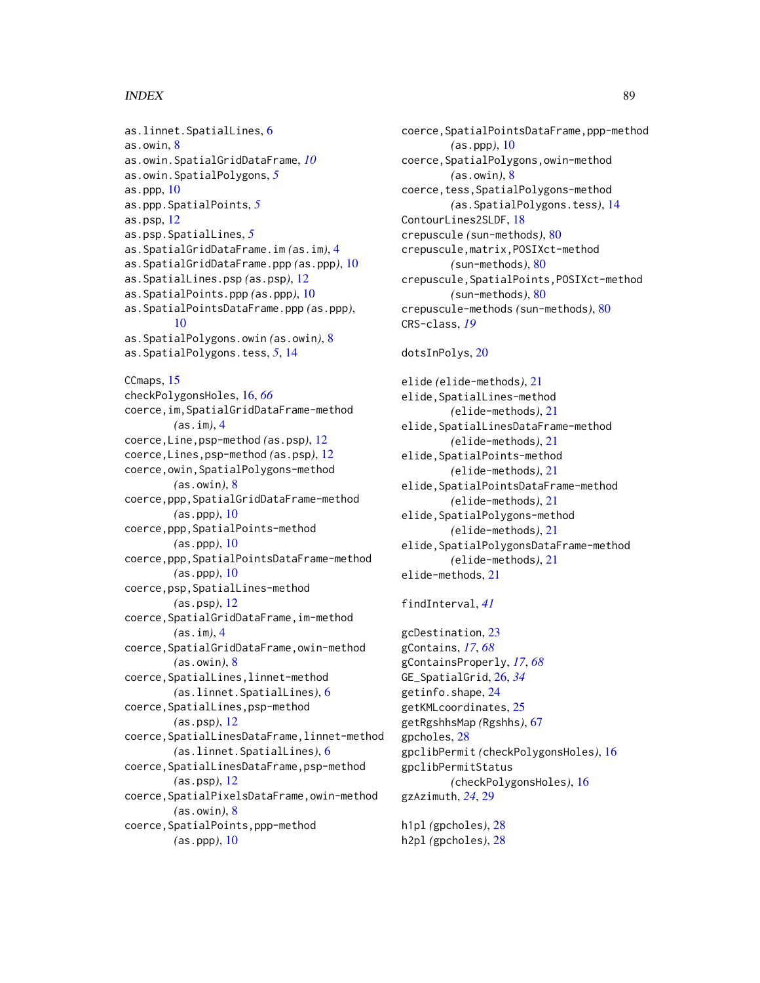## INDEX  $89$

as.linnet.SpatialLines, [6](#page-5-0) as.owin, [8](#page-7-0) as.owin.SpatialGridDataFrame, *[10](#page-9-0)* as.owin.SpatialPolygons, *[5](#page-4-0)* as.ppp,  $10$ as.ppp.SpatialPoints, *[5](#page-4-0)* as.psp, [12](#page-11-0) as.psp.SpatialLines, *[5](#page-4-0)* as.SpatialGridDataFrame.im *(*as.im*)*, [4](#page-3-0) as.SpatialGridDataFrame.ppp *(*as.ppp*)*, [10](#page-9-0) as.SpatialLines.psp *(*as.psp*)*, [12](#page-11-0) as.SpatialPoints.ppp *(*as.ppp*)*, [10](#page-9-0) as.SpatialPointsDataFrame.ppp *(*as.ppp*)*, [10](#page-9-0) as.SpatialPolygons.owin *(*as.owin*)*, [8](#page-7-0) as.SpatialPolygons.tess, *[5](#page-4-0)*, [14](#page-13-0) CCmaps, [15](#page-14-0) checkPolygonsHoles, [16,](#page-15-0) *[66](#page-65-0)* coerce,im,SpatialGridDataFrame-method *(*as.im*)*, [4](#page-3-0) coerce,Line,psp-method *(*as.psp*)*, [12](#page-11-0) coerce,Lines,psp-method *(*as.psp*)*, [12](#page-11-0) coerce,owin,SpatialPolygons-method *(*as.owin*)*, [8](#page-7-0) coerce,ppp,SpatialGridDataFrame-method *(*as.ppp*)*, [10](#page-9-0) coerce,ppp,SpatialPoints-method *(*as.ppp*)*, [10](#page-9-0) coerce,ppp,SpatialPointsDataFrame-method *(*as.ppp*)*, [10](#page-9-0) coerce,psp,SpatialLines-method *(*as.psp*)*, [12](#page-11-0) coerce,SpatialGridDataFrame,im-method *(*as.im*)*, [4](#page-3-0) coerce,SpatialGridDataFrame,owin-method *(*as.owin*)*, [8](#page-7-0) coerce,SpatialLines,linnet-method *(*as.linnet.SpatialLines*)*, [6](#page-5-0) coerce,SpatialLines,psp-method *(*as.psp*)*, [12](#page-11-0) coerce,SpatialLinesDataFrame,linnet-method *(*as.linnet.SpatialLines*)*, [6](#page-5-0) coerce,SpatialLinesDataFrame,psp-method *(*as.psp*)*, [12](#page-11-0) coerce,SpatialPixelsDataFrame,owin-method *(*as.owin*)*, [8](#page-7-0) coerce,SpatialPoints,ppp-method *(*as.ppp*)*, [10](#page-9-0)

coerce,SpatialPointsDataFrame,ppp-method *(*as.ppp*)*, [10](#page-9-0) coerce,SpatialPolygons,owin-method *(*as.owin*)*, [8](#page-7-0) coerce,tess,SpatialPolygons-method *(*as.SpatialPolygons.tess*)*, [14](#page-13-0) ContourLines2SLDF, [18](#page-17-1) crepuscule *(*sun-methods*)*, [80](#page-79-0) crepuscule,matrix,POSIXct-method *(*sun-methods*)*, [80](#page-79-0) crepuscule,SpatialPoints,POSIXct-method *(*sun-methods*)*, [80](#page-79-0) crepuscule-methods *(*sun-methods*)*, [80](#page-79-0) CRS-class, *[19](#page-18-0)*

#### dotsInPolys, [20](#page-19-0)

elide *(*elide-methods*)*, [21](#page-20-0) elide, SpatialLines-method *(*elide-methods*)*, [21](#page-20-0) elide,SpatialLinesDataFrame-method *(*elide-methods*)*, [21](#page-20-0) elide,SpatialPoints-method *(*elide-methods*)*, [21](#page-20-0) elide,SpatialPointsDataFrame-method *(*elide-methods*)*, [21](#page-20-0) elide,SpatialPolygons-method *(*elide-methods*)*, [21](#page-20-0) elide,SpatialPolygonsDataFrame-method *(*elide-methods*)*, [21](#page-20-0) elide-methods, [21](#page-20-0)

findInterval, *[41](#page-40-0)*

gcDestination, [23](#page-22-0) gContains, *[17](#page-16-0)*, *[68](#page-67-0)* gContainsProperly, *[17](#page-16-0)*, *[68](#page-67-0)* GE\_SpatialGrid, [26,](#page-25-0) *[34](#page-33-0)* getinfo.shape, [24](#page-23-0) getKMLcoordinates, [25](#page-24-0) getRgshhsMap *(*Rgshhs*)*, [67](#page-66-0) gpcholes, [28](#page-27-0) gpclibPermit *(*checkPolygonsHoles*)*, [16](#page-15-0) gpclibPermitStatus *(*checkPolygonsHoles*)*, [16](#page-15-0) gzAzimuth, *[24](#page-23-0)*, [29](#page-28-0)

h1pl *(*gpcholes*)*, [28](#page-27-0) h2pl *(*gpcholes*)*, [28](#page-27-0)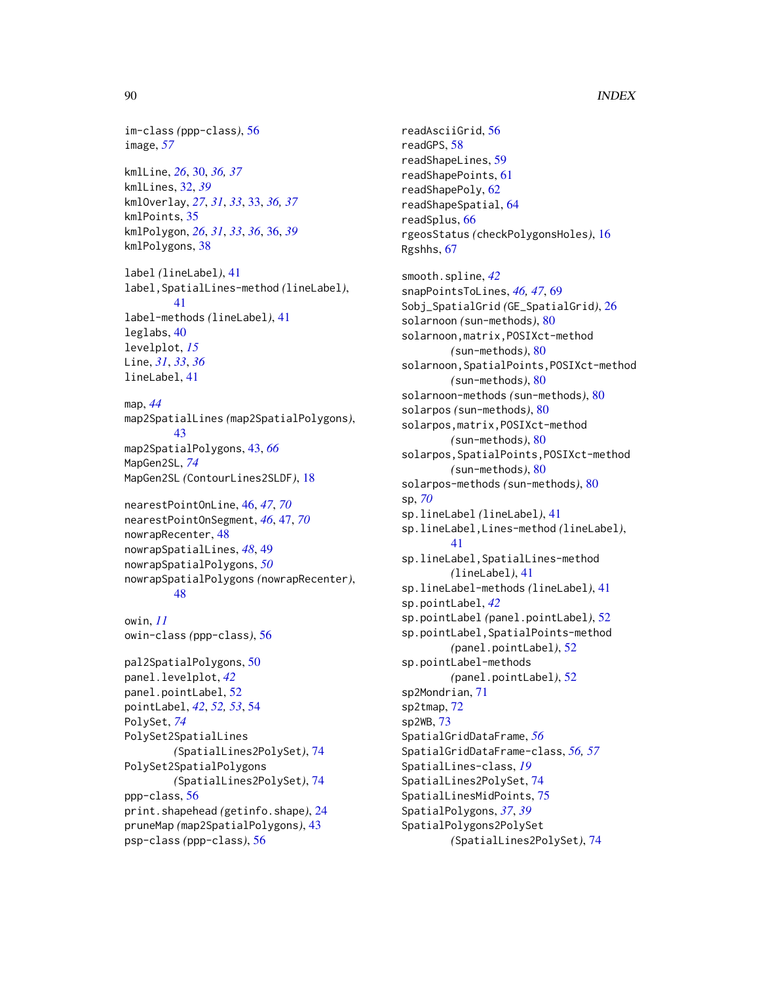# 90 **INDEX**

im-class *(*ppp-class*)*, [56](#page-55-0) image, *[57](#page-56-0)* kmlLine, *[26](#page-25-0)*, [30,](#page-29-0) *[36,](#page-35-0) [37](#page-36-0)* kmlLines, [32,](#page-31-0) *[39](#page-38-0)* kmlOverlay, *[27](#page-26-0)*, *[31](#page-30-0)*, *[33](#page-32-0)*, [33,](#page-32-0) *[36,](#page-35-0) [37](#page-36-0)* kmlPoints, [35](#page-34-0) kmlPolygon, *[26](#page-25-0)*, *[31](#page-30-0)*, *[33](#page-32-0)*, *[36](#page-35-0)*, [36,](#page-35-0) *[39](#page-38-0)* kmlPolygons, [38](#page-37-0) label *(*lineLabel*)*, [41](#page-40-0) label,SpatialLines-method *(*lineLabel*)*, [41](#page-40-0) label-methods *(*lineLabel*)*, [41](#page-40-0) leglabs, [40](#page-39-0) levelplot, *[15](#page-14-0)* Line, *[31](#page-30-0)*, *[33](#page-32-0)*, *[36](#page-35-0)* lineLabel, [41](#page-40-0) map, *[44](#page-43-0)* map2SpatialLines *(*map2SpatialPolygons*)*, [43](#page-42-0) map2SpatialPolygons, [43,](#page-42-0) *[66](#page-65-0)* MapGen2SL, *[74](#page-73-0)* MapGen2SL *(*ContourLines2SLDF*)*, [18](#page-17-1) nearestPointOnLine, [46,](#page-45-0) *[47](#page-46-0)*, *[70](#page-69-0)* nearestPointOnSegment, *[46](#page-45-0)*, [47,](#page-46-0) *[70](#page-69-0)* nowrapRecenter, [48](#page-47-0) nowrapSpatialLines, *[48](#page-47-0)*, [49](#page-48-0) nowrapSpatialPolygons, *[50](#page-49-0)* nowrapSpatialPolygons *(*nowrapRecenter*)*, [48](#page-47-0) owin, *[11](#page-10-0)* owin-class *(*ppp-class*)*, [56](#page-55-0) pal2SpatialPolygons, [50](#page-49-0) panel.levelplot, *[42](#page-41-0)* panel.pointLabel, [52](#page-51-0) pointLabel, *[42](#page-41-0)*, *[52,](#page-51-0) [53](#page-52-0)*, [54](#page-53-0) PolySet, *[74](#page-73-0)* PolySet2SpatialLines *(*SpatialLines2PolySet*)*, [74](#page-73-0) PolySet2SpatialPolygons

*(*SpatialLines2PolySet*)*, [74](#page-73-0) ppp-class, [56](#page-55-0) print.shapehead *(*getinfo.shape*)*, [24](#page-23-0) pruneMap *(*map2SpatialPolygons*)*, [43](#page-42-0) psp-class *(*ppp-class*)*, [56](#page-55-0)

readAsciiGrid, [56](#page-55-0) readGPS, [58](#page-57-0) readShapeLines, [59](#page-58-0) readShapePoints, [61](#page-60-0) readShapePoly, [62](#page-61-0) readShapeSpatial, [64](#page-63-0) readSplus, [66](#page-65-0) rgeosStatus *(*checkPolygonsHoles*)*, [16](#page-15-0) Rgshhs, [67](#page-66-0) smooth.spline, *[42](#page-41-0)* snapPointsToLines, *[46,](#page-45-0) [47](#page-46-0)*, [69](#page-68-0) Sobj\_SpatialGrid *(*GE\_SpatialGrid*)*, [26](#page-25-0) solarnoon *(*sun-methods*)*, [80](#page-79-0) solarnoon,matrix,POSIXct-method *(*sun-methods*)*, [80](#page-79-0) solarnoon,SpatialPoints,POSIXct-method *(*sun-methods*)*, [80](#page-79-0) solarnoon-methods *(*sun-methods*)*, [80](#page-79-0) solarpos *(*sun-methods*)*, [80](#page-79-0) solarpos,matrix,POSIXct-method *(*sun-methods*)*, [80](#page-79-0) solarpos,SpatialPoints,POSIXct-method *(*sun-methods*)*, [80](#page-79-0) solarpos-methods *(*sun-methods*)*, [80](#page-79-0) sp, *[70](#page-69-0)* sp.lineLabel *(*lineLabel*)*, [41](#page-40-0) sp.lineLabel,Lines-method *(*lineLabel*)*, [41](#page-40-0) sp.lineLabel,SpatialLines-method *(*lineLabel*)*, [41](#page-40-0) sp.lineLabel-methods *(*lineLabel*)*, [41](#page-40-0) sp.pointLabel, *[42](#page-41-0)* sp.pointLabel *(*panel.pointLabel*)*, [52](#page-51-0) sp.pointLabel,SpatialPoints-method *(*panel.pointLabel*)*, [52](#page-51-0) sp.pointLabel-methods *(*panel.pointLabel*)*, [52](#page-51-0) sp2Mondrian, [71](#page-70-0) sp2tmap, [72](#page-71-0) sp2WB, [73](#page-72-0) SpatialGridDataFrame, *[56](#page-55-0)* SpatialGridDataFrame-class, *[56,](#page-55-0) [57](#page-56-0)* SpatialLines-class, *[19](#page-18-0)* SpatialLines2PolySet, [74](#page-73-0) SpatialLinesMidPoints, [75](#page-74-0) SpatialPolygons, *[37](#page-36-0)*, *[39](#page-38-0)* SpatialPolygons2PolySet *(*SpatialLines2PolySet*)*, [74](#page-73-0)